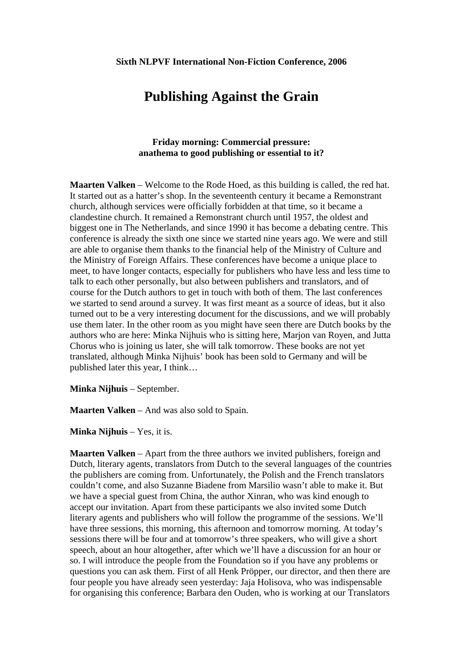# **Publishing Against the Grain**

## **Friday morning: Commercial pressure: anathema to good publishing or essential to it?**

**Maarten Valken** – Welcome to the Rode Hoed, as this building is called, the red hat. It started out as a hatter's shop. In the seventeenth century it became a Remonstrant church, although services were officially forbidden at that time, so it became a clandestine church. It remained a Remonstrant church until 1957, the oldest and biggest one in The Netherlands, and since 1990 it has become a debating centre. This conference is already the sixth one since we started nine years ago. We were and still are able to organise them thanks to the financial help of the Ministry of Culture and the Ministry of Foreign Affairs. These conferences have become a unique place to meet, to have longer contacts, especially for publishers who have less and less time to talk to each other personally, but also between publishers and translators, and of course for the Dutch authors to get in touch with both of them. The last conferences we started to send around a survey. It was first meant as a source of ideas, but it also turned out to be a very interesting document for the discussions, and we will probably use them later. In the other room as you might have seen there are Dutch books by the authors who are here: Minka Nijhuis who is sitting here, Marjon van Royen, and Jutta Chorus who is joining us later, she will talk tomorrow. These books are not yet translated, although Minka Nijhuis' book has been sold to Germany and will be published later this year, I think…

**Minka Nijhuis** – September.

**Maarten Valken** – And was also sold to Spain.

**Minka Nijhuis** – Yes, it is.

**Maarten Valken** – Apart from the three authors we invited publishers, foreign and Dutch, literary agents, translators from Dutch to the several languages of the countries the publishers are coming from. Unfortunately, the Polish and the French translators couldn't come, and also Suzanne Biadene from Marsilio wasn't able to make it. But we have a special guest from China, the author Xinran, who was kind enough to accept our invitation. Apart from these participants we also invited some Dutch literary agents and publishers who will follow the programme of the sessions. We'll have three sessions, this morning, this afternoon and tomorrow morning. At today's sessions there will be four and at tomorrow's three speakers, who will give a short speech, about an hour altogether, after which we'll have a discussion for an hour or so. I will introduce the people from the Foundation so if you have any problems or questions you can ask them. First of all Henk Pröpper, our director, and then there are four people you have already seen yesterday: Jaja Holisova, who was indispensable for organising this conference; Barbara den Ouden, who is working at our Translators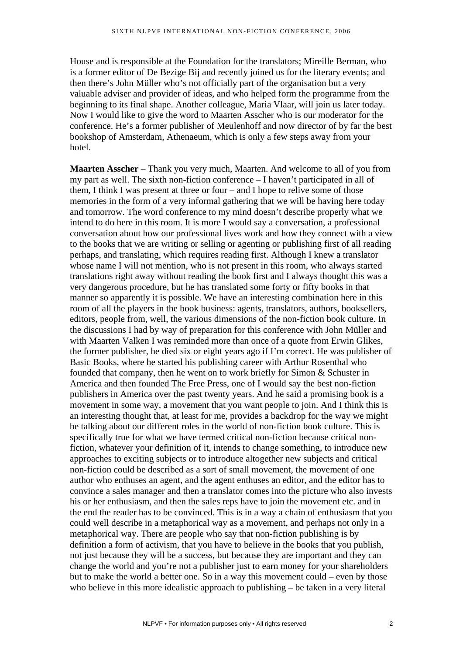House and is responsible at the Foundation for the translators; Mireille Berman, who is a former editor of De Bezige Bij and recently joined us for the literary events; and then there's John Müller who's not officially part of the organisation but a very valuable adviser and provider of ideas, and who helped form the programme from the beginning to its final shape. Another colleague, Maria Vlaar, will join us later today. Now I would like to give the word to Maarten Asscher who is our moderator for the conference. He's a former publisher of Meulenhoff and now director of by far the best bookshop of Amsterdam, Athenaeum, which is only a few steps away from your hotel.

**Maarten Asscher** – Thank you very much, Maarten. And welcome to all of you from my part as well. The sixth non-fiction conference – I haven't participated in all of them, I think I was present at three or four – and I hope to relive some of those memories in the form of a very informal gathering that we will be having here today and tomorrow. The word conference to my mind doesn't describe properly what we intend to do here in this room. It is more I would say a conversation, a professional conversation about how our professional lives work and how they connect with a view to the books that we are writing or selling or agenting or publishing first of all reading perhaps, and translating, which requires reading first. Although I knew a translator whose name I will not mention, who is not present in this room, who always started translations right away without reading the book first and I always thought this was a very dangerous procedure, but he has translated some forty or fifty books in that manner so apparently it is possible. We have an interesting combination here in this room of all the players in the book business: agents, translators, authors, booksellers, editors, people from, well, the various dimensions of the non-fiction book culture. In the discussions I had by way of preparation for this conference with John Müller and with Maarten Valken I was reminded more than once of a quote from Erwin Glikes, the former publisher, he died six or eight years ago if I'm correct. He was publisher of Basic Books, where he started his publishing career with Arthur Rosenthal who founded that company, then he went on to work briefly for Simon & Schuster in America and then founded The Free Press, one of I would say the best non-fiction publishers in America over the past twenty years. And he said a promising book is a movement in some way, a movement that you want people to join. And I think this is an interesting thought that, at least for me, provides a backdrop for the way we might be talking about our different roles in the world of non-fiction book culture. This is specifically true for what we have termed critical non-fiction because critical nonfiction, whatever your definition of it, intends to change something, to introduce new approaches to exciting subjects or to introduce altogether new subjects and critical non-fiction could be described as a sort of small movement, the movement of one author who enthuses an agent, and the agent enthuses an editor, and the editor has to convince a sales manager and then a translator comes into the picture who also invests his or her enthusiasm, and then the sales reps have to join the movement etc. and in the end the reader has to be convinced. This is in a way a chain of enthusiasm that you could well describe in a metaphorical way as a movement, and perhaps not only in a metaphorical way. There are people who say that non-fiction publishing is by definition a form of activism, that you have to believe in the books that you publish, not just because they will be a success, but because they are important and they can change the world and you're not a publisher just to earn money for your shareholders but to make the world a better one. So in a way this movement could – even by those who believe in this more idealistic approach to publishing – be taken in a very literal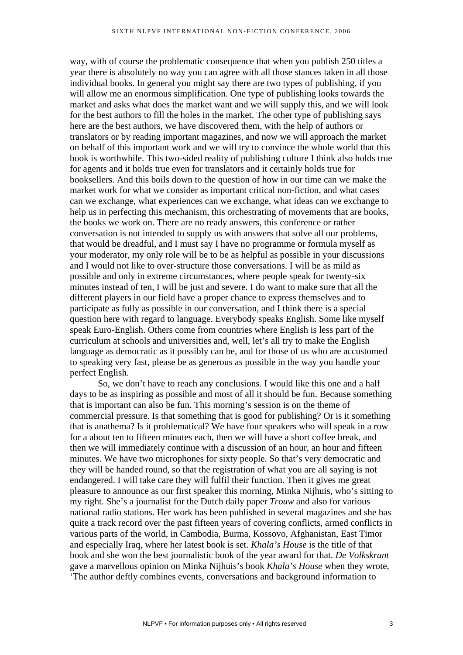way, with of course the problematic consequence that when you publish 250 titles a year there is absolutely no way you can agree with all those stances taken in all those individual books. In general you might say there are two types of publishing, if you will allow me an enormous simplification. One type of publishing looks towards the market and asks what does the market want and we will supply this, and we will look for the best authors to fill the holes in the market. The other type of publishing says here are the best authors, we have discovered them, with the help of authors or translators or by reading important magazines, and now we will approach the market on behalf of this important work and we will try to convince the whole world that this book is worthwhile. This two-sided reality of publishing culture I think also holds true for agents and it holds true even for translators and it certainly holds true for booksellers. And this boils down to the question of how in our time can we make the market work for what we consider as important critical non-fiction, and what cases can we exchange, what experiences can we exchange, what ideas can we exchange to help us in perfecting this mechanism, this orchestrating of movements that are books, the books we work on. There are no ready answers, this conference or rather conversation is not intended to supply us with answers that solve all our problems, that would be dreadful, and I must say I have no programme or formula myself as your moderator, my only role will be to be as helpful as possible in your discussions and I would not like to over-structure those conversations. I will be as mild as possible and only in extreme circumstances, where people speak for twenty-six minutes instead of ten, I will be just and severe. I do want to make sure that all the different players in our field have a proper chance to express themselves and to participate as fully as possible in our conversation, and I think there is a special question here with regard to language. Everybody speaks English. Some like myself speak Euro-English. Others come from countries where English is less part of the curriculum at schools and universities and, well, let's all try to make the English language as democratic as it possibly can be, and for those of us who are accustomed to speaking very fast, please be as generous as possible in the way you handle your perfect English.

So, we don't have to reach any conclusions. I would like this one and a half days to be as inspiring as possible and most of all it should be fun. Because something that is important can also be fun. This morning's session is on the theme of commercial pressure. Is that something that is good for publishing? Or is it something that is anathema? Is it problematical? We have four speakers who will speak in a row for a about ten to fifteen minutes each, then we will have a short coffee break, and then we will immediately continue with a discussion of an hour, an hour and fifteen minutes. We have two microphones for sixty people. So that's very democratic and they will be handed round, so that the registration of what you are all saying is not endangered. I will take care they will fulfil their function. Then it gives me great pleasure to announce as our first speaker this morning, Minka Nijhuis, who's sitting to my right. She's a journalist for the Dutch daily paper *Trouw* and also for various national radio stations. Her work has been published in several magazines and she has quite a track record over the past fifteen years of covering conflicts, armed conflicts in various parts of the world, in Cambodia, Burma, Kossovo, Afghanistan, East Timor and especially Iraq, where her latest book is set. *Khala's House* is the title of that book and she won the best journalistic book of the year award for that. *De Volkskrant* gave a marvellous opinion on Minka Nijhuis's book *Khala's House* when they wrote, 'The author deftly combines events, conversations and background information to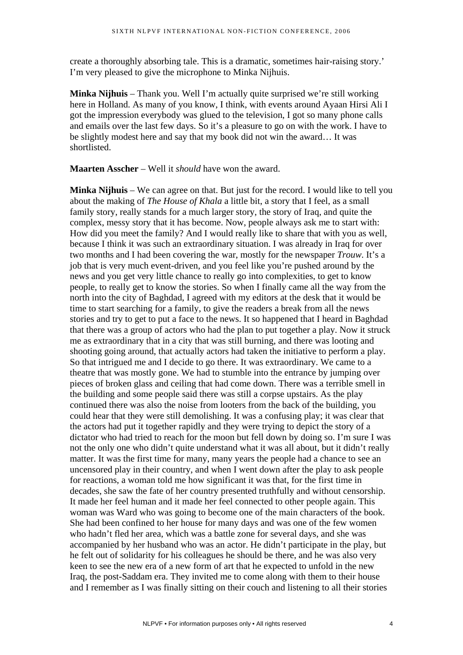create a thoroughly absorbing tale. This is a dramatic, sometimes hair-raising story.' I'm very pleased to give the microphone to Minka Nijhuis.

**Minka Nijhuis** – Thank you. Well I'm actually quite surprised we're still working here in Holland. As many of you know, I think, with events around Ayaan Hirsi Ali I got the impression everybody was glued to the television, I got so many phone calls and emails over the last few days. So it's a pleasure to go on with the work. I have to be slightly modest here and say that my book did not win the award… It was shortlisted.

**Maarten Asscher** – Well it *should* have won the award.

**Minka Nijhuis** – We can agree on that. But just for the record. I would like to tell you about the making of *The House of Khala* a little bit, a story that I feel, as a small family story, really stands for a much larger story, the story of Iraq, and quite the complex, messy story that it has become. Now, people always ask me to start with: How did you meet the family? And I would really like to share that with you as well, because I think it was such an extraordinary situation. I was already in Iraq for over two months and I had been covering the war, mostly for the newspaper *Trouw*. It's a job that is very much event-driven, and you feel like you're pushed around by the news and you get very little chance to really go into complexities, to get to know people, to really get to know the stories. So when I finally came all the way from the north into the city of Baghdad, I agreed with my editors at the desk that it would be time to start searching for a family, to give the readers a break from all the news stories and try to get to put a face to the news. It so happened that I heard in Baghdad that there was a group of actors who had the plan to put together a play. Now it struck me as extraordinary that in a city that was still burning, and there was looting and shooting going around, that actually actors had taken the initiative to perform a play. So that intrigued me and I decide to go there. It was extraordinary. We came to a theatre that was mostly gone. We had to stumble into the entrance by jumping over pieces of broken glass and ceiling that had come down. There was a terrible smell in the building and some people said there was still a corpse upstairs. As the play continued there was also the noise from looters from the back of the building, you could hear that they were still demolishing. It was a confusing play; it was clear that the actors had put it together rapidly and they were trying to depict the story of a dictator who had tried to reach for the moon but fell down by doing so. I'm sure I was not the only one who didn't quite understand what it was all about, but it didn't really matter. It was the first time for many, many years the people had a chance to see an uncensored play in their country, and when I went down after the play to ask people for reactions, a woman told me how significant it was that, for the first time in decades, she saw the fate of her country presented truthfully and without censorship. It made her feel human and it made her feel connected to other people again. This woman was Ward who was going to become one of the main characters of the book. She had been confined to her house for many days and was one of the few women who hadn't fled her area, which was a battle zone for several days, and she was accompanied by her husband who was an actor. He didn't participate in the play, but he felt out of solidarity for his colleagues he should be there, and he was also very keen to see the new era of a new form of art that he expected to unfold in the new Iraq, the post-Saddam era. They invited me to come along with them to their house and I remember as I was finally sitting on their couch and listening to all their stories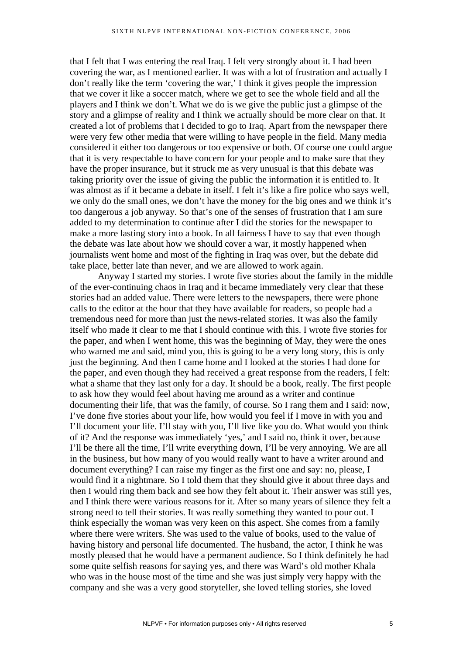that I felt that I was entering the real Iraq. I felt very strongly about it. I had been covering the war, as I mentioned earlier. It was with a lot of frustration and actually I don't really like the term 'covering the war,' I think it gives people the impression that we cover it like a soccer match, where we get to see the whole field and all the players and I think we don't. What we do is we give the public just a glimpse of the story and a glimpse of reality and I think we actually should be more clear on that. It created a lot of problems that I decided to go to Iraq. Apart from the newspaper there were very few other media that were willing to have people in the field. Many media considered it either too dangerous or too expensive or both. Of course one could argue that it is very respectable to have concern for your people and to make sure that they have the proper insurance, but it struck me as very unusual is that this debate was taking priority over the issue of giving the public the information it is entitled to. It was almost as if it became a debate in itself. I felt it's like a fire police who says well, we only do the small ones, we don't have the money for the big ones and we think it's too dangerous a job anyway. So that's one of the senses of frustration that I am sure added to my determination to continue after I did the stories for the newspaper to make a more lasting story into a book. In all fairness I have to say that even though the debate was late about how we should cover a war, it mostly happened when journalists went home and most of the fighting in Iraq was over, but the debate did take place, better late than never, and we are allowed to work again.

Anyway I started my stories. I wrote five stories about the family in the middle of the ever-continuing chaos in Iraq and it became immediately very clear that these stories had an added value. There were letters to the newspapers, there were phone calls to the editor at the hour that they have available for readers, so people had a tremendous need for more than just the news-related stories. It was also the family itself who made it clear to me that I should continue with this. I wrote five stories for the paper, and when I went home, this was the beginning of May, they were the ones who warned me and said, mind you, this is going to be a very long story, this is only just the beginning. And then I came home and I looked at the stories I had done for the paper, and even though they had received a great response from the readers, I felt: what a shame that they last only for a day. It should be a book, really. The first people to ask how they would feel about having me around as a writer and continue documenting their life, that was the family, of course. So I rang them and I said: now, I've done five stories about your life, how would you feel if I move in with you and I'll document your life. I'll stay with you, I'll live like you do. What would you think of it? And the response was immediately 'yes,' and I said no, think it over, because I'll be there all the time, I'll write everything down, I'll be very annoying. We are all in the business, but how many of you would really want to have a writer around and document everything? I can raise my finger as the first one and say: no, please, I would find it a nightmare. So I told them that they should give it about three days and then I would ring them back and see how they felt about it. Their answer was still yes, and I think there were various reasons for it. After so many years of silence they felt a strong need to tell their stories. It was really something they wanted to pour out. I think especially the woman was very keen on this aspect. She comes from a family where there were writers. She was used to the value of books, used to the value of having history and personal life documented. The husband, the actor, I think he was mostly pleased that he would have a permanent audience. So I think definitely he had some quite selfish reasons for saying yes, and there was Ward's old mother Khala who was in the house most of the time and she was just simply very happy with the company and she was a very good storyteller, she loved telling stories, she loved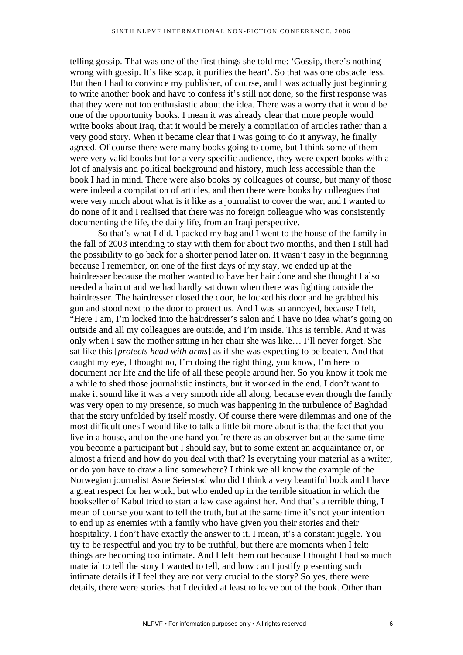telling gossip. That was one of the first things she told me: 'Gossip, there's nothing wrong with gossip. It's like soap, it purifies the heart'. So that was one obstacle less. But then I had to convince my publisher, of course, and I was actually just beginning to write another book and have to confess it's still not done, so the first response was that they were not too enthusiastic about the idea. There was a worry that it would be one of the opportunity books. I mean it was already clear that more people would write books about Iraq, that it would be merely a compilation of articles rather than a very good story. When it became clear that I was going to do it anyway, he finally agreed. Of course there were many books going to come, but I think some of them were very valid books but for a very specific audience, they were expert books with a lot of analysis and political background and history, much less accessible than the book I had in mind. There were also books by colleagues of course, but many of those were indeed a compilation of articles, and then there were books by colleagues that were very much about what is it like as a journalist to cover the war, and I wanted to do none of it and I realised that there was no foreign colleague who was consistently documenting the life, the daily life, from an Iraqi perspective.

So that's what I did. I packed my bag and I went to the house of the family in the fall of 2003 intending to stay with them for about two months, and then I still had the possibility to go back for a shorter period later on. It wasn't easy in the beginning because I remember, on one of the first days of my stay, we ended up at the hairdresser because the mother wanted to have her hair done and she thought I also needed a haircut and we had hardly sat down when there was fighting outside the hairdresser. The hairdresser closed the door, he locked his door and he grabbed his gun and stood next to the door to protect us. And I was so annoyed, because I felt, "Here I am, I'm locked into the hairdresser's salon and I have no idea what's going on outside and all my colleagues are outside, and I'm inside. This is terrible. And it was only when I saw the mother sitting in her chair she was like… I'll never forget. She sat like this [*protects head with arms*] as if she was expecting to be beaten. And that caught my eye, I thought no, I'm doing the right thing, you know, I'm here to document her life and the life of all these people around her. So you know it took me a while to shed those journalistic instincts, but it worked in the end. I don't want to make it sound like it was a very smooth ride all along, because even though the family was very open to my presence, so much was happening in the turbulence of Baghdad that the story unfolded by itself mostly. Of course there were dilemmas and one of the most difficult ones I would like to talk a little bit more about is that the fact that you live in a house, and on the one hand you're there as an observer but at the same time you become a participant but I should say, but to some extent an acquaintance or, or almost a friend and how do you deal with that? Is everything your material as a writer, or do you have to draw a line somewhere? I think we all know the example of the Norwegian journalist Asne Seierstad who did I think a very beautiful book and I have a great respect for her work, but who ended up in the terrible situation in which the bookseller of Kabul tried to start a law case against her. And that's a terrible thing, I mean of course you want to tell the truth, but at the same time it's not your intention to end up as enemies with a family who have given you their stories and their hospitality. I don't have exactly the answer to it. I mean, it's a constant juggle. You try to be respectful and you try to be truthful, but there are moments when I felt: things are becoming too intimate. And I left them out because I thought I had so much material to tell the story I wanted to tell, and how can I justify presenting such intimate details if I feel they are not very crucial to the story? So yes, there were details, there were stories that I decided at least to leave out of the book. Other than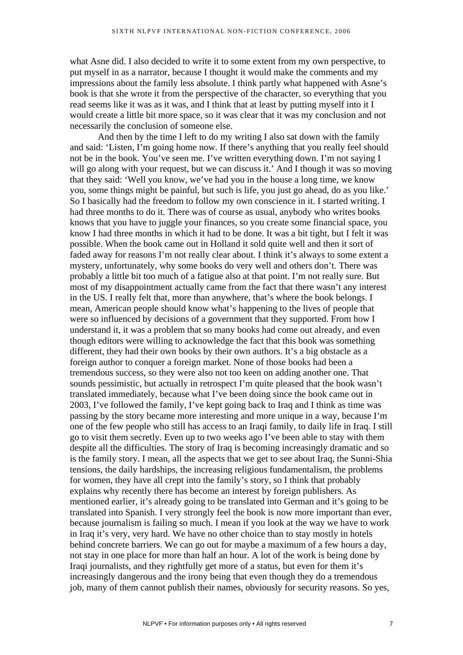what Asne did. I also decided to write it to some extent from my own perspective, to put myself in as a narrator, because I thought it would make the comments and my impressions about the family less absolute. I think partly what happened with Asne's book is that she wrote it from the perspective of the character, so everything that you read seems like it was as it was, and I think that at least by putting myself into it I would create a little bit more space, so it was clear that it was my conclusion and not necessarily the conclusion of someone else.

And then by the time I left to do my writing I also sat down with the family and said: 'Listen, I'm going home now. If there's anything that you really feel should not be in the book. You've seen me. I've written everything down. I'm not saying I will go along with your request, but we can discuss it.' And I though it was so moving that they said: 'Well you know, we've had you in the house a long time, we know you, some things might be painful, but such is life, you just go ahead, do as you like.' So I basically had the freedom to follow my own conscience in it. I started writing. I had three months to do it. There was of course as usual, anybody who writes books knows that you have to juggle your finances, so you create some financial space, you know I had three months in which it had to be done. It was a bit tight, but I felt it was possible. When the book came out in Holland it sold quite well and then it sort of faded away for reasons I'm not really clear about. I think it's always to some extent a mystery, unfortunately, why some books do very well and others don't. There was probably a little bit too much of a fatigue also at that point. I'm not really sure. But most of my disappointment actually came from the fact that there wasn't any interest in the US. I really felt that, more than anywhere, that's where the book belongs. I mean, American people should know what's happening to the lives of people that were so influenced by decisions of a government that they supported. From how I understand it, it was a problem that so many books had come out already, and even though editors were willing to acknowledge the fact that this book was something different, they had their own books by their own authors. It's a big obstacle as a foreign author to conquer a foreign market. None of those books had been a tremendous success, so they were also not too keen on adding another one. That sounds pessimistic, but actually in retrospect I'm quite pleased that the book wasn't translated immediately, because what I've been doing since the book came out in 2003, I've followed the family, I've kept going back to Iraq and I think as time was passing by the story became more interesting and more unique in a way, because I'm one of the few people who still has access to an Iraqi family, to daily life in Iraq. I still go to visit them secretly. Even up to two weeks ago I've been able to stay with them despite all the difficulties. The story of Iraq is becoming increasingly dramatic and so is the family story. I mean, all the aspects that we get to see about Iraq, the Sunni-Shia tensions, the daily hardships, the increasing religious fundamentalism, the problems for women, they have all crept into the family's story, so I think that probably explains why recently there has become an interest by foreign publishers. As mentioned earlier, it's already going to be translated into German and it's going to be translated into Spanish. I very strongly feel the book is now more important than ever, because journalism is failing so much. I mean if you look at the way we have to work in Iraq it's very, very hard. We have no other choice than to stay mostly in hotels behind concrete barriers. We can go out for maybe a maximum of a few hours a day, not stay in one place for more than half an hour. A lot of the work is being done by Iraqi journalists, and they rightfully get more of a status, but even for them it's increasingly dangerous and the irony being that even though they do a tremendous job, many of them cannot publish their names, obviously for security reasons. So yes,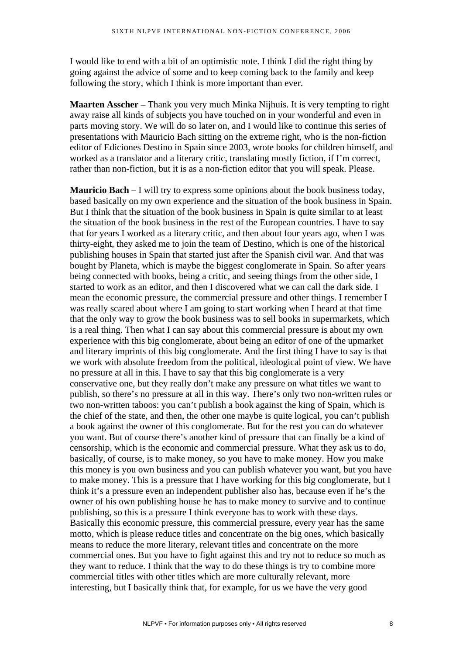I would like to end with a bit of an optimistic note. I think I did the right thing by going against the advice of some and to keep coming back to the family and keep following the story, which I think is more important than ever.

**Maarten Asscher** – Thank you very much Minka Nijhuis. It is very tempting to right away raise all kinds of subjects you have touched on in your wonderful and even in parts moving story. We will do so later on, and I would like to continue this series of presentations with Mauricio Bach sitting on the extreme right, who is the non-fiction editor of Ediciones Destino in Spain since 2003, wrote books for children himself, and worked as a translator and a literary critic, translating mostly fiction, if I'm correct, rather than non-fiction, but it is as a non-fiction editor that you will speak. Please.

**Mauricio Bach** – I will try to express some opinions about the book business today, based basically on my own experience and the situation of the book business in Spain. But I think that the situation of the book business in Spain is quite similar to at least the situation of the book business in the rest of the European countries. I have to say that for years I worked as a literary critic, and then about four years ago, when I was thirty-eight, they asked me to join the team of Destino, which is one of the historical publishing houses in Spain that started just after the Spanish civil war. And that was bought by Planeta, which is maybe the biggest conglomerate in Spain. So after years being connected with books, being a critic, and seeing things from the other side, I started to work as an editor, and then I discovered what we can call the dark side. I mean the economic pressure, the commercial pressure and other things. I remember I was really scared about where I am going to start working when I heard at that time that the only way to grow the book business was to sell books in supermarkets, which is a real thing. Then what I can say about this commercial pressure is about my own experience with this big conglomerate, about being an editor of one of the upmarket and literary imprints of this big conglomerate. And the first thing I have to say is that we work with absolute freedom from the political, ideological point of view. We have no pressure at all in this. I have to say that this big conglomerate is a very conservative one, but they really don't make any pressure on what titles we want to publish, so there's no pressure at all in this way. There's only two non-written rules or two non-written taboos: you can't publish a book against the king of Spain, which is the chief of the state, and then, the other one maybe is quite logical, you can't publish a book against the owner of this conglomerate. But for the rest you can do whatever you want. But of course there's another kind of pressure that can finally be a kind of censorship, which is the economic and commercial pressure. What they ask us to do, basically, of course, is to make money, so you have to make money. How you make this money is you own business and you can publish whatever you want, but you have to make money. This is a pressure that I have working for this big conglomerate, but I think it's a pressure even an independent publisher also has, because even if he's the owner of his own publishing house he has to make money to survive and to continue publishing, so this is a pressure I think everyone has to work with these days. Basically this economic pressure, this commercial pressure, every year has the same motto, which is please reduce titles and concentrate on the big ones, which basically means to reduce the more literary, relevant titles and concentrate on the more commercial ones. But you have to fight against this and try not to reduce so much as they want to reduce. I think that the way to do these things is try to combine more commercial titles with other titles which are more culturally relevant, more interesting, but I basically think that, for example, for us we have the very good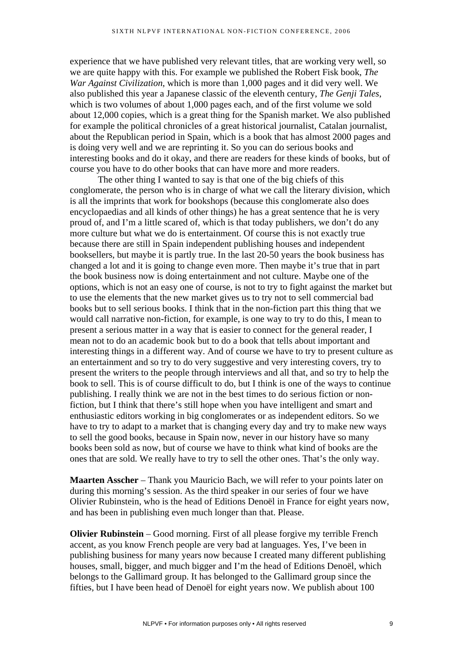experience that we have published very relevant titles, that are working very well, so we are quite happy with this. For example we published the Robert Fisk book, *The War Against Civilization*, which is more than 1,000 pages and it did very well. We also published this year a Japanese classic of the eleventh century, *The Genji Tales*, which is two volumes of about 1,000 pages each, and of the first volume we sold about 12,000 copies, which is a great thing for the Spanish market. We also published for example the political chronicles of a great historical journalist, Catalan journalist, about the Republican period in Spain, which is a book that has almost 2000 pages and is doing very well and we are reprinting it. So you can do serious books and interesting books and do it okay, and there are readers for these kinds of books, but of course you have to do other books that can have more and more readers.

The other thing I wanted to say is that one of the big chiefs of this conglomerate, the person who is in charge of what we call the literary division, which is all the imprints that work for bookshops (because this conglomerate also does encyclopaedias and all kinds of other things) he has a great sentence that he is very proud of, and I'm a little scared of, which is that today publishers, we don't do any more culture but what we do is entertainment. Of course this is not exactly true because there are still in Spain independent publishing houses and independent booksellers, but maybe it is partly true. In the last 20-50 years the book business has changed a lot and it is going to change even more. Then maybe it's true that in part the book business now is doing entertainment and not culture. Maybe one of the options, which is not an easy one of course, is not to try to fight against the market but to use the elements that the new market gives us to try not to sell commercial bad books but to sell serious books. I think that in the non-fiction part this thing that we would call narrative non-fiction, for example, is one way to try to do this, I mean to present a serious matter in a way that is easier to connect for the general reader, I mean not to do an academic book but to do a book that tells about important and interesting things in a different way. And of course we have to try to present culture as an entertainment and so try to do very suggestive and very interesting covers, try to present the writers to the people through interviews and all that, and so try to help the book to sell. This is of course difficult to do, but I think is one of the ways to continue publishing. I really think we are not in the best times to do serious fiction or nonfiction, but I think that there's still hope when you have intelligent and smart and enthusiastic editors working in big conglomerates or as independent editors. So we have to try to adapt to a market that is changing every day and try to make new ways to sell the good books, because in Spain now, never in our history have so many books been sold as now, but of course we have to think what kind of books are the ones that are sold. We really have to try to sell the other ones. That's the only way.

**Maarten Asscher** – Thank you Mauricio Bach, we will refer to your points later on during this morning's session. As the third speaker in our series of four we have Olivier Rubinstein, who is the head of Editions Denoël in France for eight years now, and has been in publishing even much longer than that. Please.

**Olivier Rubinstein** – Good morning. First of all please forgive my terrible French accent, as you know French people are very bad at languages. Yes, I've been in publishing business for many years now because I created many different publishing houses, small, bigger, and much bigger and I'm the head of Editions Denoël, which belongs to the Gallimard group. It has belonged to the Gallimard group since the fifties, but I have been head of Denoël for eight years now. We publish about 100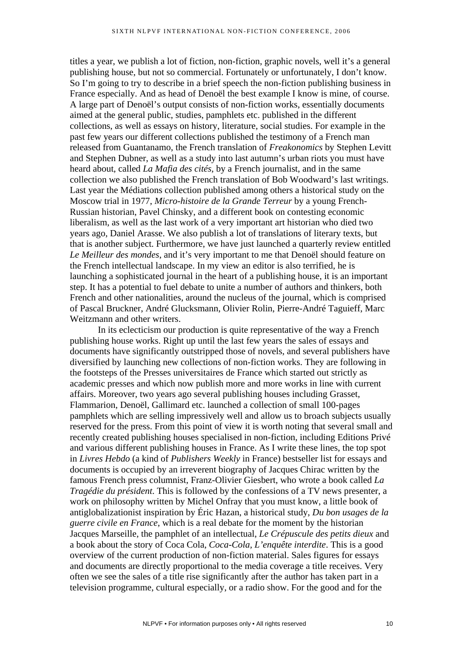titles a year, we publish a lot of fiction, non-fiction, graphic novels, well it's a general publishing house, but not so commercial. Fortunately or unfortunately, I don't know. So I'm going to try to describe in a brief speech the non-fiction publishing business in France especially. And as head of Denoël the best example I know is mine, of course. A large part of Denoël's output consists of non-fiction works, essentially documents aimed at the general public, studies, pamphlets etc. published in the different collections, as well as essays on history, literature, social studies. For example in the past few years our different collections published the testimony of a French man released from Guantanamo, the French translation of *Freakonomics* by Stephen Levitt and Stephen Dubner, as well as a study into last autumn's urban riots you must have heard about, called *La Mafia des cités*, by a French journalist, and in the same collection we also published the French translation of Bob Woodward's last writings. Last year the Médiations collection published among others a historical study on the Moscow trial in 1977, *Micro-histoire de la Grande Terreur* by a young French-Russian historian, Pavel Chinsky, and a different book on contesting economic liberalism, as well as the last work of a very important art historian who died two years ago, Daniel Arasse. We also publish a lot of translations of literary texts, but that is another subject. Furthermore, we have just launched a quarterly review entitled *Le Meilleur des mondes*, and it's very important to me that Denoël should feature on the French intellectual landscape. In my view an editor is also terrified, he is launching a sophisticated journal in the heart of a publishing house, it is an important step. It has a potential to fuel debate to unite a number of authors and thinkers, both French and other nationalities, around the nucleus of the journal, which is comprised of Pascal Bruckner, André Glucksmann, Olivier Rolin, Pierre-André Taguieff, Marc Weitzmann and other writers.

In its eclecticism our production is quite representative of the way a French publishing house works. Right up until the last few years the sales of essays and documents have significantly outstripped those of novels, and several publishers have diversified by launching new collections of non-fiction works. They are following in the footsteps of the Presses universitaires de France which started out strictly as academic presses and which now publish more and more works in line with current affairs. Moreover, two years ago several publishing houses including Grasset, Flammarion, Denoël, Gallimard etc. launched a collection of small 100-pages pamphlets which are selling impressively well and allow us to broach subjects usually reserved for the press. From this point of view it is worth noting that several small and recently created publishing houses specialised in non-fiction, including Editions Privé and various different publishing houses in France. As I write these lines, the top spot in *Livres Hebdo* (a kind of *Publishers Weekly* in France) bestseller list for essays and documents is occupied by an irreverent biography of Jacques Chirac written by the famous French press columnist, Franz-Olivier Giesbert, who wrote a book called *La Tragédie du président*. This is followed by the confessions of a TV news presenter, a work on philosophy written by Michel Onfray that you must know, a little book of antiglobalizationist inspiration by Éric Hazan, a historical study, *Du bon usages de la guerre civile en France*, which is a real debate for the moment by the historian Jacques Marseille, the pamphlet of an intellectual, *Le Crépuscule des petits dieux* and a book about the story of Coca Cola, *Coca-Cola, L'enquête interdite*. This is a good overview of the current production of non-fiction material. Sales figures for essays and documents are directly proportional to the media coverage a title receives. Very often we see the sales of a title rise significantly after the author has taken part in a television programme, cultural especially, or a radio show. For the good and for the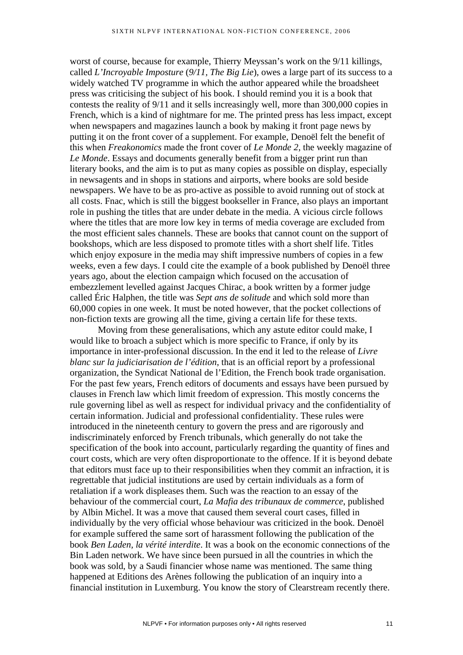worst of course, because for example, Thierry Meyssan's work on the 9/11 killings, called *L'Incroyable Imposture* (*9/11, The Big Lie*), owes a large part of its success to a widely watched TV programme in which the author appeared while the broadsheet press was criticising the subject of his book. I should remind you it is a book that contests the reality of 9/11 and it sells increasingly well, more than 300,000 copies in French, which is a kind of nightmare for me. The printed press has less impact, except when newspapers and magazines launch a book by making it front page news by putting it on the front cover of a supplement. For example, Denoël felt the benefit of this when *Freakonomics* made the front cover of *Le Monde 2*, the weekly magazine of *Le Monde*. Essays and documents generally benefit from a bigger print run than literary books, and the aim is to put as many copies as possible on display, especially in newsagents and in shops in stations and airports, where books are sold beside newspapers. We have to be as pro-active as possible to avoid running out of stock at all costs. Fnac, which is still the biggest bookseller in France, also plays an important role in pushing the titles that are under debate in the media. A vicious circle follows where the titles that are more low key in terms of media coverage are excluded from the most efficient sales channels. These are books that cannot count on the support of bookshops, which are less disposed to promote titles with a short shelf life. Titles which enjoy exposure in the media may shift impressive numbers of copies in a few weeks, even a few days. I could cite the example of a book published by Denoël three years ago, about the election campaign which focused on the accusation of embezzlement levelled against Jacques Chirac, a book written by a former judge called Éric Halphen, the title was *Sept ans de solitude* and which sold more than 60,000 copies in one week. It must be noted however, that the pocket collections of non-fiction texts are growing all the time, giving a certain life for these texts.

Moving from these generalisations, which any astute editor could make, I would like to broach a subject which is more specific to France, if only by its importance in inter-professional discussion. In the end it led to the release of *Livre blanc sur la judiciarisation de l'édition*, that is an official report by a professional organization, the Syndicat National de l'Edition, the French book trade organisation. For the past few years, French editors of documents and essays have been pursued by clauses in French law which limit freedom of expression. This mostly concerns the rule governing libel as well as respect for individual privacy and the confidentiality of certain information. Judicial and professional confidentiality. These rules were introduced in the nineteenth century to govern the press and are rigorously and indiscriminately enforced by French tribunals, which generally do not take the specification of the book into account, particularly regarding the quantity of fines and court costs, which are very often disproportionate to the offence. If it is beyond debate that editors must face up to their responsibilities when they commit an infraction, it is regrettable that judicial institutions are used by certain individuals as a form of retaliation if a work displeases them. Such was the reaction to an essay of the behaviour of the commercial court, *La Mafia des tribunaux de commerce*, published by Albin Michel. It was a move that caused them several court cases, filled in individually by the very official whose behaviour was criticized in the book. Denoël for example suffered the same sort of harassment following the publication of the book *Ben Laden, la vérité interdite*. It was a book on the economic connections of the Bin Laden network. We have since been pursued in all the countries in which the book was sold, by a Saudi financier whose name was mentioned. The same thing happened at Editions des Arènes following the publication of an inquiry into a financial institution in Luxemburg. You know the story of Clearstream recently there.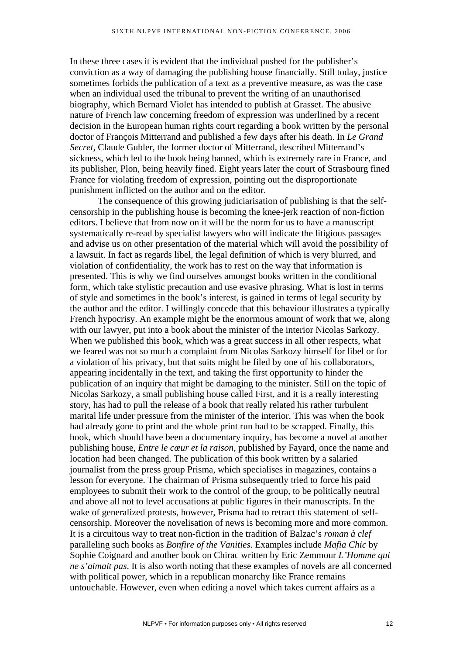In these three cases it is evident that the individual pushed for the publisher's conviction as a way of damaging the publishing house financially. Still today, justice sometimes forbids the publication of a text as a preventive measure, as was the case when an individual used the tribunal to prevent the writing of an unauthorised biography, which Bernard Violet has intended to publish at Grasset. The abusive nature of French law concerning freedom of expression was underlined by a recent decision in the European human rights court regarding a book written by the personal doctor of François Mitterrand and published a few days after his death. In *Le Grand Secret,* Claude Gubler, the former doctor of Mitterrand, described Mitterrand's sickness, which led to the book being banned, which is extremely rare in France, and its publisher, Plon, being heavily fined. Eight years later the court of Strasbourg fined France for violating freedom of expression, pointing out the disproportionate punishment inflicted on the author and on the editor.

The consequence of this growing judiciarisation of publishing is that the selfcensorship in the publishing house is becoming the knee-jerk reaction of non-fiction editors. I believe that from now on it will be the norm for us to have a manuscript systematically re-read by specialist lawyers who will indicate the litigious passages and advise us on other presentation of the material which will avoid the possibility of a lawsuit. In fact as regards libel, the legal definition of which is very blurred, and violation of confidentiality, the work has to rest on the way that information is presented. This is why we find ourselves amongst books written in the conditional form, which take stylistic precaution and use evasive phrasing. What is lost in terms of style and sometimes in the book's interest, is gained in terms of legal security by the author and the editor. I willingly concede that this behaviour illustrates a typically French hypocrisy. An example might be the enormous amount of work that we, along with our lawyer, put into a book about the minister of the interior Nicolas Sarkozy. When we published this book, which was a great success in all other respects, what we feared was not so much a complaint from Nicolas Sarkozy himself for libel or for a violation of his privacy, but that suits might be filed by one of his collaborators, appearing incidentally in the text, and taking the first opportunity to hinder the publication of an inquiry that might be damaging to the minister. Still on the topic of Nicolas Sarkozy, a small publishing house called First, and it is a really interesting story, has had to pull the release of a book that really related his rather turbulent marital life under pressure from the minister of the interior. This was when the book had already gone to print and the whole print run had to be scrapped. Finally, this book, which should have been a documentary inquiry, has become a novel at another publishing house, *Entre le cœur et la raison*, published by Fayard, once the name and location had been changed. The publication of this book written by a salaried journalist from the press group Prisma, which specialises in magazines, contains a lesson for everyone. The chairman of Prisma subsequently tried to force his paid employees to submit their work to the control of the group, to be politically neutral and above all not to level accusations at public figures in their manuscripts. In the wake of generalized protests, however, Prisma had to retract this statement of selfcensorship. Moreover the novelisation of news is becoming more and more common. It is a circuitous way to treat non-fiction in the tradition of Balzac's *roman à clef* paralleling such books as *Bonfire of the Vanities*. Examples include *Mafia Chic* by Sophie Coignard and another book on Chirac written by Eric Zemmour *L'Homme qui ne s'aimait pas*. It is also worth noting that these examples of novels are all concerned with political power, which in a republican monarchy like France remains untouchable. However, even when editing a novel which takes current affairs as a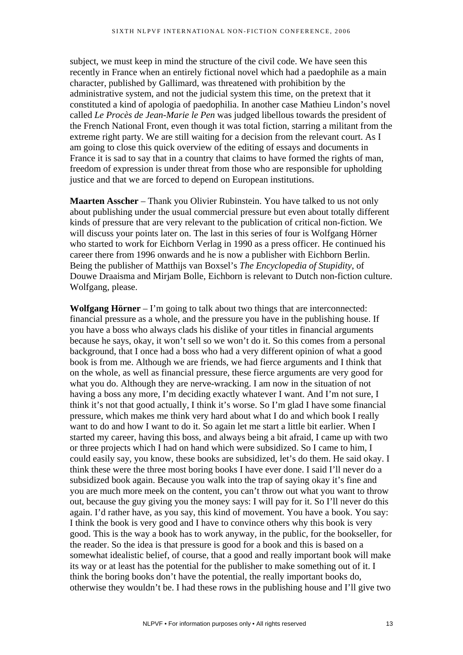subject, we must keep in mind the structure of the civil code. We have seen this recently in France when an entirely fictional novel which had a paedophile as a main character, published by Gallimard, was threatened with prohibition by the administrative system, and not the judicial system this time, on the pretext that it constituted a kind of apologia of paedophilia. In another case Mathieu Lindon's novel called *Le Procès de Jean-Marie le Pen* was judged libellous towards the president of the French National Front, even though it was total fiction, starring a militant from the extreme right party. We are still waiting for a decision from the relevant court. As I am going to close this quick overview of the editing of essays and documents in France it is sad to say that in a country that claims to have formed the rights of man, freedom of expression is under threat from those who are responsible for upholding justice and that we are forced to depend on European institutions.

**Maarten Asscher** – Thank you Olivier Rubinstein. You have talked to us not only about publishing under the usual commercial pressure but even about totally different kinds of pressure that are very relevant to the publication of critical non-fiction. We will discuss your points later on. The last in this series of four is Wolfgang Hörner who started to work for Eichborn Verlag in 1990 as a press officer. He continued his career there from 1996 onwards and he is now a publisher with Eichborn Berlin. Being the publisher of Matthijs van Boxsel's *The Encyclopedia of Stupidity*, of Douwe Draaisma and Mirjam Bolle, Eichborn is relevant to Dutch non-fiction culture. Wolfgang, please.

**Wolfgang Hörner** – I'm going to talk about two things that are interconnected: financial pressure as a whole, and the pressure you have in the publishing house. If you have a boss who always clads his dislike of your titles in financial arguments because he says, okay, it won't sell so we won't do it. So this comes from a personal background, that I once had a boss who had a very different opinion of what a good book is from me. Although we are friends, we had fierce arguments and I think that on the whole, as well as financial pressure, these fierce arguments are very good for what you do. Although they are nerve-wracking. I am now in the situation of not having a boss any more, I'm deciding exactly whatever I want. And I'm not sure, I think it's not that good actually, I think it's worse. So I'm glad I have some financial pressure, which makes me think very hard about what I do and which book I really want to do and how I want to do it. So again let me start a little bit earlier. When I started my career, having this boss, and always being a bit afraid, I came up with two or three projects which I had on hand which were subsidized. So I came to him, I could easily say, you know, these books are subsidized, let's do them. He said okay. I think these were the three most boring books I have ever done. I said I'll never do a subsidized book again. Because you walk into the trap of saying okay it's fine and you are much more meek on the content, you can't throw out what you want to throw out, because the guy giving you the money says: I will pay for it. So I'll never do this again. I'd rather have, as you say, this kind of movement. You have a book. You say: I think the book is very good and I have to convince others why this book is very good. This is the way a book has to work anyway, in the public, for the bookseller, for the reader. So the idea is that pressure is good for a book and this is based on a somewhat idealistic belief, of course, that a good and really important book will make its way or at least has the potential for the publisher to make something out of it. I think the boring books don't have the potential, the really important books do, otherwise they wouldn't be. I had these rows in the publishing house and I'll give two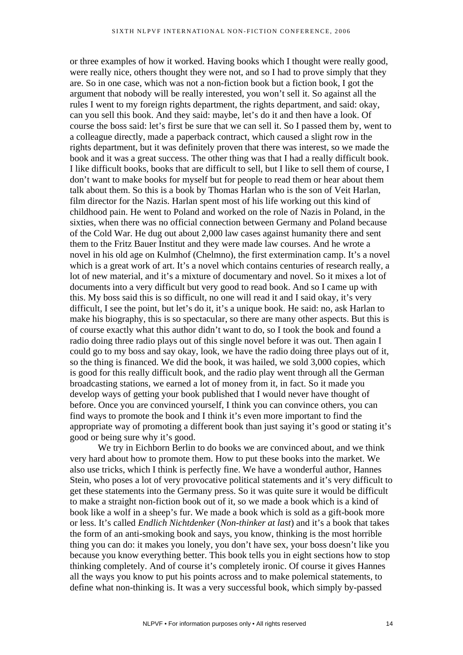or three examples of how it worked. Having books which I thought were really good, were really nice, others thought they were not, and so I had to prove simply that they are. So in one case, which was not a non-fiction book but a fiction book, I got the argument that nobody will be really interested, you won't sell it. So against all the rules I went to my foreign rights department, the rights department, and said: okay, can you sell this book. And they said: maybe, let's do it and then have a look. Of course the boss said: let's first be sure that we can sell it. So I passed them by, went to a colleague directly, made a paperback contract, which caused a slight row in the rights department, but it was definitely proven that there was interest, so we made the book and it was a great success. The other thing was that I had a really difficult book. I like difficult books, books that are difficult to sell, but I like to sell them of course, I don't want to make books for myself but for people to read them or hear about them talk about them. So this is a book by Thomas Harlan who is the son of Veit Harlan, film director for the Nazis. Harlan spent most of his life working out this kind of childhood pain. He went to Poland and worked on the role of Nazis in Poland, in the sixties, when there was no official connection between Germany and Poland because of the Cold War. He dug out about 2,000 law cases against humanity there and sent them to the Fritz Bauer Institut and they were made law courses. And he wrote a novel in his old age on Kulmhof (Chelmno), the first extermination camp. It's a novel which is a great work of art. It's a novel which contains centuries of research really, a lot of new material, and it's a mixture of documentary and novel. So it mixes a lot of documents into a very difficult but very good to read book. And so I came up with this. My boss said this is so difficult, no one will read it and I said okay, it's very difficult, I see the point, but let's do it, it's a unique book. He said: no, ask Harlan to make his biography, this is so spectacular, so there are many other aspects. But this is of course exactly what this author didn't want to do, so I took the book and found a radio doing three radio plays out of this single novel before it was out. Then again I could go to my boss and say okay, look, we have the radio doing three plays out of it, so the thing is financed. We did the book, it was hailed, we sold 3,000 copies, which is good for this really difficult book, and the radio play went through all the German broadcasting stations, we earned a lot of money from it, in fact. So it made you develop ways of getting your book published that I would never have thought of before. Once you are convinced yourself, I think you can convince others, you can find ways to promote the book and I think it's even more important to find the appropriate way of promoting a different book than just saying it's good or stating it's good or being sure why it's good.

We try in Eichborn Berlin to do books we are convinced about, and we think very hard about how to promote them. How to put these books into the market. We also use tricks, which I think is perfectly fine. We have a wonderful author, Hannes Stein, who poses a lot of very provocative political statements and it's very difficult to get these statements into the Germany press. So it was quite sure it would be difficult to make a straight non-fiction book out of it, so we made a book which is a kind of book like a wolf in a sheep's fur. We made a book which is sold as a gift-book more or less. It's called *Endlich Nichtdenker* (*Non-thinker at last*) and it's a book that takes the form of an anti-smoking book and says, you know, thinking is the most horrible thing you can do: it makes you lonely, you don't have sex, your boss doesn't like you because you know everything better. This book tells you in eight sections how to stop thinking completely. And of course it's completely ironic. Of course it gives Hannes all the ways you know to put his points across and to make polemical statements, to define what non-thinking is. It was a very successful book, which simply by-passed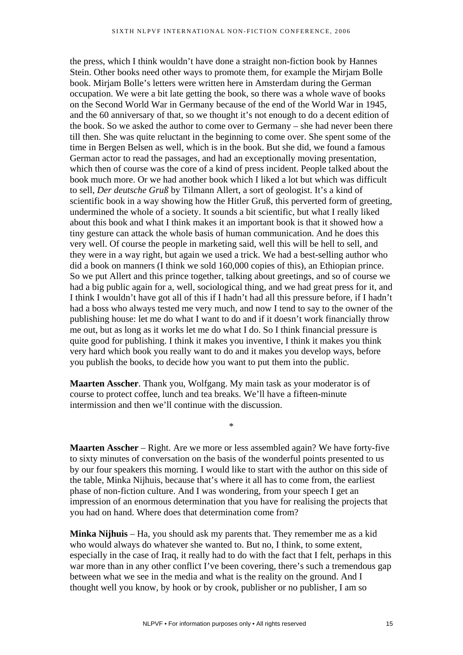the press, which I think wouldn't have done a straight non-fiction book by Hannes Stein. Other books need other ways to promote them, for example the Mirjam Bolle book. Mirjam Bolle's letters were written here in Amsterdam during the German occupation. We were a bit late getting the book, so there was a whole wave of books on the Second World War in Germany because of the end of the World War in 1945, and the 60 anniversary of that, so we thought it's not enough to do a decent edition of the book. So we asked the author to come over to Germany – she had never been there till then. She was quite reluctant in the beginning to come over. She spent some of the time in Bergen Belsen as well, which is in the book. But she did, we found a famous German actor to read the passages, and had an exceptionally moving presentation, which then of course was the core of a kind of press incident. People talked about the book much more. Or we had another book which I liked a lot but which was difficult to sell, *Der deutsche Gruß* by Tilmann Allert, a sort of geologist. It's a kind of scientific book in a way showing how the Hitler Gruß, this perverted form of greeting, undermined the whole of a society. It sounds a bit scientific, but what I really liked about this book and what I think makes it an important book is that it showed how a tiny gesture can attack the whole basis of human communication. And he does this very well. Of course the people in marketing said, well this will be hell to sell, and they were in a way right, but again we used a trick. We had a best-selling author who did a book on manners (I think we sold 160,000 copies of this), an Ethiopian prince. So we put Allert and this prince together, talking about greetings, and so of course we had a big public again for a, well, sociological thing, and we had great press for it, and I think I wouldn't have got all of this if I hadn't had all this pressure before, if I hadn't had a boss who always tested me very much, and now I tend to say to the owner of the publishing house: let me do what I want to do and if it doesn't work financially throw me out, but as long as it works let me do what I do. So I think financial pressure is quite good for publishing. I think it makes you inventive, I think it makes you think very hard which book you really want to do and it makes you develop ways, before you publish the books, to decide how you want to put them into the public.

**Maarten Asscher**. Thank you, Wolfgang. My main task as your moderator is of course to protect coffee, lunch and tea breaks. We'll have a fifteen-minute intermission and then we'll continue with the discussion.

**Maarten Asscher** – Right. Are we more or less assembled again? We have forty-five to sixty minutes of conversation on the basis of the wonderful points presented to us by our four speakers this morning. I would like to start with the author on this side of the table, Minka Nijhuis, because that's where it all has to come from, the earliest phase of non-fiction culture. And I was wondering, from your speech I get an impression of an enormous determination that you have for realising the projects that you had on hand. Where does that determination come from?

\*

**Minka Nijhuis** – Ha, you should ask my parents that. They remember me as a kid who would always do whatever she wanted to. But no, I think, to some extent, especially in the case of Iraq, it really had to do with the fact that I felt, perhaps in this war more than in any other conflict I've been covering, there's such a tremendous gap between what we see in the media and what is the reality on the ground. And I thought well you know, by hook or by crook, publisher or no publisher, I am so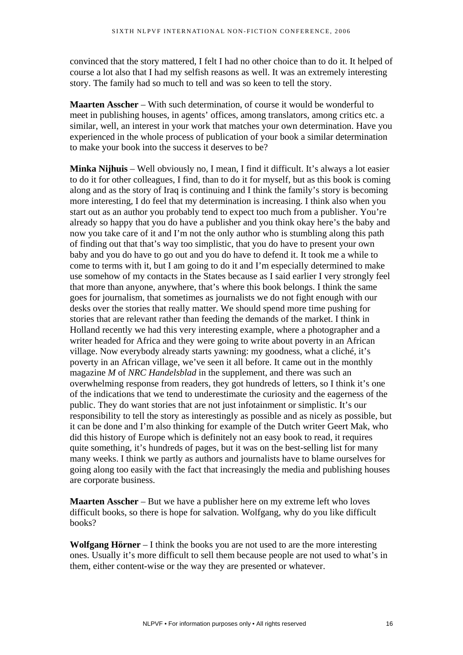convinced that the story mattered, I felt I had no other choice than to do it. It helped of course a lot also that I had my selfish reasons as well. It was an extremely interesting story. The family had so much to tell and was so keen to tell the story.

**Maarten Asscher** – With such determination, of course it would be wonderful to meet in publishing houses, in agents' offices, among translators, among critics etc. a similar, well, an interest in your work that matches your own determination. Have you experienced in the whole process of publication of your book a similar determination to make your book into the success it deserves to be?

**Minka Nijhuis** – Well obviously no, I mean, I find it difficult. It's always a lot easier to do it for other colleagues, I find, than to do it for myself, but as this book is coming along and as the story of Iraq is continuing and I think the family's story is becoming more interesting, I do feel that my determination is increasing. I think also when you start out as an author you probably tend to expect too much from a publisher. You're already so happy that you do have a publisher and you think okay here's the baby and now you take care of it and I'm not the only author who is stumbling along this path of finding out that that's way too simplistic, that you do have to present your own baby and you do have to go out and you do have to defend it. It took me a while to come to terms with it, but I am going to do it and I'm especially determined to make use somehow of my contacts in the States because as I said earlier I very strongly feel that more than anyone, anywhere, that's where this book belongs. I think the same goes for journalism, that sometimes as journalists we do not fight enough with our desks over the stories that really matter. We should spend more time pushing for stories that are relevant rather than feeding the demands of the market. I think in Holland recently we had this very interesting example, where a photographer and a writer headed for Africa and they were going to write about poverty in an African village. Now everybody already starts yawning: my goodness, what a cliché, it's poverty in an African village, we've seen it all before. It came out in the monthly magazine *M* of *NRC Handelsblad* in the supplement, and there was such an overwhelming response from readers, they got hundreds of letters, so I think it's one of the indications that we tend to underestimate the curiosity and the eagerness of the public. They do want stories that are not just infotainment or simplistic. It's our responsibility to tell the story as interestingly as possible and as nicely as possible, but it can be done and I'm also thinking for example of the Dutch writer Geert Mak, who did this history of Europe which is definitely not an easy book to read, it requires quite something, it's hundreds of pages, but it was on the best-selling list for many many weeks. I think we partly as authors and journalists have to blame ourselves for going along too easily with the fact that increasingly the media and publishing houses are corporate business.

**Maarten Asscher** – But we have a publisher here on my extreme left who loves difficult books, so there is hope for salvation. Wolfgang, why do you like difficult books?

**Wolfgang Hörner** – I think the books you are not used to are the more interesting ones. Usually it's more difficult to sell them because people are not used to what's in them, either content-wise or the way they are presented or whatever.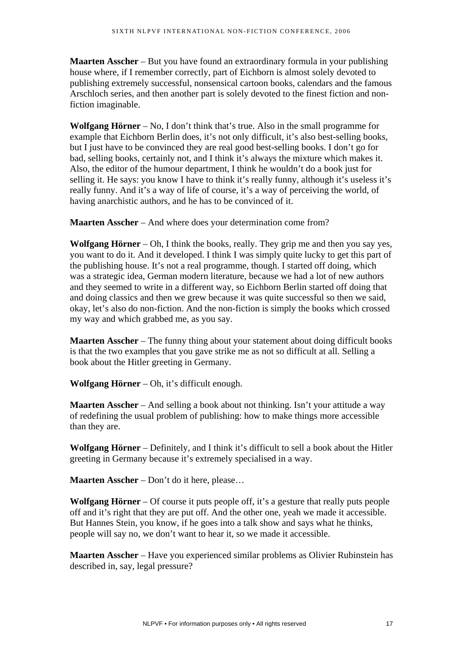**Maarten Asscher** – But you have found an extraordinary formula in your publishing house where, if I remember correctly, part of Eichborn is almost solely devoted to publishing extremely successful, nonsensical cartoon books, calendars and the famous Arschloch series, and then another part is solely devoted to the finest fiction and nonfiction imaginable.

**Wolfgang Hörner** – No, I don't think that's true. Also in the small programme for example that Eichborn Berlin does, it's not only difficult, it's also best-selling books, but I just have to be convinced they are real good best-selling books. I don't go for bad, selling books, certainly not, and I think it's always the mixture which makes it. Also, the editor of the humour department, I think he wouldn't do a book just for selling it. He says: you know I have to think it's really funny, although it's useless it's really funny. And it's a way of life of course, it's a way of perceiving the world, of having anarchistic authors, and he has to be convinced of it.

**Maarten Asscher** – And where does your determination come from?

**Wolfgang Hörner** – Oh, I think the books, really. They grip me and then you say yes, you want to do it. And it developed. I think I was simply quite lucky to get this part of the publishing house. It's not a real programme, though. I started off doing, which was a strategic idea, German modern literature, because we had a lot of new authors and they seemed to write in a different way, so Eichborn Berlin started off doing that and doing classics and then we grew because it was quite successful so then we said, okay, let's also do non-fiction. And the non-fiction is simply the books which crossed my way and which grabbed me, as you say.

**Maarten Asscher** – The funny thing about your statement about doing difficult books is that the two examples that you gave strike me as not so difficult at all. Selling a book about the Hitler greeting in Germany.

**Wolfgang Hörner** – Oh, it's difficult enough.

**Maarten Asscher** – And selling a book about not thinking. Isn't your attitude a way of redefining the usual problem of publishing: how to make things more accessible than they are.

**Wolfgang Hörner** – Definitely, and I think it's difficult to sell a book about the Hitler greeting in Germany because it's extremely specialised in a way.

**Maarten Asscher** – Don't do it here, please…

**Wolfgang Hörner** – Of course it puts people off, it's a gesture that really puts people off and it's right that they are put off. And the other one, yeah we made it accessible. But Hannes Stein, you know, if he goes into a talk show and says what he thinks, people will say no, we don't want to hear it, so we made it accessible.

**Maarten Asscher** – Have you experienced similar problems as Olivier Rubinstein has described in, say, legal pressure?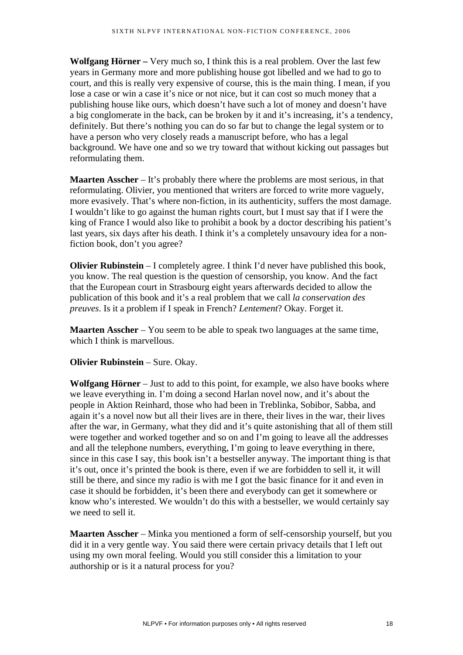**Wolfgang Hörner –** Very much so, I think this is a real problem. Over the last few years in Germany more and more publishing house got libelled and we had to go to court, and this is really very expensive of course, this is the main thing. I mean, if you lose a case or win a case it's nice or not nice, but it can cost so much money that a publishing house like ours, which doesn't have such a lot of money and doesn't have a big conglomerate in the back, can be broken by it and it's increasing, it's a tendency, definitely. But there's nothing you can do so far but to change the legal system or to have a person who very closely reads a manuscript before, who has a legal background. We have one and so we try toward that without kicking out passages but reformulating them.

**Maarten Asscher** – It's probably there where the problems are most serious, in that reformulating. Olivier, you mentioned that writers are forced to write more vaguely, more evasively. That's where non-fiction, in its authenticity, suffers the most damage. I wouldn't like to go against the human rights court, but I must say that if I were the king of France I would also like to prohibit a book by a doctor describing his patient's last years, six days after his death. I think it's a completely unsavoury idea for a nonfiction book, don't you agree?

**Olivier Rubinstein** – I completely agree. I think I'd never have published this book, you know. The real question is the question of censorship, you know. And the fact that the European court in Strasbourg eight years afterwards decided to allow the publication of this book and it's a real problem that we call *la conservation des preuves*. Is it a problem if I speak in French? *Lentement*? Okay. Forget it.

**Maarten Asscher** – You seem to be able to speak two languages at the same time, which I think is marvellous.

# **Olivier Rubinstein** – Sure. Okay.

**Wolfgang Hörner** – Just to add to this point, for example, we also have books where we leave everything in. I'm doing a second Harlan novel now, and it's about the people in Aktion Reinhard, those who had been in Treblinka, Sobibor, Sabba, and again it's a novel now but all their lives are in there, their lives in the war, their lives after the war, in Germany, what they did and it's quite astonishing that all of them still were together and worked together and so on and I'm going to leave all the addresses and all the telephone numbers, everything, I'm going to leave everything in there, since in this case I say, this book isn't a bestseller anyway. The important thing is that it's out, once it's printed the book is there, even if we are forbidden to sell it, it will still be there, and since my radio is with me I got the basic finance for it and even in case it should be forbidden, it's been there and everybody can get it somewhere or know who's interested. We wouldn't do this with a bestseller, we would certainly say we need to sell it.

**Maarten Asscher** – Minka you mentioned a form of self-censorship yourself, but you did it in a very gentle way. You said there were certain privacy details that I left out using my own moral feeling. Would you still consider this a limitation to your authorship or is it a natural process for you?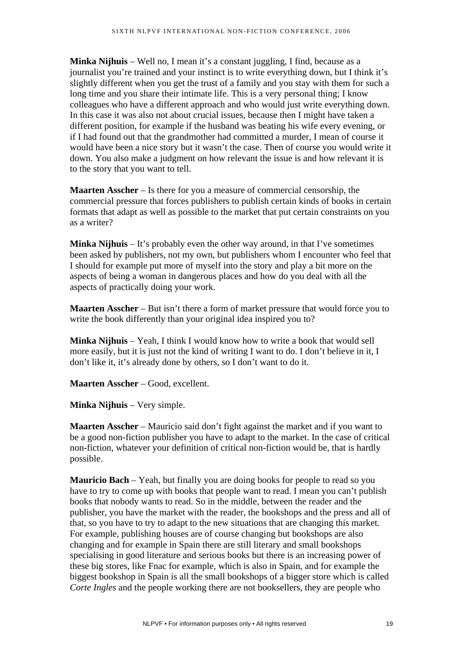**Minka Nijhuis** – Well no, I mean it's a constant juggling, I find, because as a journalist you're trained and your instinct is to write everything down, but I think it's slightly different when you get the trust of a family and you stay with them for such a long time and you share their intimate life. This is a very personal thing; I know colleagues who have a different approach and who would just write everything down. In this case it was also not about crucial issues, because then I might have taken a different position, for example if the husband was beating his wife every evening, or if I had found out that the grandmother had committed a murder, I mean of course it would have been a nice story but it wasn't the case. Then of course you would write it down. You also make a judgment on how relevant the issue is and how relevant it is to the story that you want to tell.

**Maarten Asscher** – Is there for you a measure of commercial censorship, the commercial pressure that forces publishers to publish certain kinds of books in certain formats that adapt as well as possible to the market that put certain constraints on you as a writer?

**Minka Nijhuis** – It's probably even the other way around, in that I've sometimes been asked by publishers, not my own, but publishers whom I encounter who feel that I should for example put more of myself into the story and play a bit more on the aspects of being a woman in dangerous places and how do you deal with all the aspects of practically doing your work.

**Maarten Asscher** – But isn't there a form of market pressure that would force you to write the book differently than your original idea inspired you to?

**Minka Nijhuis** – Yeah, I think I would know how to write a book that would sell more easily, but it is just not the kind of writing I want to do. I don't believe in it, I don't like it, it's already done by others, so I don't want to do it.

**Maarten Asscher** – Good, excellent.

**Minka Nijhuis** – Very simple.

**Maarten Asscher** – Mauricio said don't fight against the market and if you want to be a good non-fiction publisher you have to adapt to the market. In the case of critical non-fiction, whatever your definition of critical non-fiction would be, that is hardly possible.

**Mauricio Bach** – Yeah, but finally you are doing books for people to read so you have to try to come up with books that people want to read. I mean you can't publish books that nobody wants to read. So in the middle, between the reader and the publisher, you have the market with the reader, the bookshops and the press and all of that, so you have to try to adapt to the new situations that are changing this market. For example, publishing houses are of course changing but bookshops are also changing and for example in Spain there are still literary and small bookshops specialising in good literature and serious books but there is an increasing power of these big stores, like Fnac for example, which is also in Spain, and for example the biggest bookshop in Spain is all the small bookshops of a bigger store which is called *Corte Ingles* and the people working there are not booksellers, they are people who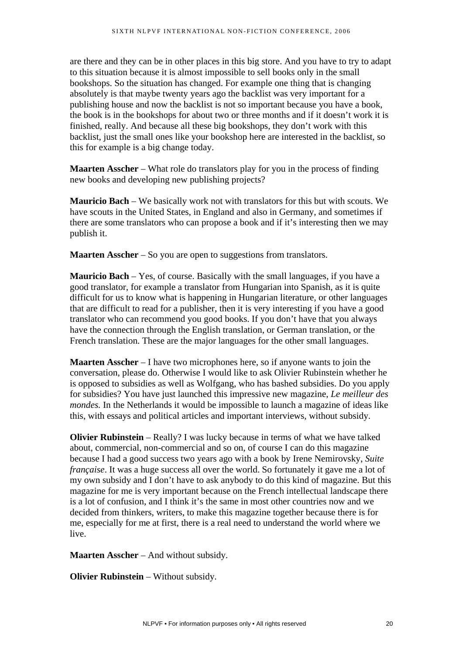are there and they can be in other places in this big store. And you have to try to adapt to this situation because it is almost impossible to sell books only in the small bookshops. So the situation has changed. For example one thing that is changing absolutely is that maybe twenty years ago the backlist was very important for a publishing house and now the backlist is not so important because you have a book, the book is in the bookshops for about two or three months and if it doesn't work it is finished, really. And because all these big bookshops, they don't work with this backlist, just the small ones like your bookshop here are interested in the backlist, so this for example is a big change today.

**Maarten Asscher** – What role do translators play for you in the process of finding new books and developing new publishing projects?

**Mauricio Bach** – We basically work not with translators for this but with scouts. We have scouts in the United States, in England and also in Germany, and sometimes if there are some translators who can propose a book and if it's interesting then we may publish it.

**Maarten Asscher** – So you are open to suggestions from translators.

**Mauricio Bach** – Yes, of course. Basically with the small languages, if you have a good translator, for example a translator from Hungarian into Spanish, as it is quite difficult for us to know what is happening in Hungarian literature, or other languages that are difficult to read for a publisher, then it is very interesting if you have a good translator who can recommend you good books. If you don't have that you always have the connection through the English translation, or German translation, or the French translation. These are the major languages for the other small languages.

**Maarten Asscher** – I have two microphones here, so if anyone wants to join the conversation, please do. Otherwise I would like to ask Olivier Rubinstein whether he is opposed to subsidies as well as Wolfgang, who has bashed subsidies. Do you apply for subsidies? You have just launched this impressive new magazine, *Le meilleur des mondes.* In the Netherlands it would be impossible to launch a magazine of ideas like this, with essays and political articles and important interviews, without subsidy.

**Olivier Rubinstein** – Really? I was lucky because in terms of what we have talked about, commercial, non-commercial and so on, of course I can do this magazine because I had a good success two years ago with a book by Irene Nemirovsky, *Suite française*. It was a huge success all over the world. So fortunately it gave me a lot of my own subsidy and I don't have to ask anybody to do this kind of magazine. But this magazine for me is very important because on the French intellectual landscape there is a lot of confusion, and I think it's the same in most other countries now and we decided from thinkers, writers, to make this magazine together because there is for me, especially for me at first, there is a real need to understand the world where we live.

**Maarten Asscher** – And without subsidy.

**Olivier Rubinstein** – Without subsidy.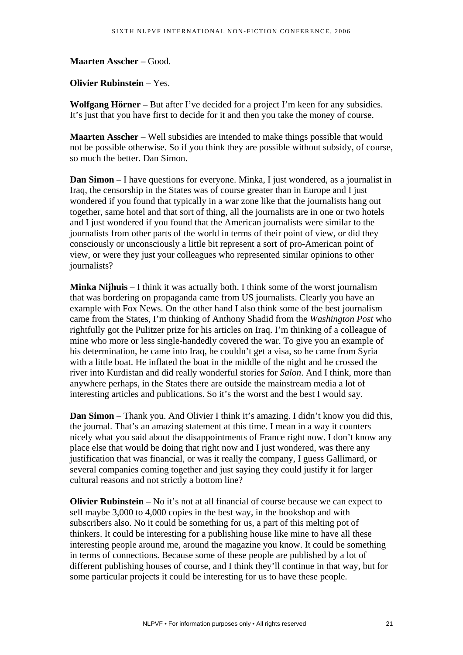**Maarten Asscher** – Good.

**Olivier Rubinstein** – Yes.

**Wolfgang Hörner** – But after I've decided for a project I'm keen for any subsidies. It's just that you have first to decide for it and then you take the money of course.

**Maarten Asscher** – Well subsidies are intended to make things possible that would not be possible otherwise. So if you think they are possible without subsidy, of course, so much the better. Dan Simon.

**Dan Simon** – I have questions for everyone. Minka, I just wondered, as a journalist in Iraq, the censorship in the States was of course greater than in Europe and I just wondered if you found that typically in a war zone like that the journalists hang out together, same hotel and that sort of thing, all the journalists are in one or two hotels and I just wondered if you found that the American journalists were similar to the journalists from other parts of the world in terms of their point of view, or did they consciously or unconsciously a little bit represent a sort of pro-American point of view, or were they just your colleagues who represented similar opinions to other journalists?

**Minka Nijhuis** – I think it was actually both. I think some of the worst journalism that was bordering on propaganda came from US journalists. Clearly you have an example with Fox News. On the other hand I also think some of the best journalism came from the States, I'm thinking of Anthony Shadid from the *Washington Post* who rightfully got the Pulitzer prize for his articles on Iraq. I'm thinking of a colleague of mine who more or less single-handedly covered the war. To give you an example of his determination, he came into Iraq, he couldn't get a visa, so he came from Syria with a little boat. He inflated the boat in the middle of the night and he crossed the river into Kurdistan and did really wonderful stories for *Salon*. And I think, more than anywhere perhaps, in the States there are outside the mainstream media a lot of interesting articles and publications. So it's the worst and the best I would say.

**Dan Simon** – Thank you. And Olivier I think it's amazing. I didn't know you did this, the journal. That's an amazing statement at this time. I mean in a way it counters nicely what you said about the disappointments of France right now. I don't know any place else that would be doing that right now and I just wondered, was there any justification that was financial, or was it really the company, I guess Gallimard, or several companies coming together and just saying they could justify it for larger cultural reasons and not strictly a bottom line?

**Olivier Rubinstein** – No it's not at all financial of course because we can expect to sell maybe 3,000 to 4,000 copies in the best way, in the bookshop and with subscribers also. No it could be something for us, a part of this melting pot of thinkers. It could be interesting for a publishing house like mine to have all these interesting people around me, around the magazine you know. It could be something in terms of connections. Because some of these people are published by a lot of different publishing houses of course, and I think they'll continue in that way, but for some particular projects it could be interesting for us to have these people.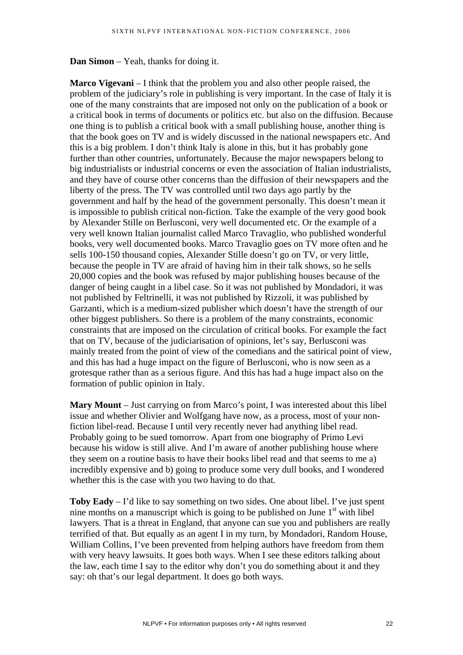**Dan Simon** – Yeah, thanks for doing it.

**Marco Vigevani** – I think that the problem you and also other people raised, the problem of the judiciary's role in publishing is very important. In the case of Italy it is one of the many constraints that are imposed not only on the publication of a book or a critical book in terms of documents or politics etc. but also on the diffusion. Because one thing is to publish a critical book with a small publishing house, another thing is that the book goes on TV and is widely discussed in the national newspapers etc. And this is a big problem. I don't think Italy is alone in this, but it has probably gone further than other countries, unfortunately. Because the major newspapers belong to big industrialists or industrial concerns or even the association of Italian industrialists, and they have of course other concerns than the diffusion of their newspapers and the liberty of the press. The TV was controlled until two days ago partly by the government and half by the head of the government personally. This doesn't mean it is impossible to publish critical non-fiction. Take the example of the very good book by Alexander Stille on Berlusconi, very well documented etc. Or the example of a very well known Italian journalist called Marco Travaglio, who published wonderful books, very well documented books. Marco Travaglio goes on TV more often and he sells 100-150 thousand copies, Alexander Stille doesn't go on TV, or very little, because the people in TV are afraid of having him in their talk shows, so he sells 20,000 copies and the book was refused by major publishing houses because of the danger of being caught in a libel case. So it was not published by Mondadori, it was not published by Feltrinelli, it was not published by Rizzoli, it was published by Garzanti, which is a medium-sized publisher which doesn't have the strength of our other biggest publishers. So there is a problem of the many constraints, economic constraints that are imposed on the circulation of critical books. For example the fact that on TV, because of the judiciarisation of opinions, let's say, Berlusconi was mainly treated from the point of view of the comedians and the satirical point of view, and this has had a huge impact on the figure of Berlusconi, who is now seen as a grotesque rather than as a serious figure. And this has had a huge impact also on the formation of public opinion in Italy.

**Mary Mount** – Just carrying on from Marco's point, I was interested about this libel issue and whether Olivier and Wolfgang have now, as a process, most of your nonfiction libel-read. Because I until very recently never had anything libel read. Probably going to be sued tomorrow. Apart from one biography of Primo Levi because his widow is still alive. And I'm aware of another publishing house where they seem on a routine basis to have their books libel read and that seems to me a) incredibly expensive and b) going to produce some very dull books, and I wondered whether this is the case with you two having to do that.

**Toby Eady** – I'd like to say something on two sides. One about libel. I've just spent nine months on a manuscript which is going to be published on June  $1<sup>st</sup>$  with libel lawyers. That is a threat in England, that anyone can sue you and publishers are really terrified of that. But equally as an agent I in my turn, by Mondadori, Random House, William Collins, I've been prevented from helping authors have freedom from them with very heavy lawsuits. It goes both ways. When I see these editors talking about the law, each time I say to the editor why don't you do something about it and they say: oh that's our legal department. It does go both ways.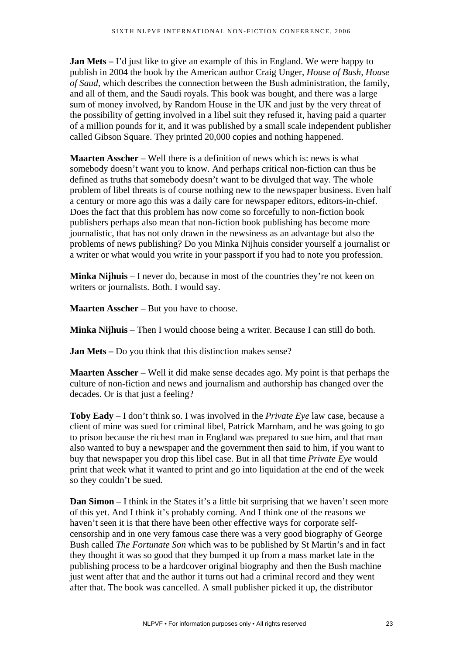**Jan Mets** – I'd just like to give an example of this in England. We were happy to publish in 2004 the book by the American author Craig Unger, *House of Bush, House of Saud*, which describes the connection between the Bush administration, the family, and all of them, and the Saudi royals. This book was bought, and there was a large sum of money involved, by Random House in the UK and just by the very threat of the possibility of getting involved in a libel suit they refused it, having paid a quarter of a million pounds for it, and it was published by a small scale independent publisher called Gibson Square. They printed 20,000 copies and nothing happened.

**Maarten Asscher** – Well there is a definition of news which is: news is what somebody doesn't want you to know. And perhaps critical non-fiction can thus be defined as truths that somebody doesn't want to be divulged that way. The whole problem of libel threats is of course nothing new to the newspaper business. Even half a century or more ago this was a daily care for newspaper editors, editors-in-chief. Does the fact that this problem has now come so forcefully to non-fiction book publishers perhaps also mean that non-fiction book publishing has become more journalistic, that has not only drawn in the newsiness as an advantage but also the problems of news publishing? Do you Minka Nijhuis consider yourself a journalist or a writer or what would you write in your passport if you had to note you profession.

**Minka Nijhuis** – I never do, because in most of the countries they're not keen on writers or journalists. Both. I would say.

**Maarten Asscher** – But you have to choose.

**Minka Nijhuis** – Then I would choose being a writer. Because I can still do both.

**Jan Mets** – Do you think that this distinction makes sense?

**Maarten Asscher** – Well it did make sense decades ago. My point is that perhaps the culture of non-fiction and news and journalism and authorship has changed over the decades. Or is that just a feeling?

**Toby Eady** – I don't think so. I was involved in the *Private Eye* law case, because a client of mine was sued for criminal libel, Patrick Marnham, and he was going to go to prison because the richest man in England was prepared to sue him, and that man also wanted to buy a newspaper and the government then said to him, if you want to buy that newspaper you drop this libel case. But in all that time *Private Eye* would print that week what it wanted to print and go into liquidation at the end of the week so they couldn't be sued.

**Dan Simon** – I think in the States it's a little bit surprising that we haven't seen more of this yet. And I think it's probably coming. And I think one of the reasons we haven't seen it is that there have been other effective ways for corporate selfcensorship and in one very famous case there was a very good biography of George Bush called *The Fortunate Son* which was to be published by St Martin's and in fact they thought it was so good that they bumped it up from a mass market late in the publishing process to be a hardcover original biography and then the Bush machine just went after that and the author it turns out had a criminal record and they went after that. The book was cancelled. A small publisher picked it up, the distributor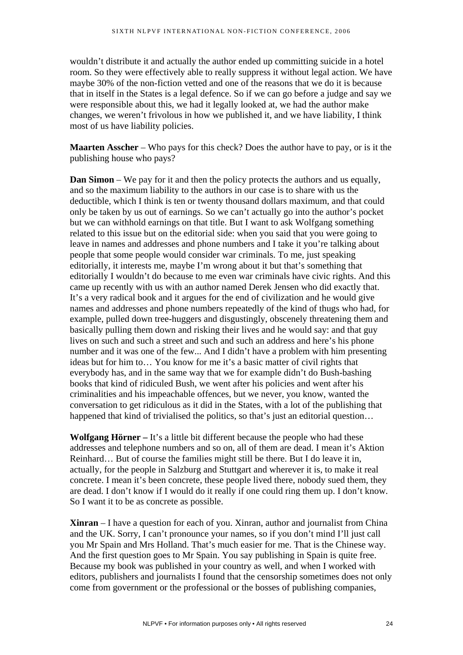wouldn't distribute it and actually the author ended up committing suicide in a hotel room. So they were effectively able to really suppress it without legal action. We have maybe 30% of the non-fiction vetted and one of the reasons that we do it is because that in itself in the States is a legal defence. So if we can go before a judge and say we were responsible about this, we had it legally looked at, we had the author make changes, we weren't frivolous in how we published it, and we have liability, I think most of us have liability policies.

**Maarten Asscher** – Who pays for this check? Does the author have to pay, or is it the publishing house who pays?

**Dan Simon** – We pay for it and then the policy protects the authors and us equally, and so the maximum liability to the authors in our case is to share with us the deductible, which I think is ten or twenty thousand dollars maximum, and that could only be taken by us out of earnings. So we can't actually go into the author's pocket but we can withhold earnings on that title. But I want to ask Wolfgang something related to this issue but on the editorial side: when you said that you were going to leave in names and addresses and phone numbers and I take it you're talking about people that some people would consider war criminals. To me, just speaking editorially, it interests me, maybe I'm wrong about it but that's something that editorially I wouldn't do because to me even war criminals have civic rights. And this came up recently with us with an author named Derek Jensen who did exactly that. It's a very radical book and it argues for the end of civilization and he would give names and addresses and phone numbers repeatedly of the kind of thugs who had, for example, pulled down tree-huggers and disgustingly, obscenely threatening them and basically pulling them down and risking their lives and he would say: and that guy lives on such and such a street and such and such an address and here's his phone number and it was one of the few... And I didn't have a problem with him presenting ideas but for him to… You know for me it's a basic matter of civil rights that everybody has, and in the same way that we for example didn't do Bush-bashing books that kind of ridiculed Bush, we went after his policies and went after his criminalities and his impeachable offences, but we never, you know, wanted the conversation to get ridiculous as it did in the States, with a lot of the publishing that happened that kind of trivialised the politics, so that's just an editorial question...

**Wolfgang Hörner –** It's a little bit different because the people who had these addresses and telephone numbers and so on, all of them are dead. I mean it's Aktion Reinhard… But of course the families might still be there. But I do leave it in, actually, for the people in Salzburg and Stuttgart and wherever it is, to make it real concrete. I mean it's been concrete, these people lived there, nobody sued them, they are dead. I don't know if I would do it really if one could ring them up. I don't know. So I want it to be as concrete as possible.

**Xinran** – I have a question for each of you. Xinran, author and journalist from China and the UK. Sorry, I can't pronounce your names, so if you don't mind I'll just call you Mr Spain and Mrs Holland. That's much easier for me. That is the Chinese way. And the first question goes to Mr Spain. You say publishing in Spain is quite free. Because my book was published in your country as well, and when I worked with editors, publishers and journalists I found that the censorship sometimes does not only come from government or the professional or the bosses of publishing companies,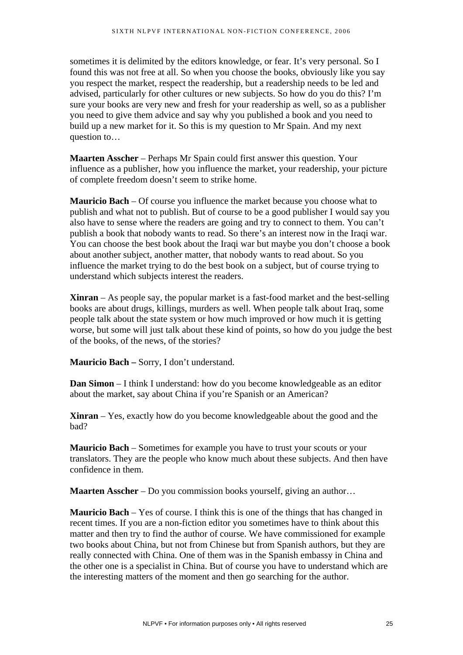sometimes it is delimited by the editors knowledge, or fear. It's very personal. So I found this was not free at all. So when you choose the books, obviously like you say you respect the market, respect the readership, but a readership needs to be led and advised, particularly for other cultures or new subjects. So how do you do this? I'm sure your books are very new and fresh for your readership as well, so as a publisher you need to give them advice and say why you published a book and you need to build up a new market for it. So this is my question to Mr Spain. And my next question to…

**Maarten Asscher** – Perhaps Mr Spain could first answer this question. Your influence as a publisher, how you influence the market, your readership, your picture of complete freedom doesn't seem to strike home.

**Mauricio Bach** – Of course you influence the market because you choose what to publish and what not to publish. But of course to be a good publisher I would say you also have to sense where the readers are going and try to connect to them. You can't publish a book that nobody wants to read. So there's an interest now in the Iraqi war. You can choose the best book about the Iraqi war but maybe you don't choose a book about another subject, another matter, that nobody wants to read about. So you influence the market trying to do the best book on a subject, but of course trying to understand which subjects interest the readers.

**Xinran** – As people say, the popular market is a fast-food market and the best-selling books are about drugs, killings, murders as well. When people talk about Iraq, some people talk about the state system or how much improved or how much it is getting worse, but some will just talk about these kind of points, so how do you judge the best of the books, of the news, of the stories?

**Mauricio Bach –** Sorry, I don't understand.

**Dan Simon** – I think I understand: how do you become knowledgeable as an editor about the market, say about China if you're Spanish or an American?

**Xinran** – Yes, exactly how do you become knowledgeable about the good and the bad?

**Mauricio Bach** – Sometimes for example you have to trust your scouts or your translators. They are the people who know much about these subjects. And then have confidence in them.

**Maarten Asscher** – Do you commission books yourself, giving an author…

**Mauricio Bach** – Yes of course. I think this is one of the things that has changed in recent times. If you are a non-fiction editor you sometimes have to think about this matter and then try to find the author of course. We have commissioned for example two books about China, but not from Chinese but from Spanish authors, but they are really connected with China. One of them was in the Spanish embassy in China and the other one is a specialist in China. But of course you have to understand which are the interesting matters of the moment and then go searching for the author.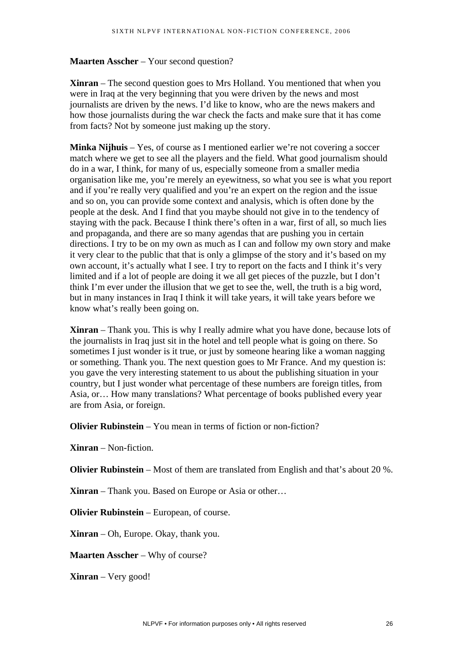## **Maarten Asscher** – Your second question?

**Xinran** – The second question goes to Mrs Holland. You mentioned that when you were in Iraq at the very beginning that you were driven by the news and most journalists are driven by the news. I'd like to know, who are the news makers and how those journalists during the war check the facts and make sure that it has come from facts? Not by someone just making up the story.

**Minka Nijhuis** – Yes, of course as I mentioned earlier we're not covering a soccer match where we get to see all the players and the field. What good journalism should do in a war, I think, for many of us, especially someone from a smaller media organisation like me, you're merely an eyewitness, so what you see is what you report and if you're really very qualified and you're an expert on the region and the issue and so on, you can provide some context and analysis, which is often done by the people at the desk. And I find that you maybe should not give in to the tendency of staying with the pack. Because I think there's often in a war, first of all, so much lies and propaganda, and there are so many agendas that are pushing you in certain directions. I try to be on my own as much as I can and follow my own story and make it very clear to the public that that is only a glimpse of the story and it's based on my own account, it's actually what I see. I try to report on the facts and I think it's very limited and if a lot of people are doing it we all get pieces of the puzzle, but I don't think I'm ever under the illusion that we get to see the, well, the truth is a big word, but in many instances in Iraq I think it will take years, it will take years before we know what's really been going on.

**Xinran** – Thank you. This is why I really admire what you have done, because lots of the journalists in Iraq just sit in the hotel and tell people what is going on there. So sometimes I just wonder is it true, or just by someone hearing like a woman nagging or something. Thank you. The next question goes to Mr France. And my question is: you gave the very interesting statement to us about the publishing situation in your country, but I just wonder what percentage of these numbers are foreign titles, from Asia, or… How many translations? What percentage of books published every year are from Asia, or foreign.

**Olivier Rubinstein** – You mean in terms of fiction or non-fiction?

**Xinran** – Non-fiction.

**Olivier Rubinstein** – Most of them are translated from English and that's about 20 %.

**Xinran** – Thank you. Based on Europe or Asia or other…

**Olivier Rubinstein** – European, of course.

**Xinran** – Oh, Europe. Okay, thank you.

**Maarten Asscher** – Why of course?

**Xinran** – Very good!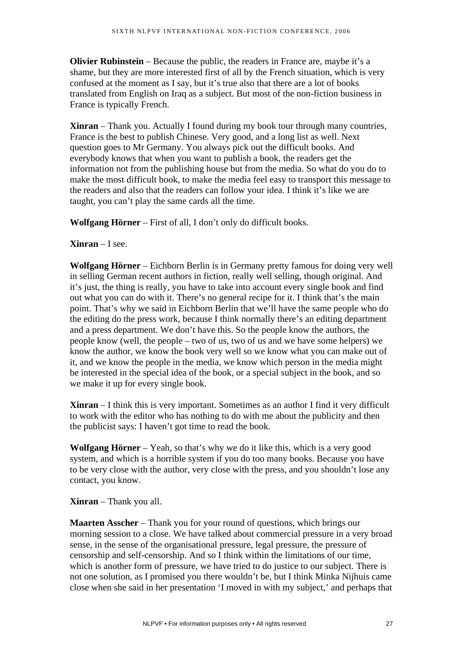**Olivier Rubinstein** – Because the public, the readers in France are, maybe it's a shame, but they are more interested first of all by the French situation, which is very confused at the moment as I say, but it's true also that there are a lot of books translated from English on Iraq as a subject. But most of the non-fiction business in France is typically French.

**Xinran** – Thank you. Actually I found during my book tour through many countries, France is the best to publish Chinese. Very good, and a long list as well. Next question goes to Mr Germany. You always pick out the difficult books. And everybody knows that when you want to publish a book, the readers get the information not from the publishing house but from the media. So what do you do to make the most difficult book, to make the media feel easy to transport this message to the readers and also that the readers can follow your idea. I think it's like we are taught, you can't play the same cards all the time.

**Wolfgang Hörner** – First of all, I don't only do difficult books.

## **Xinran** – I see.

**Wolfgang Hörner** – Eichborn Berlin is in Germany pretty famous for doing very well in selling German recent authors in fiction, really well selling, though original. And it's just, the thing is really, you have to take into account every single book and find out what you can do with it. There's no general recipe for it. I think that's the main point. That's why we said in Eichborn Berlin that we'll have the same people who do the editing do the press work, because I think normally there's an editing department and a press department. We don't have this. So the people know the authors, the people know (well, the people – two of us, two of us and we have some helpers) we know the author, we know the book very well so we know what you can make out of it, and we know the people in the media, we know which person in the media might be interested in the special idea of the book, or a special subject in the book, and so we make it up for every single book.

**Xinran** – I think this is very important. Sometimes as an author I find it very difficult to work with the editor who has nothing to do with me about the publicity and then the publicist says: I haven't got time to read the book.

**Wolfgang Hörner** – Yeah, so that's why we do it like this, which is a very good system, and which is a horrible system if you do too many books. Because you have to be very close with the author, very close with the press, and you shouldn't lose any contact, you know.

### **Xinran** – Thank you all.

**Maarten Asscher** – Thank you for your round of questions, which brings our morning session to a close. We have talked about commercial pressure in a very broad sense, in the sense of the organisational pressure, legal pressure, the pressure of censorship and self-censorship. And so I think within the limitations of our time, which is another form of pressure, we have tried to do justice to our subject. There is not one solution, as I promised you there wouldn't be, but I think Minka Nijhuis came close when she said in her presentation 'I moved in with my subject,' and perhaps that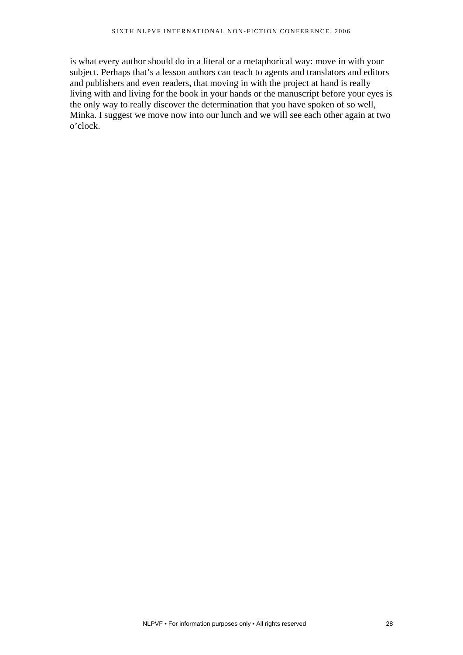is what every author should do in a literal or a metaphorical way: move in with your subject. Perhaps that's a lesson authors can teach to agents and translators and editors and publishers and even readers, that moving in with the project at hand is really living with and living for the book in your hands or the manuscript before your eyes is the only way to really discover the determination that you have spoken of so well, Minka. I suggest we move now into our lunch and we will see each other again at two o'clock.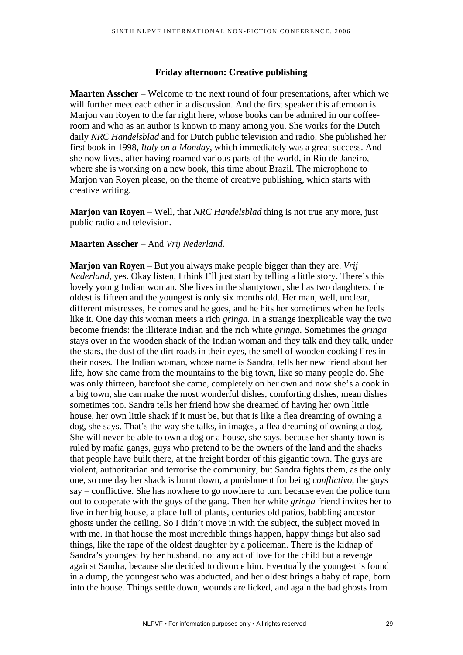#### **Friday afternoon: Creative publishing**

**Maarten Asscher** – Welcome to the next round of four presentations, after which we will further meet each other in a discussion. And the first speaker this afternoon is Marjon van Royen to the far right here, whose books can be admired in our coffeeroom and who as an author is known to many among you. She works for the Dutch daily *NRC Handelsblad* and for Dutch public television and radio. She published her first book in 1998, *Italy on a Monday*, which immediately was a great success. And she now lives, after having roamed various parts of the world, in Rio de Janeiro, where she is working on a new book, this time about Brazil. The microphone to Marjon van Royen please, on the theme of creative publishing, which starts with creative writing.

**Marjon van Royen** – Well, that *NRC Handelsblad* thing is not true any more, just public radio and television.

#### **Maarten Asscher** – And *Vrij Nederland.*

**Marjon van Royen** – But you always make people bigger than they are. *Vrij Nederland*, yes. Okay listen, I think I'll just start by telling a little story. There's this lovely young Indian woman. She lives in the shantytown, she has two daughters, the oldest is fifteen and the youngest is only six months old. Her man, well, unclear, different mistresses, he comes and he goes, and he hits her sometimes when he feels like it. One day this woman meets a rich *gringa.* In a strange inexplicable way the two become friends: the illiterate Indian and the rich white *gringa*. Sometimes the *gringa* stays over in the wooden shack of the Indian woman and they talk and they talk, under the stars, the dust of the dirt roads in their eyes, the smell of wooden cooking fires in their noses. The Indian woman, whose name is Sandra, tells her new friend about her life, how she came from the mountains to the big town, like so many people do. She was only thirteen, barefoot she came, completely on her own and now she's a cook in a big town, she can make the most wonderful dishes, comforting dishes, mean dishes sometimes too. Sandra tells her friend how she dreamed of having her own little house, her own little shack if it must be, but that is like a flea dreaming of owning a dog, she says. That's the way she talks, in images, a flea dreaming of owning a dog. She will never be able to own a dog or a house, she says, because her shanty town is ruled by mafia gangs, guys who pretend to be the owners of the land and the shacks that people have built there, at the freight border of this gigantic town. The guys are violent, authoritarian and terrorise the community, but Sandra fights them, as the only one, so one day her shack is burnt down, a punishment for being *conflictivo*, the guys say – conflictive. She has nowhere to go nowhere to turn because even the police turn out to cooperate with the guys of the gang. Then her white *gringa* friend invites her to live in her big house, a place full of plants, centuries old patios, babbling ancestor ghosts under the ceiling. So I didn't move in with the subject, the subject moved in with me. In that house the most incredible things happen, happy things but also sad things, like the rape of the oldest daughter by a policeman. There is the kidnap of Sandra's youngest by her husband, not any act of love for the child but a revenge against Sandra, because she decided to divorce him. Eventually the youngest is found in a dump, the youngest who was abducted, and her oldest brings a baby of rape, born into the house. Things settle down, wounds are licked, and again the bad ghosts from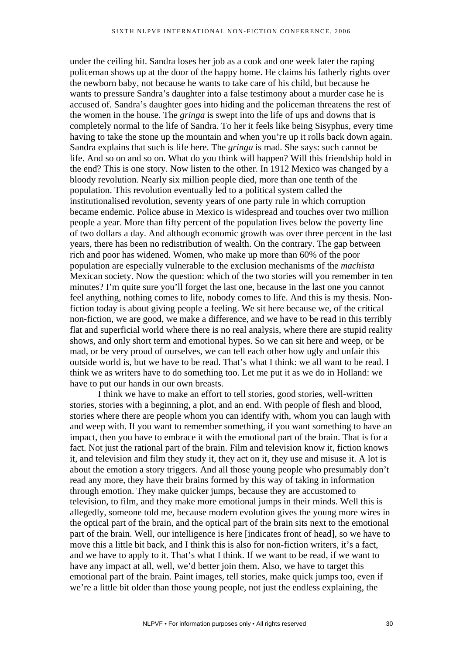under the ceiling hit. Sandra loses her job as a cook and one week later the raping policeman shows up at the door of the happy home. He claims his fatherly rights over the newborn baby, not because he wants to take care of his child, but because he wants to pressure Sandra's daughter into a false testimony about a murder case he is accused of. Sandra's daughter goes into hiding and the policeman threatens the rest of the women in the house. The *gringa* is swept into the life of ups and downs that is completely normal to the life of Sandra. To her it feels like being Sisyphus, every time having to take the stone up the mountain and when you're up it rolls back down again. Sandra explains that such is life here. The *gringa* is mad. She says: such cannot be life. And so on and so on. What do you think will happen? Will this friendship hold in the end? This is one story. Now listen to the other. In 1912 Mexico was changed by a bloody revolution. Nearly six million people died, more than one tenth of the population. This revolution eventually led to a political system called the institutionalised revolution, seventy years of one party rule in which corruption became endemic. Police abuse in Mexico is widespread and touches over two million people a year. More than fifty percent of the population lives below the poverty line of two dollars a day. And although economic growth was over three percent in the last years, there has been no redistribution of wealth. On the contrary. The gap between rich and poor has widened. Women, who make up more than 60% of the poor population are especially vulnerable to the exclusion mechanisms of the *machista* Mexican society. Now the question: which of the two stories will you remember in ten minutes? I'm quite sure you'll forget the last one, because in the last one you cannot feel anything, nothing comes to life, nobody comes to life. And this is my thesis. Nonfiction today is about giving people a feeling. We sit here because we, of the critical non-fiction, we are good, we make a difference, and we have to be read in this terribly flat and superficial world where there is no real analysis, where there are stupid reality shows, and only short term and emotional hypes. So we can sit here and weep, or be mad, or be very proud of ourselves, we can tell each other how ugly and unfair this outside world is, but we have to be read. That's what I think: we all want to be read. I think we as writers have to do something too. Let me put it as we do in Holland: we have to put our hands in our own breasts.

I think we have to make an effort to tell stories, good stories, well-written stories, stories with a beginning, a plot, and an end. With people of flesh and blood, stories where there are people whom you can identify with, whom you can laugh with and weep with. If you want to remember something, if you want something to have an impact, then you have to embrace it with the emotional part of the brain. That is for a fact. Not just the rational part of the brain. Film and television know it, fiction knows it, and television and film they study it, they act on it, they use and misuse it. A lot is about the emotion a story triggers. And all those young people who presumably don't read any more, they have their brains formed by this way of taking in information through emotion. They make quicker jumps, because they are accustomed to television, to film, and they make more emotional jumps in their minds. Well this is allegedly, someone told me, because modern evolution gives the young more wires in the optical part of the brain, and the optical part of the brain sits next to the emotional part of the brain. Well, our intelligence is here [indicates front of head], so we have to move this a little bit back, and I think this is also for non-fiction writers, it's a fact, and we have to apply to it. That's what I think. If we want to be read, if we want to have any impact at all, well, we'd better join them. Also, we have to target this emotional part of the brain. Paint images, tell stories, make quick jumps too, even if we're a little bit older than those young people, not just the endless explaining, the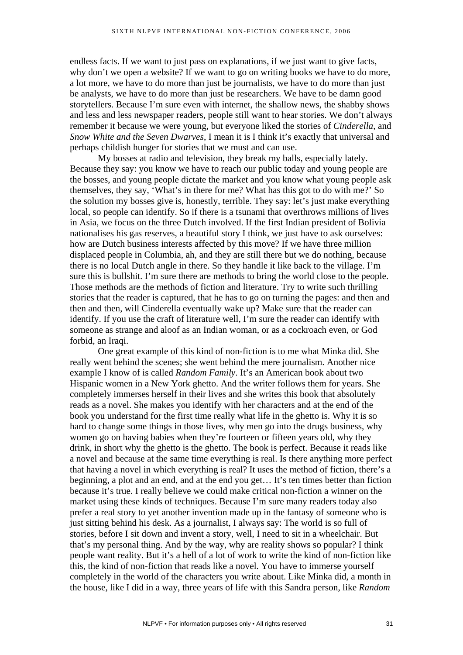endless facts. If we want to just pass on explanations, if we just want to give facts, why don't we open a website? If we want to go on writing books we have to do more, a lot more, we have to do more than just be journalists, we have to do more than just be analysts, we have to do more than just be researchers. We have to be damn good storytellers. Because I'm sure even with internet, the shallow news, the shabby shows and less and less newspaper readers, people still want to hear stories. We don't always remember it because we were young, but everyone liked the stories of *Cinderella*, and *Snow White and the Seven Dwarves*, I mean it is I think it's exactly that universal and perhaps childish hunger for stories that we must and can use.

My bosses at radio and television, they break my balls, especially lately. Because they say: you know we have to reach our public today and young people are the bosses, and young people dictate the market and you know what young people ask themselves, they say, 'What's in there for me? What has this got to do with me?' So the solution my bosses give is, honestly, terrible. They say: let's just make everything local, so people can identify. So if there is a tsunami that overthrows millions of lives in Asia, we focus on the three Dutch involved. If the first Indian president of Bolivia nationalises his gas reserves, a beautiful story I think, we just have to ask ourselves: how are Dutch business interests affected by this move? If we have three million displaced people in Columbia, ah, and they are still there but we do nothing, because there is no local Dutch angle in there. So they handle it like back to the village. I'm sure this is bullshit. I'm sure there are methods to bring the world close to the people. Those methods are the methods of fiction and literature. Try to write such thrilling stories that the reader is captured, that he has to go on turning the pages: and then and then and then, will Cinderella eventually wake up? Make sure that the reader can identify. If you use the craft of literature well, I'm sure the reader can identify with someone as strange and aloof as an Indian woman, or as a cockroach even, or God forbid, an Iraqi.

One great example of this kind of non-fiction is to me what Minka did. She really went behind the scenes; she went behind the mere journalism. Another nice example I know of is called *Random Family*. It's an American book about two Hispanic women in a New York ghetto. And the writer follows them for years. She completely immerses herself in their lives and she writes this book that absolutely reads as a novel. She makes you identify with her characters and at the end of the book you understand for the first time really what life in the ghetto is. Why it is so hard to change some things in those lives, why men go into the drugs business, why women go on having babies when they're fourteen or fifteen years old, why they drink, in short why the ghetto is the ghetto. The book is perfect. Because it reads like a novel and because at the same time everything is real. Is there anything more perfect that having a novel in which everything is real? It uses the method of fiction, there's a beginning, a plot and an end, and at the end you get… It's ten times better than fiction because it's true. I really believe we could make critical non-fiction a winner on the market using these kinds of techniques. Because I'm sure many readers today also prefer a real story to yet another invention made up in the fantasy of someone who is just sitting behind his desk. As a journalist, I always say: The world is so full of stories, before I sit down and invent a story, well, I need to sit in a wheelchair. But that's my personal thing. And by the way, why are reality shows so popular? I think people want reality. But it's a hell of a lot of work to write the kind of non-fiction like this, the kind of non-fiction that reads like a novel. You have to immerse yourself completely in the world of the characters you write about. Like Minka did, a month in the house, like I did in a way, three years of life with this Sandra person, like *Random*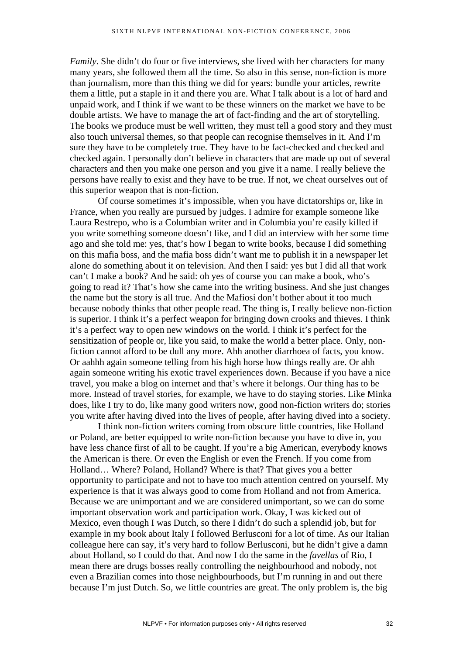*Family*. She didn't do four or five interviews, she lived with her characters for many many years, she followed them all the time. So also in this sense, non-fiction is more than journalism, more than this thing we did for years: bundle your articles, rewrite them a little, put a staple in it and there you are. What I talk about is a lot of hard and unpaid work, and I think if we want to be these winners on the market we have to be double artists. We have to manage the art of fact-finding and the art of storytelling. The books we produce must be well written, they must tell a good story and they must also touch universal themes, so that people can recognise themselves in it. And I'm sure they have to be completely true. They have to be fact-checked and checked and checked again. I personally don't believe in characters that are made up out of several characters and then you make one person and you give it a name. I really believe the persons have really to exist and they have to be true. If not, we cheat ourselves out of this superior weapon that is non-fiction.

Of course sometimes it's impossible, when you have dictatorships or, like in France, when you really are pursued by judges. I admire for example someone like Laura Restrepo, who is a Columbian writer and in Columbia you're easily killed if you write something someone doesn't like, and I did an interview with her some time ago and she told me: yes, that's how I began to write books, because I did something on this mafia boss, and the mafia boss didn't want me to publish it in a newspaper let alone do something about it on television. And then I said: yes but I did all that work can't I make a book? And he said: oh yes of course you can make a book, who's going to read it? That's how she came into the writing business. And she just changes the name but the story is all true. And the Mafiosi don't bother about it too much because nobody thinks that other people read. The thing is, I really believe non-fiction is superior. I think it's a perfect weapon for bringing down crooks and thieves. I think it's a perfect way to open new windows on the world. I think it's perfect for the sensitization of people or, like you said, to make the world a better place. Only, nonfiction cannot afford to be dull any more. Ahh another diarrhoea of facts, you know. Or aahhh again someone telling from his high horse how things really are. Or ahh again someone writing his exotic travel experiences down. Because if you have a nice travel, you make a blog on internet and that's where it belongs. Our thing has to be more. Instead of travel stories, for example, we have to do staying stories. Like Minka does, like I try to do, like many good writers now, good non-fiction writers do; stories you write after having dived into the lives of people, after having dived into a society.

I think non-fiction writers coming from obscure little countries, like Holland or Poland, are better equipped to write non-fiction because you have to dive in, you have less chance first of all to be caught. If you're a big American, everybody knows the American is there. Or even the English or even the French. If you come from Holland… Where? Poland, Holland? Where is that? That gives you a better opportunity to participate and not to have too much attention centred on yourself. My experience is that it was always good to come from Holland and not from America. Because we are unimportant and we are considered unimportant, so we can do some important observation work and participation work. Okay, I was kicked out of Mexico, even though I was Dutch, so there I didn't do such a splendid job, but for example in my book about Italy I followed Berlusconi for a lot of time. As our Italian colleague here can say, it's very hard to follow Berlusconi, but he didn't give a damn about Holland, so I could do that. And now I do the same in the *favellas* of Rio, I mean there are drugs bosses really controlling the neighbourhood and nobody, not even a Brazilian comes into those neighbourhoods, but I'm running in and out there because I'm just Dutch. So, we little countries are great. The only problem is, the big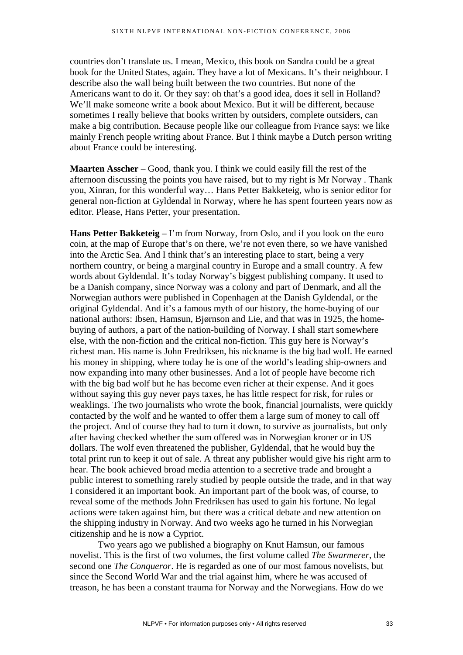countries don't translate us. I mean, Mexico, this book on Sandra could be a great book for the United States, again. They have a lot of Mexicans. It's their neighbour. I describe also the wall being built between the two countries. But none of the Americans want to do it. Or they say: oh that's a good idea, does it sell in Holland? We'll make someone write a book about Mexico. But it will be different, because sometimes I really believe that books written by outsiders, complete outsiders, can make a big contribution. Because people like our colleague from France says: we like mainly French people writing about France. But I think maybe a Dutch person writing about France could be interesting.

**Maarten Asscher** – Good, thank you. I think we could easily fill the rest of the afternoon discussing the points you have raised, but to my right is Mr Norway . Thank you, Xinran, for this wonderful way… Hans Petter Bakketeig, who is senior editor for general non-fiction at Gyldendal in Norway, where he has spent fourteen years now as editor. Please, Hans Petter, your presentation.

**Hans Petter Bakketeig** – I'm from Norway, from Oslo, and if you look on the euro coin, at the map of Europe that's on there, we're not even there, so we have vanished into the Arctic Sea. And I think that's an interesting place to start, being a very northern country, or being a marginal country in Europe and a small country. A few words about Gyldendal. It's today Norway's biggest publishing company. It used to be a Danish company, since Norway was a colony and part of Denmark, and all the Norwegian authors were published in Copenhagen at the Danish Gyldendal, or the original Gyldendal. And it's a famous myth of our history, the home-buying of our national authors: Ibsen, Hamsun, Bjørnson and Lie, and that was in 1925, the homebuying of authors, a part of the nation-building of Norway. I shall start somewhere else, with the non-fiction and the critical non-fiction. This guy here is Norway's richest man. His name is John Fredriksen, his nickname is the big bad wolf. He earned his money in shipping, where today he is one of the world's leading ship-owners and now expanding into many other businesses. And a lot of people have become rich with the big bad wolf but he has become even richer at their expense. And it goes without saying this guy never pays taxes, he has little respect for risk, for rules or weaklings. The two journalists who wrote the book, financial journalists, were quickly contacted by the wolf and he wanted to offer them a large sum of money to call off the project. And of course they had to turn it down, to survive as journalists, but only after having checked whether the sum offered was in Norwegian kroner or in US dollars. The wolf even threatened the publisher, Gyldendal, that he would buy the total print run to keep it out of sale. A threat any publisher would give his right arm to hear. The book achieved broad media attention to a secretive trade and brought a public interest to something rarely studied by people outside the trade, and in that way I considered it an important book. An important part of the book was, of course, to reveal some of the methods John Fredriksen has used to gain his fortune. No legal actions were taken against him, but there was a critical debate and new attention on the shipping industry in Norway. And two weeks ago he turned in his Norwegian citizenship and he is now a Cypriot.

Two years ago we published a biography on Knut Hamsun, our famous novelist. This is the first of two volumes, the first volume called *The Swarmerer*, the second one *The Conqueror*. He is regarded as one of our most famous novelists, but since the Second World War and the trial against him, where he was accused of treason, he has been a constant trauma for Norway and the Norwegians. How do we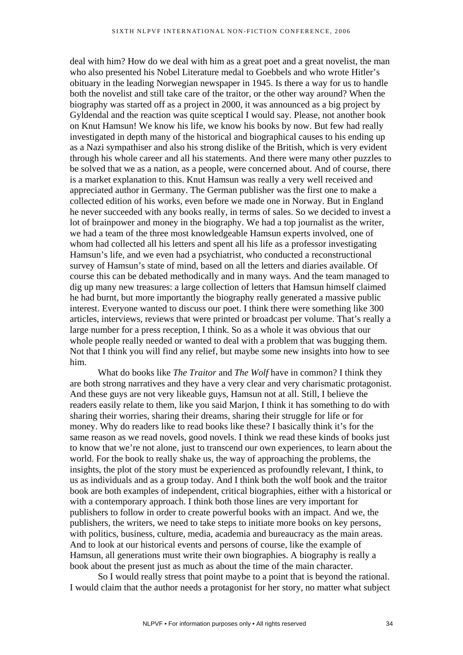deal with him? How do we deal with him as a great poet and a great novelist, the man who also presented his Nobel Literature medal to Goebbels and who wrote Hitler's obituary in the leading Norwegian newspaper in 1945. Is there a way for us to handle both the novelist and still take care of the traitor, or the other way around? When the biography was started off as a project in 2000, it was announced as a big project by Gyldendal and the reaction was quite sceptical I would say. Please, not another book on Knut Hamsun! We know his life, we know his books by now. But few had really investigated in depth many of the historical and biographical causes to his ending up as a Nazi sympathiser and also his strong dislike of the British, which is very evident through his whole career and all his statements. And there were many other puzzles to be solved that we as a nation, as a people, were concerned about. And of course, there is a market explanation to this. Knut Hamsun was really a very well received and appreciated author in Germany. The German publisher was the first one to make a collected edition of his works, even before we made one in Norway. But in England he never succeeded with any books really, in terms of sales. So we decided to invest a lot of brainpower and money in the biography. We had a top journalist as the writer, we had a team of the three most knowledgeable Hamsun experts involved, one of whom had collected all his letters and spent all his life as a professor investigating Hamsun's life, and we even had a psychiatrist, who conducted a reconstructional survey of Hamsun's state of mind, based on all the letters and diaries available. Of course this can be debated methodically and in many ways. And the team managed to dig up many new treasures: a large collection of letters that Hamsun himself claimed he had burnt, but more importantly the biography really generated a massive public interest. Everyone wanted to discuss our poet. I think there were something like 300 articles, interviews, reviews that were printed or broadcast per volume. That's really a large number for a press reception, I think. So as a whole it was obvious that our whole people really needed or wanted to deal with a problem that was bugging them. Not that I think you will find any relief, but maybe some new insights into how to see him.

What do books like *The Traitor* and *The Wolf* have in common? I think they are both strong narratives and they have a very clear and very charismatic protagonist. And these guys are not very likeable guys, Hamsun not at all. Still, I believe the readers easily relate to them, like you said Marjon, I think it has something to do with sharing their worries, sharing their dreams, sharing their struggle for life or for money. Why do readers like to read books like these? I basically think it's for the same reason as we read novels, good novels. I think we read these kinds of books just to know that we're not alone, just to transcend our own experiences, to learn about the world. For the book to really shake us, the way of approaching the problems, the insights, the plot of the story must be experienced as profoundly relevant, I think, to us as individuals and as a group today. And I think both the wolf book and the traitor book are both examples of independent, critical biographies, either with a historical or with a contemporary approach. I think both those lines are very important for publishers to follow in order to create powerful books with an impact. And we, the publishers, the writers, we need to take steps to initiate more books on key persons, with politics, business, culture, media, academia and bureaucracy as the main areas. And to look at our historical events and persons of course, like the example of Hamsun, all generations must write their own biographies. A biography is really a book about the present just as much as about the time of the main character.

So I would really stress that point maybe to a point that is beyond the rational. I would claim that the author needs a protagonist for her story, no matter what subject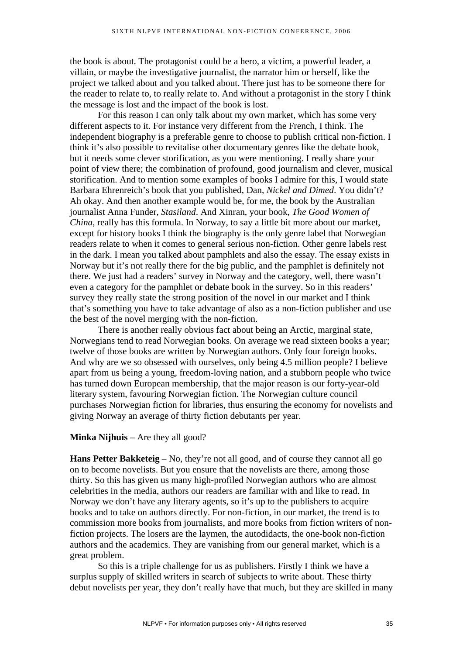the book is about. The protagonist could be a hero, a victim, a powerful leader, a villain, or maybe the investigative journalist, the narrator him or herself, like the project we talked about and you talked about. There just has to be someone there for the reader to relate to, to really relate to. And without a protagonist in the story I think the message is lost and the impact of the book is lost.

For this reason I can only talk about my own market, which has some very different aspects to it. For instance very different from the French, I think. The independent biography is a preferable genre to choose to publish critical non-fiction. I think it's also possible to revitalise other documentary genres like the debate book, but it needs some clever storification, as you were mentioning. I really share your point of view there; the combination of profound, good journalism and clever, musical storification. And to mention some examples of books I admire for this, I would state Barbara Ehrenreich's book that you published, Dan, *Nickel and Dimed*. You didn't? Ah okay. And then another example would be, for me, the book by the Australian journalist Anna Funder, *Stasiland*. And Xinran, your book, *The Good Women of China*, really has this formula. In Norway, to say a little bit more about our market, except for history books I think the biography is the only genre label that Norwegian readers relate to when it comes to general serious non-fiction. Other genre labels rest in the dark. I mean you talked about pamphlets and also the essay. The essay exists in Norway but it's not really there for the big public, and the pamphlet is definitely not there. We just had a readers' survey in Norway and the category, well, there wasn't even a category for the pamphlet or debate book in the survey. So in this readers' survey they really state the strong position of the novel in our market and I think that's something you have to take advantage of also as a non-fiction publisher and use the best of the novel merging with the non-fiction.

There is another really obvious fact about being an Arctic, marginal state, Norwegians tend to read Norwegian books. On average we read sixteen books a year; twelve of those books are written by Norwegian authors. Only four foreign books. And why are we so obsessed with ourselves, only being 4.5 million people? I believe apart from us being a young, freedom-loving nation, and a stubborn people who twice has turned down European membership, that the major reason is our forty-year-old literary system, favouring Norwegian fiction. The Norwegian culture council purchases Norwegian fiction for libraries, thus ensuring the economy for novelists and giving Norway an average of thirty fiction debutants per year.

**Minka Nijhuis** – Are they all good?

**Hans Petter Bakketeig** – No, they're not all good, and of course they cannot all go on to become novelists. But you ensure that the novelists are there, among those thirty. So this has given us many high-profiled Norwegian authors who are almost celebrities in the media, authors our readers are familiar with and like to read. In Norway we don't have any literary agents, so it's up to the publishers to acquire books and to take on authors directly. For non-fiction, in our market, the trend is to commission more books from journalists, and more books from fiction writers of nonfiction projects. The losers are the laymen, the autodidacts, the one-book non-fiction authors and the academics. They are vanishing from our general market, which is a great problem.

So this is a triple challenge for us as publishers. Firstly I think we have a surplus supply of skilled writers in search of subjects to write about. These thirty debut novelists per year, they don't really have that much, but they are skilled in many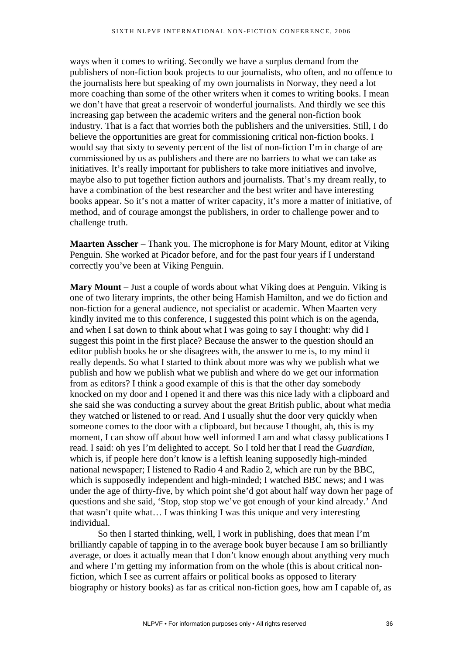ways when it comes to writing. Secondly we have a surplus demand from the publishers of non-fiction book projects to our journalists, who often, and no offence to the journalists here but speaking of my own journalists in Norway, they need a lot more coaching than some of the other writers when it comes to writing books. I mean we don't have that great a reservoir of wonderful journalists. And thirdly we see this increasing gap between the academic writers and the general non-fiction book industry. That is a fact that worries both the publishers and the universities. Still, I do believe the opportunities are great for commissioning critical non-fiction books. I would say that sixty to seventy percent of the list of non-fiction I'm in charge of are commissioned by us as publishers and there are no barriers to what we can take as initiatives. It's really important for publishers to take more initiatives and involve, maybe also to put together fiction authors and journalists. That's my dream really, to have a combination of the best researcher and the best writer and have interesting books appear. So it's not a matter of writer capacity, it's more a matter of initiative, of method, and of courage amongst the publishers, in order to challenge power and to challenge truth.

**Maarten Asscher** – Thank you. The microphone is for Mary Mount, editor at Viking Penguin. She worked at Picador before, and for the past four years if I understand correctly you've been at Viking Penguin.

**Mary Mount** – Just a couple of words about what Viking does at Penguin. Viking is one of two literary imprints, the other being Hamish Hamilton, and we do fiction and non-fiction for a general audience, not specialist or academic. When Maarten very kindly invited me to this conference, I suggested this point which is on the agenda, and when I sat down to think about what I was going to say I thought: why did I suggest this point in the first place? Because the answer to the question should an editor publish books he or she disagrees with, the answer to me is, to my mind it really depends. So what I started to think about more was why we publish what we publish and how we publish what we publish and where do we get our information from as editors? I think a good example of this is that the other day somebody knocked on my door and I opened it and there was this nice lady with a clipboard and she said she was conducting a survey about the great British public, about what media they watched or listened to or read. And I usually shut the door very quickly when someone comes to the door with a clipboard, but because I thought, ah, this is my moment, I can show off about how well informed I am and what classy publications I read. I said: oh yes I'm delighted to accept. So I told her that I read the *Guardian*, which is, if people here don't know is a leftish leaning supposedly high-minded national newspaper; I listened to Radio 4 and Radio 2, which are run by the BBC, which is supposedly independent and high-minded; I watched BBC news; and I was under the age of thirty-five, by which point she'd got about half way down her page of questions and she said, 'Stop, stop stop we've got enough of your kind already.' And that wasn't quite what… I was thinking I was this unique and very interesting individual.

So then I started thinking, well, I work in publishing, does that mean I'm brilliantly capable of tapping in to the average book buyer because I am so brilliantly average, or does it actually mean that I don't know enough about anything very much and where I'm getting my information from on the whole (this is about critical nonfiction, which I see as current affairs or political books as opposed to literary biography or history books) as far as critical non-fiction goes, how am I capable of, as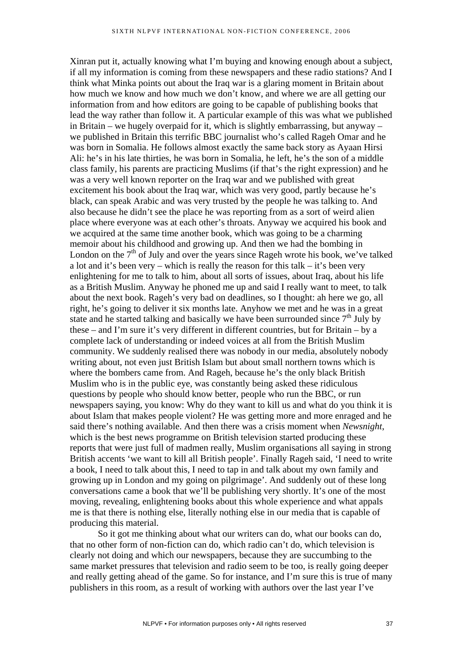Xinran put it, actually knowing what I'm buying and knowing enough about a subject, if all my information is coming from these newspapers and these radio stations? And I think what Minka points out about the Iraq war is a glaring moment in Britain about how much we know and how much we don't know, and where we are all getting our information from and how editors are going to be capable of publishing books that lead the way rather than follow it. A particular example of this was what we published in Britain – we hugely overpaid for it, which is slightly embarrassing, but anyway – we published in Britain this terrific BBC journalist who's called Rageh Omar and he was born in Somalia. He follows almost exactly the same back story as Ayaan Hirsi Ali: he's in his late thirties, he was born in Somalia, he left, he's the son of a middle class family, his parents are practicing Muslims (if that's the right expression) and he was a very well known reporter on the Iraq war and we published with great excitement his book about the Iraq war, which was very good, partly because he's black, can speak Arabic and was very trusted by the people he was talking to. And also because he didn't see the place he was reporting from as a sort of weird alien place where everyone was at each other's throats. Anyway we acquired his book and we acquired at the same time another book, which was going to be a charming memoir about his childhood and growing up. And then we had the bombing in London on the  $7<sup>th</sup>$  of July and over the years since Rageh wrote his book, we've talked a lot and it's been very – which is really the reason for this talk – it's been very enlightening for me to talk to him, about all sorts of issues, about Iraq, about his life as a British Muslim. Anyway he phoned me up and said I really want to meet, to talk about the next book. Rageh's very bad on deadlines, so I thought: ah here we go, all right, he's going to deliver it six months late. Anyhow we met and he was in a great state and he started talking and basically we have been surrounded since  $7<sup>th</sup>$  July by these – and I'm sure it's very different in different countries, but for Britain – by a complete lack of understanding or indeed voices at all from the British Muslim community. We suddenly realised there was nobody in our media, absolutely nobody writing about, not even just British Islam but about small northern towns which is where the bombers came from. And Rageh, because he's the only black British Muslim who is in the public eye, was constantly being asked these ridiculous questions by people who should know better, people who run the BBC, or run newspapers saying, you know: Why do they want to kill us and what do you think it is about Islam that makes people violent? He was getting more and more enraged and he said there's nothing available. And then there was a crisis moment when *Newsnight*, which is the best news programme on British television started producing these reports that were just full of madmen really, Muslim organisations all saying in strong British accents 'we want to kill all British people'. Finally Rageh said, 'I need to write a book, I need to talk about this, I need to tap in and talk about my own family and growing up in London and my going on pilgrimage'. And suddenly out of these long conversations came a book that we'll be publishing very shortly. It's one of the most moving, revealing, enlightening books about this whole experience and what appals me is that there is nothing else, literally nothing else in our media that is capable of producing this material.

So it got me thinking about what our writers can do, what our books can do, that no other form of non-fiction can do, which radio can't do, which television is clearly not doing and which our newspapers, because they are succumbing to the same market pressures that television and radio seem to be too, is really going deeper and really getting ahead of the game. So for instance, and I'm sure this is true of many publishers in this room, as a result of working with authors over the last year I've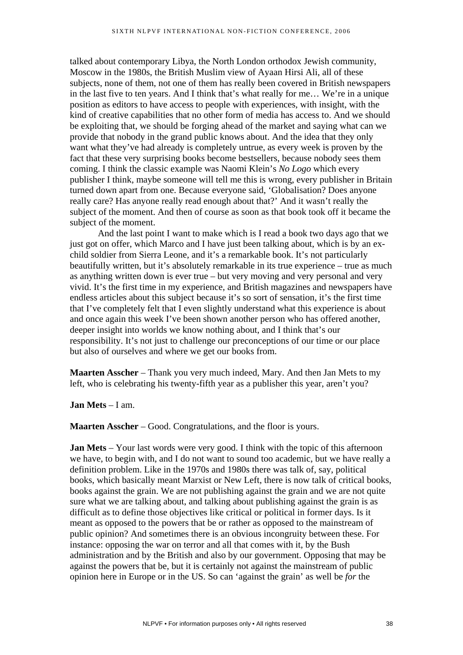talked about contemporary Libya, the North London orthodox Jewish community, Moscow in the 1980s, the British Muslim view of Ayaan Hirsi Ali, all of these subjects, none of them, not one of them has really been covered in British newspapers in the last five to ten years. And I think that's what really for me… We're in a unique position as editors to have access to people with experiences, with insight, with the kind of creative capabilities that no other form of media has access to. And we should be exploiting that, we should be forging ahead of the market and saying what can we provide that nobody in the grand public knows about. And the idea that they only want what they've had already is completely untrue, as every week is proven by the fact that these very surprising books become bestsellers, because nobody sees them coming. I think the classic example was Naomi Klein's *No Logo* which every publisher I think, maybe someone will tell me this is wrong, every publisher in Britain turned down apart from one. Because everyone said, 'Globalisation? Does anyone really care? Has anyone really read enough about that?' And it wasn't really the subject of the moment. And then of course as soon as that book took off it became the subject of the moment.

And the last point I want to make which is I read a book two days ago that we just got on offer, which Marco and I have just been talking about, which is by an exchild soldier from Sierra Leone, and it's a remarkable book. It's not particularly beautifully written, but it's absolutely remarkable in its true experience – true as much as anything written down is ever true – but very moving and very personal and very vivid. It's the first time in my experience, and British magazines and newspapers have endless articles about this subject because it's so sort of sensation, it's the first time that I've completely felt that I even slightly understand what this experience is about and once again this week I've been shown another person who has offered another, deeper insight into worlds we know nothing about, and I think that's our responsibility. It's not just to challenge our preconceptions of our time or our place but also of ourselves and where we get our books from.

**Maarten Asscher** – Thank you very much indeed, Mary. And then Jan Mets to my left, who is celebrating his twenty-fifth year as a publisher this year, aren't you?

### **Jan Mets** – I am.

**Maarten Asscher** – Good. Congratulations, and the floor is yours.

**Jan Mets** – Your last words were very good. I think with the topic of this afternoon we have, to begin with, and I do not want to sound too academic, but we have really a definition problem. Like in the 1970s and 1980s there was talk of, say, political books, which basically meant Marxist or New Left, there is now talk of critical books, books against the grain. We are not publishing against the grain and we are not quite sure what we are talking about, and talking about publishing against the grain is as difficult as to define those objectives like critical or political in former days. Is it meant as opposed to the powers that be or rather as opposed to the mainstream of public opinion? And sometimes there is an obvious incongruity between these. For instance: opposing the war on terror and all that comes with it, by the Bush administration and by the British and also by our government. Opposing that may be against the powers that be, but it is certainly not against the mainstream of public opinion here in Europe or in the US. So can 'against the grain' as well be *for* the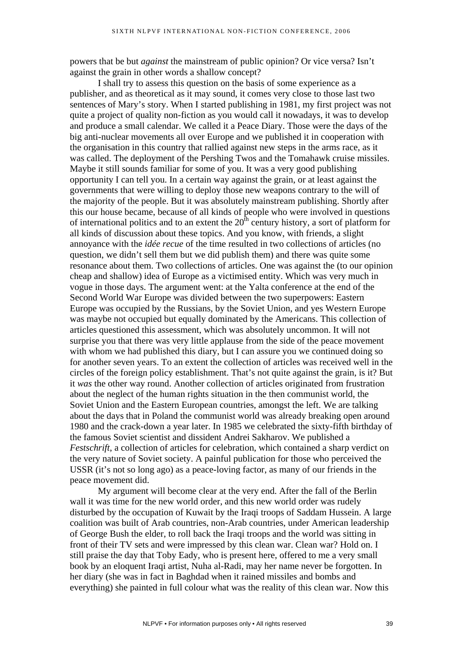powers that be but *against* the mainstream of public opinion? Or vice versa? Isn't against the grain in other words a shallow concept?

I shall try to assess this question on the basis of some experience as a publisher, and as theoretical as it may sound, it comes very close to those last two sentences of Mary's story. When I started publishing in 1981, my first project was not quite a project of quality non-fiction as you would call it nowadays, it was to develop and produce a small calendar. We called it a Peace Diary. Those were the days of the big anti-nuclear movements all over Europe and we published it in cooperation with the organisation in this country that rallied against new steps in the arms race, as it was called. The deployment of the Pershing Twos and the Tomahawk cruise missiles. Maybe it still sounds familiar for some of you. It was a very good publishing opportunity I can tell you. In a certain way against the grain, or at least against the governments that were willing to deploy those new weapons contrary to the will of the majority of the people. But it was absolutely mainstream publishing. Shortly after this our house became, because of all kinds of people who were involved in questions of international politics and to an extent the  $20<sup>th</sup>$  century history, a sort of platform for all kinds of discussion about these topics. And you know, with friends, a slight annoyance with the *idée recue* of the time resulted in two collections of articles (no question, we didn't sell them but we did publish them) and there was quite some resonance about them. Two collections of articles. One was against the (to our opinion cheap and shallow) idea of Europe as a victimised entity. Which was very much in vogue in those days. The argument went: at the Yalta conference at the end of the Second World War Europe was divided between the two superpowers: Eastern Europe was occupied by the Russians, by the Soviet Union, and yes Western Europe was maybe not occupied but equally dominated by the Americans. This collection of articles questioned this assessment, which was absolutely uncommon. It will not surprise you that there was very little applause from the side of the peace movement with whom we had published this diary, but I can assure you we continued doing so for another seven years. To an extent the collection of articles was received well in the circles of the foreign policy establishment. That's not quite against the grain, is it? But it *was* the other way round. Another collection of articles originated from frustration about the neglect of the human rights situation in the then communist world, the Soviet Union and the Eastern European countries, amongst the left. We are talking about the days that in Poland the communist world was already breaking open around 1980 and the crack-down a year later. In 1985 we celebrated the sixty-fifth birthday of the famous Soviet scientist and dissident Andrei Sakharov. We published a *Festschrift*, a collection of articles for celebration, which contained a sharp verdict on the very nature of Soviet society. A painful publication for those who perceived the USSR (it's not so long ago) as a peace-loving factor, as many of our friends in the peace movement did.

My argument will become clear at the very end. After the fall of the Berlin wall it was time for the new world order, and this new world order was rudely disturbed by the occupation of Kuwait by the Iraqi troops of Saddam Hussein. A large coalition was built of Arab countries, non-Arab countries, under American leadership of George Bush the elder, to roll back the Iraqi troops and the world was sitting in front of their TV sets and were impressed by this clean war. Clean war? Hold on. I still praise the day that Toby Eady, who is present here, offered to me a very small book by an eloquent Iraqi artist, Nuha al-Radi, may her name never be forgotten. In her diary (she was in fact in Baghdad when it rained missiles and bombs and everything) she painted in full colour what was the reality of this clean war. Now this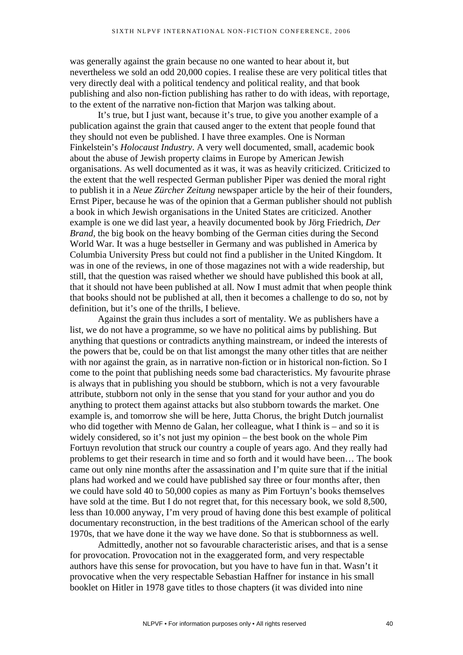was generally against the grain because no one wanted to hear about it, but nevertheless we sold an odd 20,000 copies. I realise these are very political titles that very directly deal with a political tendency and political reality, and that book publishing and also non-fiction publishing has rather to do with ideas, with reportage, to the extent of the narrative non-fiction that Marjon was talking about.

It's true, but I just want, because it's true, to give you another example of a publication against the grain that caused anger to the extent that people found that they should not even be published. I have three examples. One is Norman Finkelstein's *Holocaust Industry*. A very well documented, small, academic book about the abuse of Jewish property claims in Europe by American Jewish organisations. As well documented as it was, it was as heavily criticized. Criticized to the extent that the well respected German publisher Piper was denied the moral right to publish it in a *Neue Zürcher Zeitung* newspaper article by the heir of their founders, Ernst Piper, because he was of the opinion that a German publisher should not publish a book in which Jewish organisations in the United States are criticized. Another example is one we did last year, a heavily documented book by Jörg Friedrich, *Der Brand,* the big book on the heavy bombing of the German cities during the Second World War. It was a huge bestseller in Germany and was published in America by Columbia University Press but could not find a publisher in the United Kingdom. It was in one of the reviews, in one of those magazines not with a wide readership, but still, that the question was raised whether we should have published this book at all, that it should not have been published at all. Now I must admit that when people think that books should not be published at all, then it becomes a challenge to do so, not by definition, but it's one of the thrills, I believe.

Against the grain thus includes a sort of mentality. We as publishers have a list, we do not have a programme, so we have no political aims by publishing. But anything that questions or contradicts anything mainstream, or indeed the interests of the powers that be, could be on that list amongst the many other titles that are neither with nor against the grain, as in narrative non-fiction or in historical non-fiction. So I come to the point that publishing needs some bad characteristics. My favourite phrase is always that in publishing you should be stubborn, which is not a very favourable attribute, stubborn not only in the sense that you stand for your author and you do anything to protect them against attacks but also stubborn towards the market. One example is, and tomorrow she will be here, Jutta Chorus, the bright Dutch journalist who did together with Menno de Galan, her colleague, what I think is – and so it is widely considered, so it's not just my opinion – the best book on the whole Pim Fortuyn revolution that struck our country a couple of years ago. And they really had problems to get their research in time and so forth and it would have been… The book came out only nine months after the assassination and I'm quite sure that if the initial plans had worked and we could have published say three or four months after, then we could have sold 40 to 50,000 copies as many as Pim Fortuyn's books themselves have sold at the time. But I do not regret that, for this necessary book, we sold 8,500, less than 10.000 anyway, I'm very proud of having done this best example of political documentary reconstruction, in the best traditions of the American school of the early 1970s, that we have done it the way we have done. So that is stubbornness as well.

Admittedly, another not so favourable characteristic arises, and that is a sense for provocation. Provocation not in the exaggerated form, and very respectable authors have this sense for provocation, but you have to have fun in that. Wasn't it provocative when the very respectable Sebastian Haffner for instance in his small booklet on Hitler in 1978 gave titles to those chapters (it was divided into nine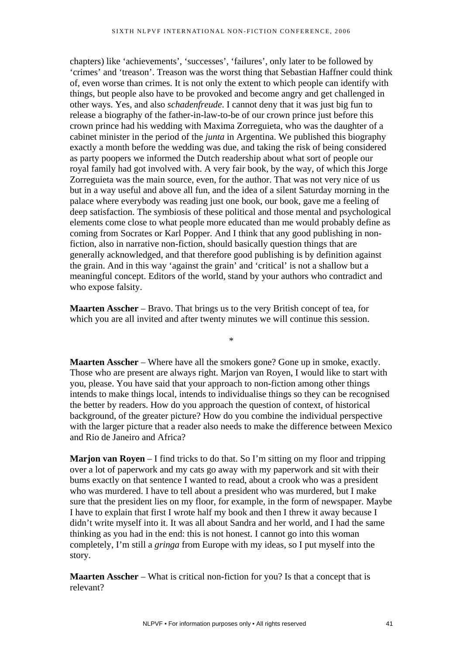chapters) like 'achievements', 'successes', 'failures', only later to be followed by 'crimes' and 'treason'. Treason was the worst thing that Sebastian Haffner could think of, even worse than crimes. It is not only the extent to which people can identify with things, but people also have to be provoked and become angry and get challenged in other ways. Yes, and also *schadenfreude*. I cannot deny that it was just big fun to release a biography of the father-in-law-to-be of our crown prince just before this crown prince had his wedding with Maxima Zorreguieta, who was the daughter of a cabinet minister in the period of the *junta* in Argentina. We published this biography exactly a month before the wedding was due, and taking the risk of being considered as party poopers we informed the Dutch readership about what sort of people our royal family had got involved with. A very fair book, by the way, of which this Jorge Zorreguieta was the main source, even, for the author. That was not very nice of us but in a way useful and above all fun, and the idea of a silent Saturday morning in the palace where everybody was reading just one book, our book, gave me a feeling of deep satisfaction. The symbiosis of these political and those mental and psychological elements come close to what people more educated than me would probably define as coming from Socrates or Karl Popper. And I think that any good publishing in nonfiction, also in narrative non-fiction, should basically question things that are generally acknowledged, and that therefore good publishing is by definition against the grain. And in this way 'against the grain' and 'critical' is not a shallow but a meaningful concept. Editors of the world, stand by your authors who contradict and who expose falsity.

**Maarten Asscher** – Bravo. That brings us to the very British concept of tea, for which you are all invited and after twenty minutes we will continue this session.

**Maarten Asscher** – Where have all the smokers gone? Gone up in smoke, exactly. Those who are present are always right. Marjon van Royen, I would like to start with you, please. You have said that your approach to non-fiction among other things intends to make things local, intends to individualise things so they can be recognised the better by readers. How do you approach the question of context, of historical background, of the greater picture? How do you combine the individual perspective with the larger picture that a reader also needs to make the difference between Mexico and Rio de Janeiro and Africa?

\*

**Marjon van Royen** – I find tricks to do that. So I'm sitting on my floor and tripping over a lot of paperwork and my cats go away with my paperwork and sit with their bums exactly on that sentence I wanted to read, about a crook who was a president who was murdered. I have to tell about a president who was murdered, but I make sure that the president lies on my floor, for example, in the form of newspaper. Maybe I have to explain that first I wrote half my book and then I threw it away because I didn't write myself into it. It was all about Sandra and her world, and I had the same thinking as you had in the end: this is not honest. I cannot go into this woman completely, I'm still a *gringa* from Europe with my ideas, so I put myself into the story.

**Maarten Asscher** – What is critical non-fiction for you? Is that a concept that is relevant?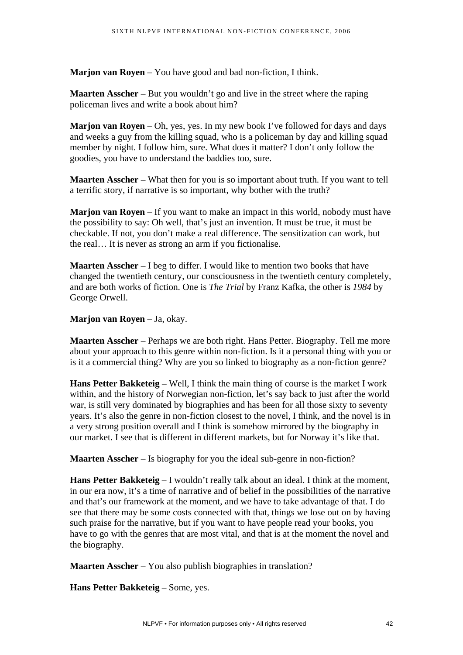**Marjon van Royen** – You have good and bad non-fiction, I think.

**Maarten Asscher** – But you wouldn't go and live in the street where the raping policeman lives and write a book about him?

**Marjon van Royen** – Oh, yes, yes. In my new book I've followed for days and days and weeks a guy from the killing squad, who is a policeman by day and killing squad member by night. I follow him, sure. What does it matter? I don't only follow the goodies, you have to understand the baddies too, sure.

**Maarten Asscher** – What then for you is so important about truth. If you want to tell a terrific story, if narrative is so important, why bother with the truth?

**Marjon van Royen** – If you want to make an impact in this world, nobody must have the possibility to say: Oh well, that's just an invention. It must be true, it must be checkable. If not, you don't make a real difference. The sensitization can work, but the real… It is never as strong an arm if you fictionalise.

**Maarten Asscher** – I beg to differ. I would like to mention two books that have changed the twentieth century, our consciousness in the twentieth century completely, and are both works of fiction. One is *The Trial* by Franz Kafka, the other is *1984* by George Orwell.

## **Marjon van Royen** – Ja, okay.

**Maarten Asscher** – Perhaps we are both right. Hans Petter. Biography. Tell me more about your approach to this genre within non-fiction. Is it a personal thing with you or is it a commercial thing? Why are you so linked to biography as a non-fiction genre?

**Hans Petter Bakketeig** – Well, I think the main thing of course is the market I work within, and the history of Norwegian non-fiction, let's say back to just after the world war, is still very dominated by biographies and has been for all those sixty to seventy years. It's also the genre in non-fiction closest to the novel, I think, and the novel is in a very strong position overall and I think is somehow mirrored by the biography in our market. I see that is different in different markets, but for Norway it's like that.

**Maarten Asscher** – Is biography for you the ideal sub-genre in non-fiction?

**Hans Petter Bakketeig** – I wouldn't really talk about an ideal. I think at the moment, in our era now, it's a time of narrative and of belief in the possibilities of the narrative and that's our framework at the moment, and we have to take advantage of that. I do see that there may be some costs connected with that, things we lose out on by having such praise for the narrative, but if you want to have people read your books, you have to go with the genres that are most vital, and that is at the moment the novel and the biography.

**Maarten Asscher** – You also publish biographies in translation?

**Hans Petter Bakketeig** – Some, yes.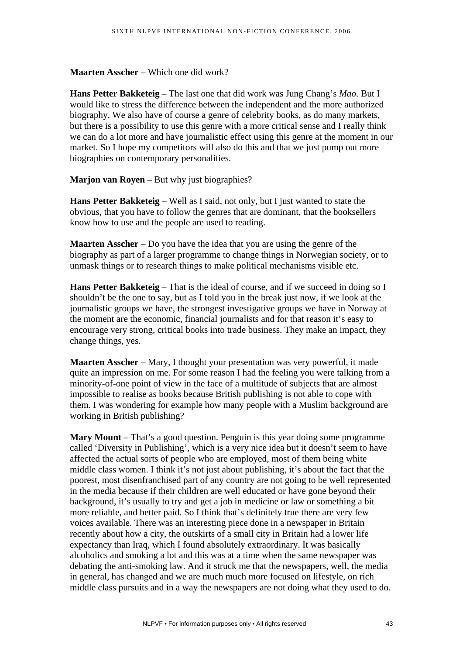**Maarten Asscher** – Which one did work?

**Hans Petter Bakketeig** – The last one that did work was Jung Chang's *Mao*. But I would like to stress the difference between the independent and the more authorized biography. We also have of course a genre of celebrity books, as do many markets, but there is a possibility to use this genre with a more critical sense and I really think we can do a lot more and have journalistic effect using this genre at the moment in our market. So I hope my competitors will also do this and that we just pump out more biographies on contemporary personalities.

**Marjon van Royen** – But why just biographies?

**Hans Petter Bakketeig** – Well as I said, not only, but I just wanted to state the obvious, that you have to follow the genres that are dominant, that the booksellers know how to use and the people are used to reading.

**Maarten Asscher** – Do you have the idea that you are using the genre of the biography as part of a larger programme to change things in Norwegian society, or to unmask things or to research things to make political mechanisms visible etc.

**Hans Petter Bakketeig** – That is the ideal of course, and if we succeed in doing so I shouldn't be the one to say, but as I told you in the break just now, if we look at the journalistic groups we have, the strongest investigative groups we have in Norway at the moment are the economic, financial journalists and for that reason it's easy to encourage very strong, critical books into trade business. They make an impact, they change things, yes.

**Maarten Asscher** – Mary, I thought your presentation was very powerful, it made quite an impression on me. For some reason I had the feeling you were talking from a minority-of-one point of view in the face of a multitude of subjects that are almost impossible to realise as books because British publishing is not able to cope with them. I was wondering for example how many people with a Muslim background are working in British publishing?

**Mary Mount** – That's a good question. Penguin is this year doing some programme called 'Diversity in Publishing', which is a very nice idea but it doesn't seem to have affected the actual sorts of people who are employed, most of them being white middle class women. I think it's not just about publishing, it's about the fact that the poorest, most disenfranchised part of any country are not going to be well represented in the media because if their children are well educated or have gone beyond their background, it's usually to try and get a job in medicine or law or something a bit more reliable, and better paid. So I think that's definitely true there are very few voices available. There was an interesting piece done in a newspaper in Britain recently about how a city, the outskirts of a small city in Britain had a lower life expectancy than Iraq, which I found absolutely extraordinary. It was basically alcoholics and smoking a lot and this was at a time when the same newspaper was debating the anti-smoking law. And it struck me that the newspapers, well, the media in general, has changed and we are much much more focused on lifestyle, on rich middle class pursuits and in a way the newspapers are not doing what they used to do.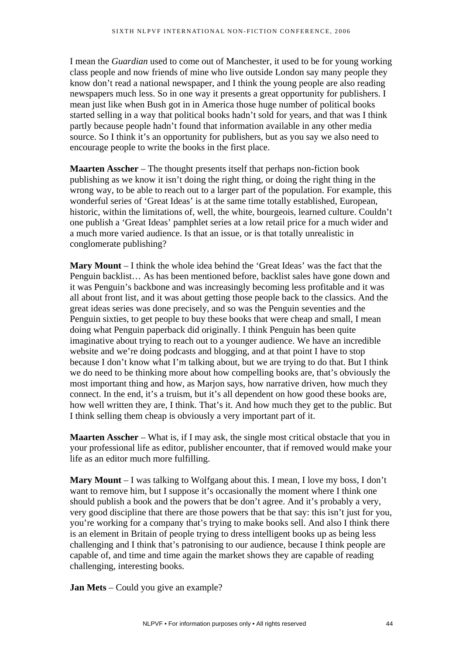I mean the *Guardian* used to come out of Manchester, it used to be for young working class people and now friends of mine who live outside London say many people they know don't read a national newspaper, and I think the young people are also reading newspapers much less. So in one way it presents a great opportunity for publishers. I mean just like when Bush got in in America those huge number of political books started selling in a way that political books hadn't sold for years, and that was I think partly because people hadn't found that information available in any other media source. So I think it's an opportunity for publishers, but as you say we also need to encourage people to write the books in the first place.

**Maarten Asscher** – The thought presents itself that perhaps non-fiction book publishing as we know it isn't doing the right thing, or doing the right thing in the wrong way, to be able to reach out to a larger part of the population. For example, this wonderful series of 'Great Ideas' is at the same time totally established, European, historic, within the limitations of, well, the white, bourgeois, learned culture. Couldn't one publish a 'Great Ideas' pamphlet series at a low retail price for a much wider and a much more varied audience. Is that an issue, or is that totally unrealistic in conglomerate publishing?

**Mary Mount** – I think the whole idea behind the 'Great Ideas' was the fact that the Penguin backlist… As has been mentioned before, backlist sales have gone down and it was Penguin's backbone and was increasingly becoming less profitable and it was all about front list, and it was about getting those people back to the classics. And the great ideas series was done precisely, and so was the Penguin seventies and the Penguin sixties, to get people to buy these books that were cheap and small, I mean doing what Penguin paperback did originally. I think Penguin has been quite imaginative about trying to reach out to a younger audience. We have an incredible website and we're doing podcasts and blogging, and at that point I have to stop because I don't know what I'm talking about, but we are trying to do that. But I think we do need to be thinking more about how compelling books are, that's obviously the most important thing and how, as Marjon says, how narrative driven, how much they connect. In the end, it's a truism, but it's all dependent on how good these books are, how well written they are, I think. That's it. And how much they get to the public. But I think selling them cheap is obviously a very important part of it.

**Maarten Asscher** – What is, if I may ask, the single most critical obstacle that you in your professional life as editor, publisher encounter, that if removed would make your life as an editor much more fulfilling.

**Mary Mount** – I was talking to Wolfgang about this. I mean, I love my boss, I don't want to remove him, but I suppose it's occasionally the moment where I think one should publish a book and the powers that be don't agree. And it's probably a very, very good discipline that there are those powers that be that say: this isn't just for you, you're working for a company that's trying to make books sell. And also I think there is an element in Britain of people trying to dress intelligent books up as being less challenging and I think that's patronising to our audience, because I think people are capable of, and time and time again the market shows they are capable of reading challenging, interesting books.

**Jan Mets** – Could you give an example?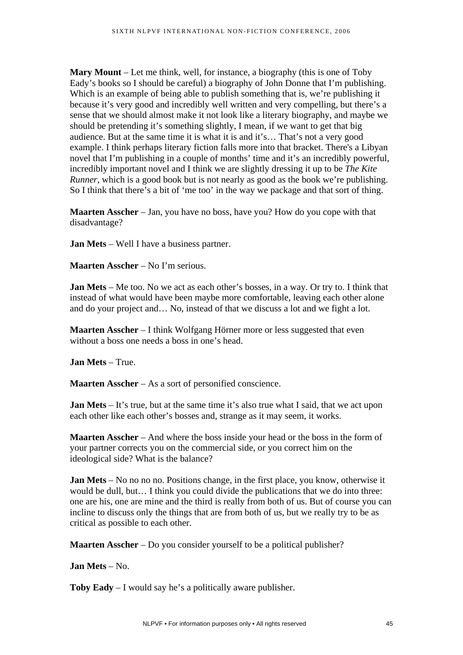**Mary Mount** – Let me think, well, for instance, a biography (this is one of Toby Eady's books so I should be careful) a biography of John Donne that I'm publishing. Which is an example of being able to publish something that is, we're publishing it because it's very good and incredibly well written and very compelling, but there's a sense that we should almost make it not look like a literary biography, and maybe we should be pretending it's something slightly, I mean, if we want to get that big audience. But at the same time it is what it is and it's… That's not a very good example. I think perhaps literary fiction falls more into that bracket. There's a Libyan novel that I'm publishing in a couple of months' time and it's an incredibly powerful. incredibly important novel and I think we are slightly dressing it up to be *The Kite Runner*, which is a good book but is not nearly as good as the book we're publishing. So I think that there's a bit of 'me too' in the way we package and that sort of thing.

**Maarten Asscher** – Jan, you have no boss, have you? How do you cope with that disadvantage?

**Jan Mets** – Well I have a business partner.

**Maarten Asscher** – No I'm serious.

**Jan Mets** – Me too. No we act as each other's bosses, in a way. Or try to. I think that instead of what would have been maybe more comfortable, leaving each other alone and do your project and… No, instead of that we discuss a lot and we fight a lot.

**Maarten Asscher** – I think Wolfgang Hörner more or less suggested that even without a boss one needs a boss in one's head.

**Jan Mets** – True.

**Maarten Asscher** – As a sort of personified conscience.

**Jan Mets** – It's true, but at the same time it's also true what I said, that we act upon each other like each other's bosses and, strange as it may seem, it works.

**Maarten Asscher** – And where the boss inside your head or the boss in the form of your partner corrects you on the commercial side, or you correct him on the ideological side? What is the balance?

**Jan Mets** – No no no no. Positions change, in the first place, you know, otherwise it would be dull, but… I think you could divide the publications that we do into three: one are his, one are mine and the third is really from both of us. But of course you can incline to discuss only the things that are from both of us, but we really try to be as critical as possible to each other.

**Maarten Asscher** – Do you consider yourself to be a political publisher?

**Jan Mets** – No.

**Toby Eady** – I would say he's a politically aware publisher.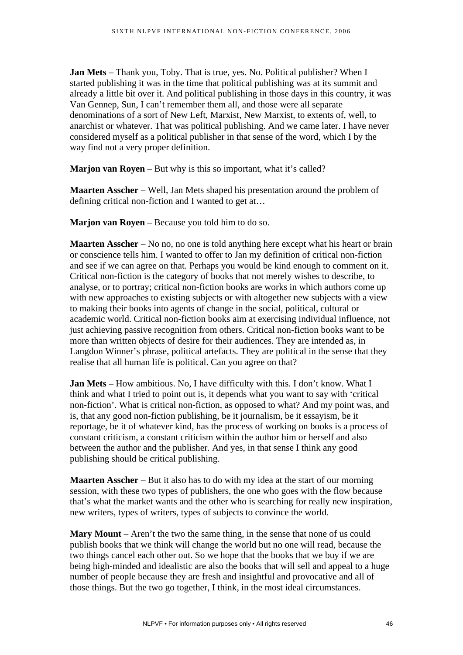**Jan Mets** – Thank you, Toby. That is true, yes. No. Political publisher? When I started publishing it was in the time that political publishing was at its summit and already a little bit over it. And political publishing in those days in this country, it was Van Gennep, Sun, I can't remember them all, and those were all separate denominations of a sort of New Left, Marxist, New Marxist, to extents of, well, to anarchist or whatever. That was political publishing. And we came later. I have never considered myself as a political publisher in that sense of the word, which I by the way find not a very proper definition.

**Marjon van Royen** – But why is this so important, what it's called?

**Maarten Asscher** – Well, Jan Mets shaped his presentation around the problem of defining critical non-fiction and I wanted to get at…

**Marjon van Royen** – Because you told him to do so.

**Maarten Asscher** – No no, no one is told anything here except what his heart or brain or conscience tells him. I wanted to offer to Jan my definition of critical non-fiction and see if we can agree on that. Perhaps you would be kind enough to comment on it. Critical non-fiction is the category of books that not merely wishes to describe, to analyse, or to portray; critical non-fiction books are works in which authors come up with new approaches to existing subjects or with altogether new subjects with a view to making their books into agents of change in the social, political, cultural or academic world. Critical non-fiction books aim at exercising individual influence, not just achieving passive recognition from others. Critical non-fiction books want to be more than written objects of desire for their audiences. They are intended as, in Langdon Winner's phrase, political artefacts. They are political in the sense that they realise that all human life is political. Can you agree on that?

**Jan Mets** – How ambitious. No, I have difficulty with this. I don't know. What I think and what I tried to point out is, it depends what you want to say with 'critical non-fiction'. What is critical non-fiction, as opposed to what? And my point was, and is, that any good non-fiction publishing, be it journalism, be it essayism, be it reportage, be it of whatever kind, has the process of working on books is a process of constant criticism, a constant criticism within the author him or herself and also between the author and the publisher. And yes, in that sense I think any good publishing should be critical publishing.

**Maarten Asscher** – But it also has to do with my idea at the start of our morning session, with these two types of publishers, the one who goes with the flow because that's what the market wants and the other who is searching for really new inspiration, new writers, types of writers, types of subjects to convince the world.

**Mary Mount** – Aren't the two the same thing, in the sense that none of us could publish books that we think will change the world but no one will read, because the two things cancel each other out. So we hope that the books that we buy if we are being high-minded and idealistic are also the books that will sell and appeal to a huge number of people because they are fresh and insightful and provocative and all of those things. But the two go together, I think, in the most ideal circumstances.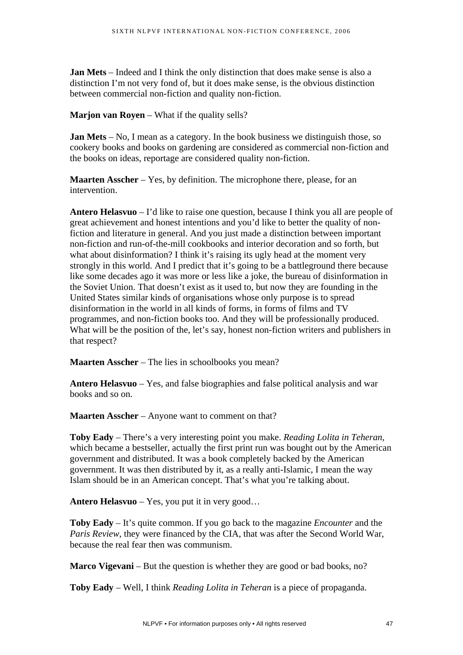**Jan Mets** – Indeed and I think the only distinction that does make sense is also a distinction I'm not very fond of, but it does make sense, is the obvious distinction between commercial non-fiction and quality non-fiction.

**Marjon van Royen** – What if the quality sells?

**Jan Mets** – No, I mean as a category. In the book business we distinguish those, so cookery books and books on gardening are considered as commercial non-fiction and the books on ideas, reportage are considered quality non-fiction.

**Maarten Asscher** – Yes, by definition. The microphone there, please, for an intervention.

**Antero Helasvuo** – I'd like to raise one question, because I think you all are people of great achievement and honest intentions and you'd like to better the quality of nonfiction and literature in general. And you just made a distinction between important non-fiction and run-of-the-mill cookbooks and interior decoration and so forth, but what about disinformation? I think it's raising its ugly head at the moment very strongly in this world. And I predict that it's going to be a battleground there because like some decades ago it was more or less like a joke, the bureau of disinformation in the Soviet Union. That doesn't exist as it used to, but now they are founding in the United States similar kinds of organisations whose only purpose is to spread disinformation in the world in all kinds of forms, in forms of films and TV programmes, and non-fiction books too. And they will be professionally produced. What will be the position of the, let's say, honest non-fiction writers and publishers in that respect?

**Maarten Asscher** – The lies in schoolbooks you mean?

**Antero Helasvuo** – Yes, and false biographies and false political analysis and war books and so on.

**Maarten Asscher** – Anyone want to comment on that?

**Toby Eady** – There's a very interesting point you make. *Reading Lolita in Teheran*, which became a bestseller, actually the first print run was bought out by the American government and distributed. It was a book completely backed by the American government. It was then distributed by it, as a really anti-Islamic, I mean the way Islam should be in an American concept. That's what you're talking about.

**Antero Helasvuo** – Yes, you put it in very good…

**Toby Eady** – It's quite common. If you go back to the magazine *Encounter* and the *Paris Review*, they were financed by the CIA, that was after the Second World War, because the real fear then was communism.

**Marco Vigevani** – But the question is whether they are good or bad books, no?

**Toby Eady** – Well, I think *Reading Lolita in Teheran* is a piece of propaganda.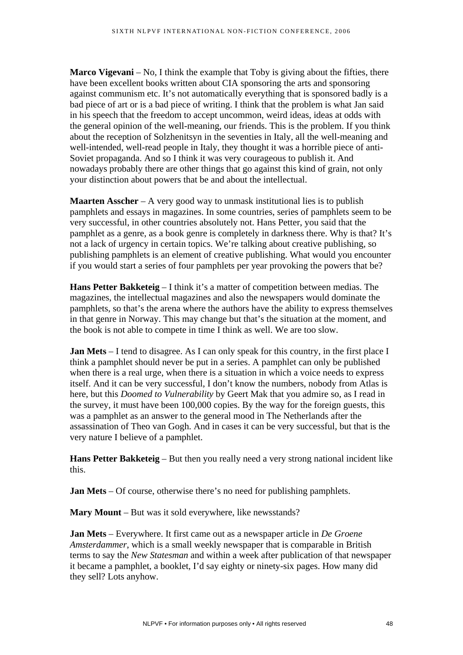**Marco Vigevani** – No, I think the example that Toby is giving about the fifties, there have been excellent books written about CIA sponsoring the arts and sponsoring against communism etc. It's not automatically everything that is sponsored badly is a bad piece of art or is a bad piece of writing. I think that the problem is what Jan said in his speech that the freedom to accept uncommon, weird ideas, ideas at odds with the general opinion of the well-meaning, our friends. This is the problem. If you think about the reception of Solzhenitsyn in the seventies in Italy, all the well-meaning and well-intended, well-read people in Italy, they thought it was a horrible piece of anti-Soviet propaganda. And so I think it was very courageous to publish it. And nowadays probably there are other things that go against this kind of grain, not only your distinction about powers that be and about the intellectual.

**Maarten Asscher** – A very good way to unmask institutional lies is to publish pamphlets and essays in magazines. In some countries, series of pamphlets seem to be very successful, in other countries absolutely not. Hans Petter, you said that the pamphlet as a genre, as a book genre is completely in darkness there. Why is that? It's not a lack of urgency in certain topics. We're talking about creative publishing, so publishing pamphlets is an element of creative publishing. What would you encounter if you would start a series of four pamphlets per year provoking the powers that be?

**Hans Petter Bakketeig** – I think it's a matter of competition between medias. The magazines, the intellectual magazines and also the newspapers would dominate the pamphlets, so that's the arena where the authors have the ability to express themselves in that genre in Norway. This may change but that's the situation at the moment, and the book is not able to compete in time I think as well. We are too slow.

**Jan Mets** – I tend to disagree. As I can only speak for this country, in the first place I think a pamphlet should never be put in a series. A pamphlet can only be published when there is a real urge, when there is a situation in which a voice needs to express itself. And it can be very successful, I don't know the numbers, nobody from Atlas is here, but this *Doomed to Vulnerability* by Geert Mak that you admire so, as I read in the survey, it must have been 100,000 copies. By the way for the foreign guests, this was a pamphlet as an answer to the general mood in The Netherlands after the assassination of Theo van Gogh. And in cases it can be very successful, but that is the very nature I believe of a pamphlet.

**Hans Petter Bakketeig** – But then you really need a very strong national incident like this.

**Jan Mets** – Of course, otherwise there's no need for publishing pamphlets.

**Mary Mount** – But was it sold everywhere, like newsstands?

**Jan Mets** – Everywhere. It first came out as a newspaper article in *De Groene Amsterdammer*, which is a small weekly newspaper that is comparable in British terms to say the *New Statesman* and within a week after publication of that newspaper it became a pamphlet, a booklet, I'd say eighty or ninety-six pages. How many did they sell? Lots anyhow.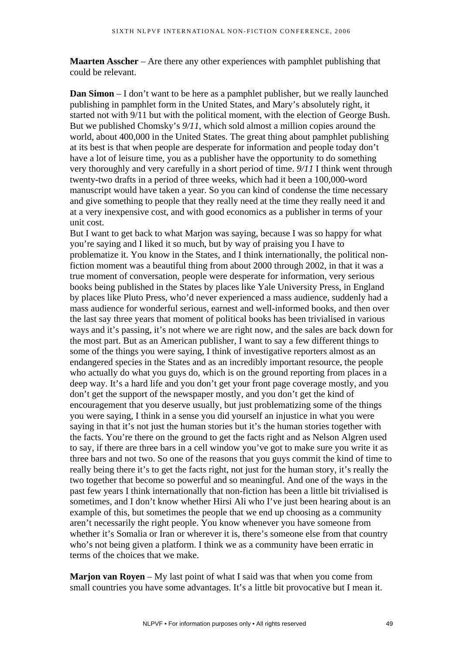**Maarten Asscher** – Are there any other experiences with pamphlet publishing that could be relevant.

**Dan Simon** – I don't want to be here as a pamphlet publisher, but we really launched publishing in pamphlet form in the United States, and Mary's absolutely right, it started not with 9/11 but with the political moment, with the election of George Bush. But we published Chomsky's *9/11*, which sold almost a million copies around the world, about 400,000 in the United States. The great thing about pamphlet publishing at its best is that when people are desperate for information and people today don't have a lot of leisure time, you as a publisher have the opportunity to do something very thoroughly and very carefully in a short period of time. *9/11* I think went through twenty-two drafts in a period of three weeks, which had it been a 100,000-word manuscript would have taken a year. So you can kind of condense the time necessary and give something to people that they really need at the time they really need it and at a very inexpensive cost, and with good economics as a publisher in terms of your unit cost.

But I want to get back to what Marjon was saying, because I was so happy for what you're saying and I liked it so much, but by way of praising you I have to problematize it. You know in the States, and I think internationally, the political nonfiction moment was a beautiful thing from about 2000 through 2002, in that it was a true moment of conversation, people were desperate for information, very serious books being published in the States by places like Yale University Press, in England by places like Pluto Press, who'd never experienced a mass audience, suddenly had a mass audience for wonderful serious, earnest and well-informed books, and then over the last say three years that moment of political books has been trivialised in various ways and it's passing, it's not where we are right now, and the sales are back down for the most part. But as an American publisher, I want to say a few different things to some of the things you were saying, I think of investigative reporters almost as an endangered species in the States and as an incredibly important resource, the people who actually do what you guys do, which is on the ground reporting from places in a deep way. It's a hard life and you don't get your front page coverage mostly, and you don't get the support of the newspaper mostly, and you don't get the kind of encouragement that you deserve usually, but just problematizing some of the things you were saying, I think in a sense you did yourself an injustice in what you were saying in that it's not just the human stories but it's the human stories together with the facts. You're there on the ground to get the facts right and as Nelson Algren used to say, if there are three bars in a cell window you've got to make sure you write it as three bars and not two. So one of the reasons that you guys commit the kind of time to really being there it's to get the facts right, not just for the human story, it's really the two together that become so powerful and so meaningful. And one of the ways in the past few years I think internationally that non-fiction has been a little bit trivialised is sometimes, and I don't know whether Hirsi Ali who I've just been hearing about is an example of this, but sometimes the people that we end up choosing as a community aren't necessarily the right people. You know whenever you have someone from whether it's Somalia or Iran or wherever it is, there's someone else from that country who's not being given a platform. I think we as a community have been erratic in terms of the choices that we make.

**Marjon van Royen** – My last point of what I said was that when you come from small countries you have some advantages. It's a little bit provocative but I mean it.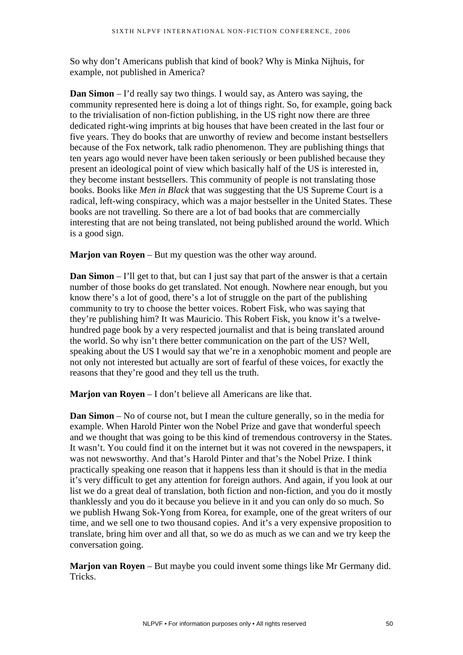So why don't Americans publish that kind of book? Why is Minka Nijhuis, for example, not published in America?

**Dan Simon** – I'd really say two things. I would say, as Antero was saying, the community represented here is doing a lot of things right. So, for example, going back to the trivialisation of non-fiction publishing, in the US right now there are three dedicated right-wing imprints at big houses that have been created in the last four or five years. They do books that are unworthy of review and become instant bestsellers because of the Fox network, talk radio phenomenon. They are publishing things that ten years ago would never have been taken seriously or been published because they present an ideological point of view which basically half of the US is interested in, they become instant bestsellers. This community of people is not translating those books. Books like *Men in Black* that was suggesting that the US Supreme Court is a radical, left-wing conspiracy, which was a major bestseller in the United States. These books are not travelling. So there are a lot of bad books that are commercially interesting that are not being translated, not being published around the world. Which is a good sign.

**Marjon van Royen** – But my question was the other way around.

**Dan Simon** – I'll get to that, but can I just say that part of the answer is that a certain number of those books do get translated. Not enough. Nowhere near enough, but you know there's a lot of good, there's a lot of struggle on the part of the publishing community to try to choose the better voices. Robert Fisk, who was saying that they're publishing him? It was Mauricio. This Robert Fisk, you know it's a twelvehundred page book by a very respected journalist and that is being translated around the world. So why isn't there better communication on the part of the US? Well, speaking about the US I would say that we're in a xenophobic moment and people are not only not interested but actually are sort of fearful of these voices, for exactly the reasons that they're good and they tell us the truth.

**Marjon van Royen** – I don't believe all Americans are like that.

**Dan Simon** – No of course not, but I mean the culture generally, so in the media for example. When Harold Pinter won the Nobel Prize and gave that wonderful speech and we thought that was going to be this kind of tremendous controversy in the States. It wasn't. You could find it on the internet but it was not covered in the newspapers, it was not newsworthy. And that's Harold Pinter and that's the Nobel Prize. I think practically speaking one reason that it happens less than it should is that in the media it's very difficult to get any attention for foreign authors. And again, if you look at our list we do a great deal of translation, both fiction and non-fiction, and you do it mostly thanklessly and you do it because you believe in it and you can only do so much. So we publish Hwang Sok-Yong from Korea, for example, one of the great writers of our time, and we sell one to two thousand copies. And it's a very expensive proposition to translate, bring him over and all that, so we do as much as we can and we try keep the conversation going.

**Marjon van Royen** – But maybe you could invent some things like Mr Germany did. Tricks.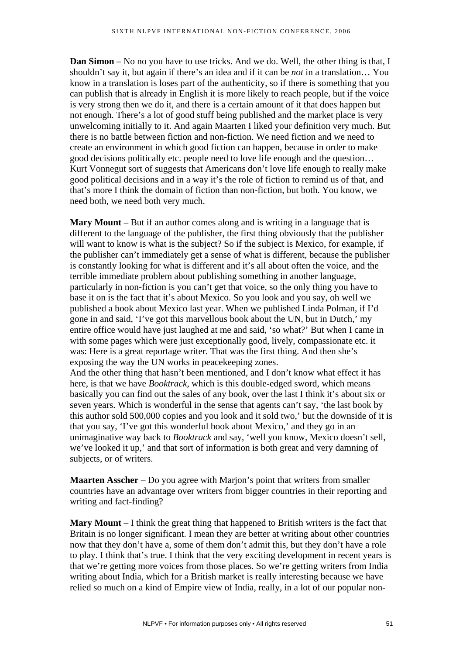**Dan Simon** – No no you have to use tricks. And we do. Well, the other thing is that, I shouldn't say it, but again if there's an idea and if it can be *not* in a translation… You know in a translation is loses part of the authenticity, so if there is something that you can publish that is already in English it is more likely to reach people, but if the voice is very strong then we do it, and there is a certain amount of it that does happen but not enough. There's a lot of good stuff being published and the market place is very unwelcoming initially to it. And again Maarten I liked your definition very much. But there is no battle between fiction and non-fiction. We need fiction and we need to create an environment in which good fiction can happen, because in order to make good decisions politically etc. people need to love life enough and the question… Kurt Vonnegut sort of suggests that Americans don't love life enough to really make good political decisions and in a way it's the role of fiction to remind us of that, and that's more I think the domain of fiction than non-fiction, but both. You know, we need both, we need both very much.

**Mary Mount** – But if an author comes along and is writing in a language that is different to the language of the publisher, the first thing obviously that the publisher will want to know is what is the subject? So if the subject is Mexico, for example, if the publisher can't immediately get a sense of what is different, because the publisher is constantly looking for what is different and it's all about often the voice, and the terrible immediate problem about publishing something in another language, particularly in non-fiction is you can't get that voice, so the only thing you have to base it on is the fact that it's about Mexico. So you look and you say, oh well we published a book about Mexico last year. When we published Linda Polman, if I'd gone in and said, 'I've got this marvellous book about the UN, but in Dutch,' my entire office would have just laughed at me and said, 'so what?' But when I came in with some pages which were just exceptionally good, lively, compassionate etc. it was: Here is a great reportage writer. That was the first thing. And then she's exposing the way the UN works in peacekeeping zones.

And the other thing that hasn't been mentioned, and I don't know what effect it has here, is that we have *Booktrack*, which is this double-edged sword, which means basically you can find out the sales of any book, over the last I think it's about six or seven years. Which is wonderful in the sense that agents can't say, 'the last book by this author sold 500,000 copies and you look and it sold two,' but the downside of it is that you say, 'I've got this wonderful book about Mexico,' and they go in an unimaginative way back to *Booktrack* and say, 'well you know, Mexico doesn't sell, we've looked it up,' and that sort of information is both great and very damning of subjects, or of writers.

**Maarten Asscher** – Do you agree with Marjon's point that writers from smaller countries have an advantage over writers from bigger countries in their reporting and writing and fact-finding?

**Mary Mount** – I think the great thing that happened to British writers is the fact that Britain is no longer significant. I mean they are better at writing about other countries now that they don't have a, some of them don't admit this, but they don't have a role to play. I think that's true. I think that the very exciting development in recent years is that we're getting more voices from those places. So we're getting writers from India writing about India, which for a British market is really interesting because we have relied so much on a kind of Empire view of India, really, in a lot of our popular non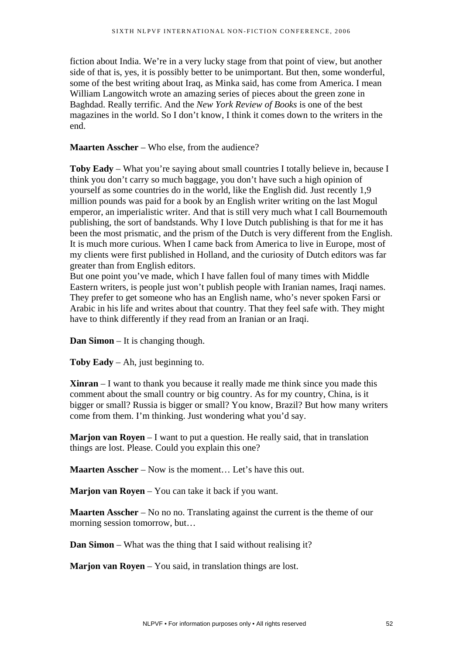fiction about India. We're in a very lucky stage from that point of view, but another side of that is, yes, it is possibly better to be unimportant. But then, some wonderful, some of the best writing about Iraq, as Minka said, has come from America. I mean William Langowitch wrote an amazing series of pieces about the green zone in Baghdad. Really terrific. And the *New York Review of Books* is one of the best magazines in the world. So I don't know, I think it comes down to the writers in the end.

### **Maarten Asscher** – Who else, from the audience?

**Toby Eady** – What you're saying about small countries I totally believe in, because I think you don't carry so much baggage, you don't have such a high opinion of yourself as some countries do in the world, like the English did. Just recently 1,9 million pounds was paid for a book by an English writer writing on the last Mogul emperor, an imperialistic writer. And that is still very much what I call Bournemouth publishing, the sort of bandstands. Why I love Dutch publishing is that for me it has been the most prismatic, and the prism of the Dutch is very different from the English. It is much more curious. When I came back from America to live in Europe, most of my clients were first published in Holland, and the curiosity of Dutch editors was far greater than from English editors.

But one point you've made, which I have fallen foul of many times with Middle Eastern writers, is people just won't publish people with Iranian names, Iraqi names, They prefer to get someone who has an English name, who's never spoken Farsi or Arabic in his life and writes about that country. That they feel safe with. They might have to think differently if they read from an Iranian or an Iraqi.

**Dan Simon** – It is changing though.

**Toby Eady** – Ah, just beginning to.

**Xinran** – I want to thank you because it really made me think since you made this comment about the small country or big country. As for my country, China, is it bigger or small? Russia is bigger or small? You know, Brazil? But how many writers come from them. I'm thinking. Just wondering what you'd say.

**Marjon van Royen** – I want to put a question. He really said, that in translation things are lost. Please. Could you explain this one?

**Maarten Asscher** – Now is the moment... Let's have this out.

**Marjon van Royen** – You can take it back if you want.

**Maarten Asscher** – No no no. Translating against the current is the theme of our morning session tomorrow, but…

**Dan Simon** – What was the thing that I said without realising it?

**Marjon van Royen** – You said, in translation things are lost.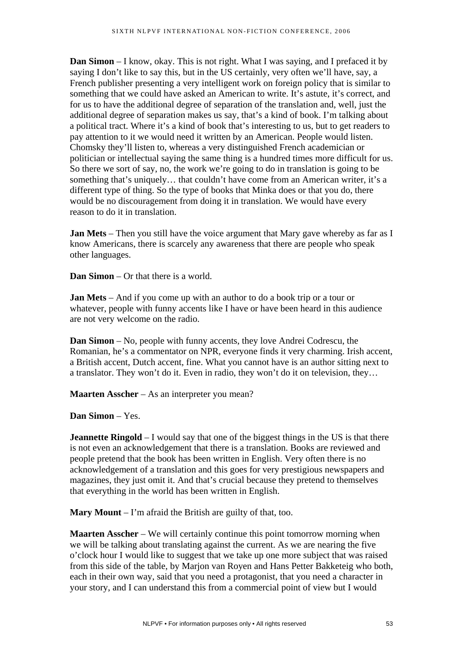**Dan Simon** – I know, okay. This is not right. What I was saying, and I prefaced it by saying I don't like to say this, but in the US certainly, very often we'll have, say, a French publisher presenting a very intelligent work on foreign policy that is similar to something that we could have asked an American to write. It's astute, it's correct, and for us to have the additional degree of separation of the translation and, well, just the additional degree of separation makes us say, that's a kind of book. I'm talking about a political tract. Where it's a kind of book that's interesting to us, but to get readers to pay attention to it we would need it written by an American. People would listen. Chomsky they'll listen to, whereas a very distinguished French academician or politician or intellectual saying the same thing is a hundred times more difficult for us. So there we sort of say, no, the work we're going to do in translation is going to be something that's uniquely… that couldn't have come from an American writer, it's a different type of thing. So the type of books that Minka does or that you do, there would be no discouragement from doing it in translation. We would have every reason to do it in translation.

**Jan Mets** – Then you still have the voice argument that Mary gave whereby as far as I know Americans, there is scarcely any awareness that there are people who speak other languages.

**Dan Simon** – Or that there is a world.

**Jan Mets** – And if you come up with an author to do a book trip or a tour or whatever, people with funny accents like I have or have been heard in this audience are not very welcome on the radio.

**Dan Simon** – No, people with funny accents, they love Andrei Codrescu, the Romanian, he's a commentator on NPR, everyone finds it very charming. Irish accent, a British accent, Dutch accent, fine. What you cannot have is an author sitting next to a translator. They won't do it. Even in radio, they won't do it on television, they…

**Maarten Asscher** – As an interpreter you mean?

**Dan Simon** – Yes.

**Jeannette Ringold** – I would say that one of the biggest things in the US is that there is not even an acknowledgement that there is a translation. Books are reviewed and people pretend that the book has been written in English. Very often there is no acknowledgement of a translation and this goes for very prestigious newspapers and magazines, they just omit it. And that's crucial because they pretend to themselves that everything in the world has been written in English.

**Mary Mount** – I'm afraid the British are guilty of that, too.

**Maarten Asscher** – We will certainly continue this point tomorrow morning when we will be talking about translating against the current. As we are nearing the five o'clock hour I would like to suggest that we take up one more subject that was raised from this side of the table, by Marjon van Royen and Hans Petter Bakketeig who both, each in their own way, said that you need a protagonist, that you need a character in your story, and I can understand this from a commercial point of view but I would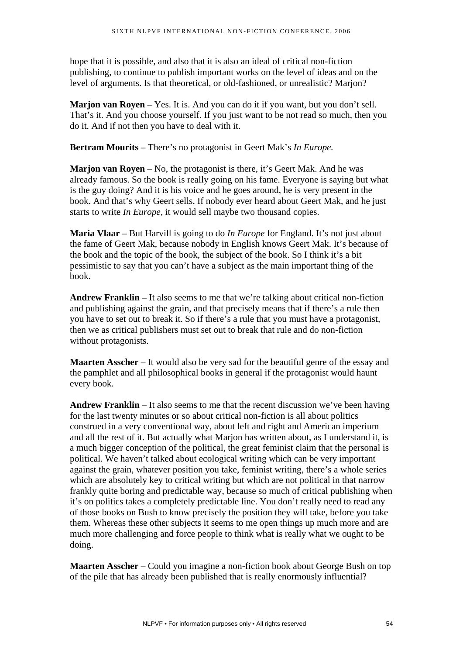hope that it is possible, and also that it is also an ideal of critical non-fiction publishing, to continue to publish important works on the level of ideas and on the level of arguments. Is that theoretical, or old-fashioned, or unrealistic? Marjon?

**Marion van Royen** – Yes. It is. And you can do it if you want, but you don't sell. That's it. And you choose yourself. If you just want to be not read so much, then you do it. And if not then you have to deal with it.

**Bertram Mourits** – There's no protagonist in Geert Mak's *In Europe.* 

**Marjon van Royen** – No, the protagonist is there, it's Geert Mak. And he was already famous. So the book is really going on his fame. Everyone is saying but what is the guy doing? And it is his voice and he goes around, he is very present in the book. And that's why Geert sells. If nobody ever heard about Geert Mak, and he just starts to write *In Europe*, it would sell maybe two thousand copies.

**Maria Vlaar** – But Harvill is going to do *In Europe* for England. It's not just about the fame of Geert Mak, because nobody in English knows Geert Mak. It's because of the book and the topic of the book, the subject of the book. So I think it's a bit pessimistic to say that you can't have a subject as the main important thing of the book.

**Andrew Franklin** – It also seems to me that we're talking about critical non-fiction and publishing against the grain, and that precisely means that if there's a rule then you have to set out to break it. So if there's a rule that you must have a protagonist, then we as critical publishers must set out to break that rule and do non-fiction without protagonists.

**Maarten Asscher** – It would also be very sad for the beautiful genre of the essay and the pamphlet and all philosophical books in general if the protagonist would haunt every book.

**Andrew Franklin** – It also seems to me that the recent discussion we've been having for the last twenty minutes or so about critical non-fiction is all about politics construed in a very conventional way, about left and right and American imperium and all the rest of it. But actually what Marjon has written about, as I understand it, is a much bigger conception of the political, the great feminist claim that the personal is political. We haven't talked about ecological writing which can be very important against the grain, whatever position you take, feminist writing, there's a whole series which are absolutely key to critical writing but which are not political in that narrow frankly quite boring and predictable way, because so much of critical publishing when it's on politics takes a completely predictable line. You don't really need to read any of those books on Bush to know precisely the position they will take, before you take them. Whereas these other subjects it seems to me open things up much more and are much more challenging and force people to think what is really what we ought to be doing.

**Maarten Asscher** – Could you imagine a non-fiction book about George Bush on top of the pile that has already been published that is really enormously influential?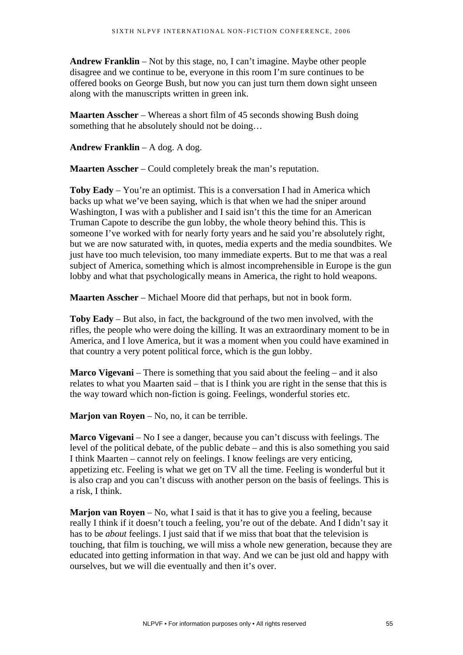**Andrew Franklin** – Not by this stage, no, I can't imagine. Maybe other people disagree and we continue to be, everyone in this room I'm sure continues to be offered books on George Bush, but now you can just turn them down sight unseen along with the manuscripts written in green ink.

**Maarten Asscher** – Whereas a short film of 45 seconds showing Bush doing something that he absolutely should not be doing…

**Andrew Franklin** – A dog. A dog.

**Maarten Asscher** – Could completely break the man's reputation.

**Toby Eady** – You're an optimist. This is a conversation I had in America which backs up what we've been saying, which is that when we had the sniper around Washington, I was with a publisher and I said isn't this the time for an American Truman Capote to describe the gun lobby, the whole theory behind this. This is someone I've worked with for nearly forty years and he said you're absolutely right, but we are now saturated with, in quotes, media experts and the media soundbites. We just have too much television, too many immediate experts. But to me that was a real subject of America, something which is almost incomprehensible in Europe is the gun lobby and what that psychologically means in America, the right to hold weapons.

**Maarten Asscher** – Michael Moore did that perhaps, but not in book form.

**Toby Eady** – But also, in fact, the background of the two men involved, with the rifles, the people who were doing the killing. It was an extraordinary moment to be in America, and I love America, but it was a moment when you could have examined in that country a very potent political force, which is the gun lobby.

**Marco Vigevani** – There is something that you said about the feeling – and it also relates to what you Maarten said – that is I think you are right in the sense that this is the way toward which non-fiction is going. Feelings, wonderful stories etc.

**Marjon van Royen** – No, no, it can be terrible.

**Marco Vigevani** – No I see a danger, because you can't discuss with feelings. The level of the political debate, of the public debate – and this is also something you said I think Maarten – cannot rely on feelings. I know feelings are very enticing, appetizing etc. Feeling is what we get on TV all the time. Feeling is wonderful but it is also crap and you can't discuss with another person on the basis of feelings. This is a risk, I think.

**Marjon van Royen** – No, what I said is that it has to give you a feeling, because really I think if it doesn't touch a feeling, you're out of the debate. And I didn't say it has to be *about* feelings. I just said that if we miss that boat that the television is touching, that film is touching, we will miss a whole new generation, because they are educated into getting information in that way. And we can be just old and happy with ourselves, but we will die eventually and then it's over.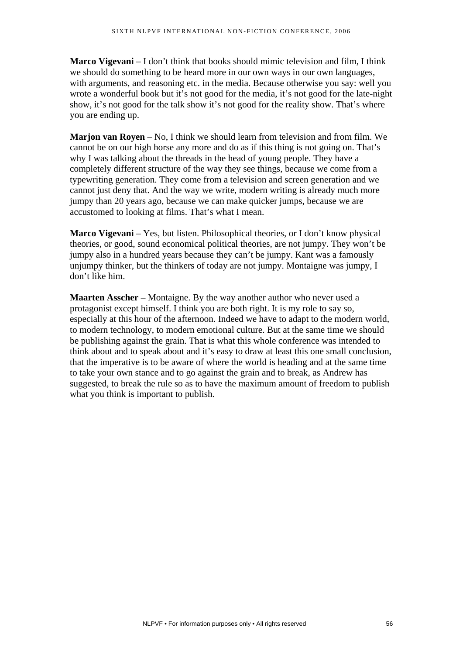**Marco Vigevani** – I don't think that books should mimic television and film, I think we should do something to be heard more in our own ways in our own languages, with arguments, and reasoning etc. in the media. Because otherwise you say: well you wrote a wonderful book but it's not good for the media, it's not good for the late-night show, it's not good for the talk show it's not good for the reality show. That's where you are ending up.

**Marjon van Royen** – No, I think we should learn from television and from film. We cannot be on our high horse any more and do as if this thing is not going on. That's why I was talking about the threads in the head of young people. They have a completely different structure of the way they see things, because we come from a typewriting generation. They come from a television and screen generation and we cannot just deny that. And the way we write, modern writing is already much more jumpy than 20 years ago, because we can make quicker jumps, because we are accustomed to looking at films. That's what I mean.

**Marco Vigevani** – Yes, but listen. Philosophical theories, or I don't know physical theories, or good, sound economical political theories, are not jumpy. They won't be jumpy also in a hundred years because they can't be jumpy. Kant was a famously unjumpy thinker, but the thinkers of today are not jumpy. Montaigne was jumpy, I don't like him.

**Maarten Asscher** – Montaigne. By the way another author who never used a protagonist except himself. I think you are both right. It is my role to say so, especially at this hour of the afternoon. Indeed we have to adapt to the modern world, to modern technology, to modern emotional culture. But at the same time we should be publishing against the grain. That is what this whole conference was intended to think about and to speak about and it's easy to draw at least this one small conclusion, that the imperative is to be aware of where the world is heading and at the same time to take your own stance and to go against the grain and to break, as Andrew has suggested, to break the rule so as to have the maximum amount of freedom to publish what you think is important to publish.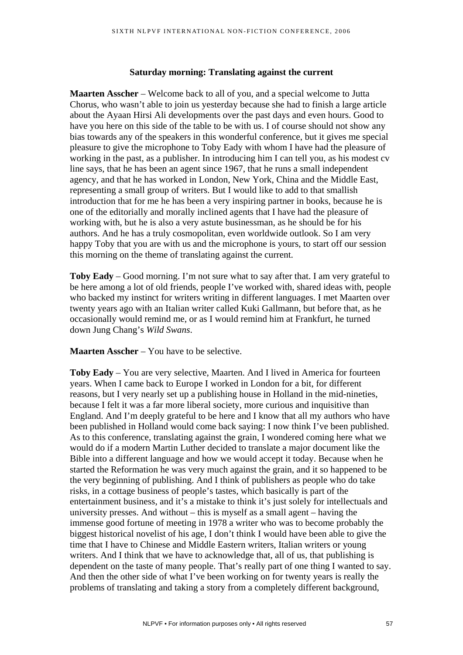#### **Saturday morning: Translating against the current**

**Maarten Asscher** – Welcome back to all of you, and a special welcome to Jutta Chorus, who wasn't able to join us yesterday because she had to finish a large article about the Ayaan Hirsi Ali developments over the past days and even hours. Good to have you here on this side of the table to be with us. I of course should not show any bias towards any of the speakers in this wonderful conference, but it gives me special pleasure to give the microphone to Toby Eady with whom I have had the pleasure of working in the past, as a publisher. In introducing him I can tell you, as his modest cv line says, that he has been an agent since 1967, that he runs a small independent agency, and that he has worked in London, New York, China and the Middle East, representing a small group of writers. But I would like to add to that smallish introduction that for me he has been a very inspiring partner in books, because he is one of the editorially and morally inclined agents that I have had the pleasure of working with, but he is also a very astute businessman, as he should be for his authors. And he has a truly cosmopolitan, even worldwide outlook. So I am very happy Toby that you are with us and the microphone is yours, to start off our session this morning on the theme of translating against the current.

**Toby Eady** – Good morning. I'm not sure what to say after that. I am very grateful to be here among a lot of old friends, people I've worked with, shared ideas with, people who backed my instinct for writers writing in different languages. I met Maarten over twenty years ago with an Italian writer called Kuki Gallmann, but before that, as he occasionally would remind me, or as I would remind him at Frankfurt, he turned down Jung Chang's *Wild Swans*.

**Maarten Asscher** – You have to be selective.

**Toby Eady** – You are very selective, Maarten. And I lived in America for fourteen years. When I came back to Europe I worked in London for a bit, for different reasons, but I very nearly set up a publishing house in Holland in the mid-nineties, because I felt it was a far more liberal society, more curious and inquisitive than England. And I'm deeply grateful to be here and I know that all my authors who have been published in Holland would come back saying: I now think I've been published. As to this conference, translating against the grain, I wondered coming here what we would do if a modern Martin Luther decided to translate a major document like the Bible into a different language and how we would accept it today. Because when he started the Reformation he was very much against the grain, and it so happened to be the very beginning of publishing. And I think of publishers as people who do take risks, in a cottage business of people's tastes, which basically is part of the entertainment business, and it's a mistake to think it's just solely for intellectuals and university presses. And without – this is myself as a small agent – having the immense good fortune of meeting in 1978 a writer who was to become probably the biggest historical novelist of his age, I don't think I would have been able to give the time that I have to Chinese and Middle Eastern writers, Italian writers or young writers. And I think that we have to acknowledge that, all of us, that publishing is dependent on the taste of many people. That's really part of one thing I wanted to say. And then the other side of what I've been working on for twenty years is really the problems of translating and taking a story from a completely different background,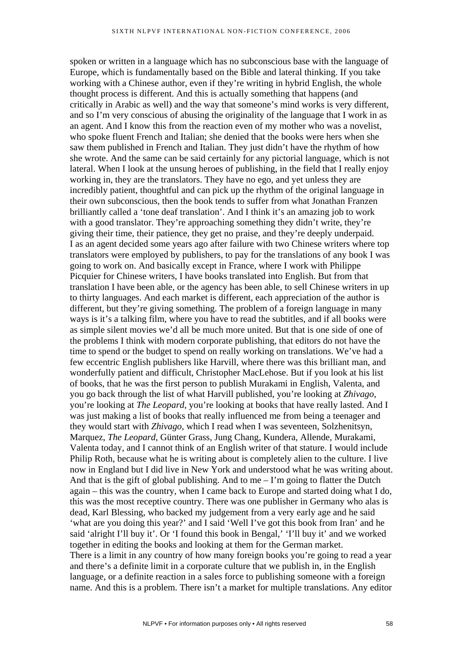spoken or written in a language which has no subconscious base with the language of Europe, which is fundamentally based on the Bible and lateral thinking. If you take working with a Chinese author, even if they're writing in hybrid English, the whole thought process is different. And this is actually something that happens (and critically in Arabic as well) and the way that someone's mind works is very different, and so I'm very conscious of abusing the originality of the language that I work in as an agent. And I know this from the reaction even of my mother who was a novelist, who spoke fluent French and Italian; she denied that the books were hers when she saw them published in French and Italian. They just didn't have the rhythm of how she wrote. And the same can be said certainly for any pictorial language, which is not lateral. When I look at the unsung heroes of publishing, in the field that I really enjoy working in, they are the translators. They have no ego, and yet unless they are incredibly patient, thoughtful and can pick up the rhythm of the original language in their own subconscious, then the book tends to suffer from what Jonathan Franzen brilliantly called a 'tone deaf translation'. And I think it's an amazing job to work with a good translator. They're approaching something they didn't write, they're giving their time, their patience, they get no praise, and they're deeply underpaid. I as an agent decided some years ago after failure with two Chinese writers where top translators were employed by publishers, to pay for the translations of any book I was going to work on. And basically except in France, where I work with Philippe Picquier for Chinese writers, I have books translated into English. But from that translation I have been able, or the agency has been able, to sell Chinese writers in up to thirty languages. And each market is different, each appreciation of the author is different, but they're giving something. The problem of a foreign language in many ways is it's a talking film, where you have to read the subtitles, and if all books were as simple silent movies we'd all be much more united. But that is one side of one of the problems I think with modern corporate publishing, that editors do not have the time to spend or the budget to spend on really working on translations. We've had a few eccentric English publishers like Harvill, where there was this brilliant man, and wonderfully patient and difficult, Christopher MacLehose. But if you look at his list of books, that he was the first person to publish Murakami in English, Valenta, and you go back through the list of what Harvill published, you're looking at *Zhivago*, you're looking at *The Leopard*, you're looking at books that have really lasted. And I was just making a list of books that really influenced me from being a teenager and they would start with *Zhivago,* which I read when I was seventeen, Solzhenitsyn, Marquez, *The Leopard*, Günter Grass, Jung Chang, Kundera, Allende, Murakami, Valenta today, and I cannot think of an English writer of that stature. I would include Philip Roth, because what he is writing about is completely alien to the culture. I live now in England but I did live in New York and understood what he was writing about. And that is the gift of global publishing. And to me  $-1$ 'm going to flatter the Dutch again – this was the country, when I came back to Europe and started doing what I do, this was the most receptive country. There was one publisher in Germany who alas is dead, Karl Blessing, who backed my judgement from a very early age and he said 'what are you doing this year?' and I said 'Well I've got this book from Iran' and he said 'alright I'll buy it'. Or 'I found this book in Bengal,' 'I'll buy it' and we worked together in editing the books and looking at them for the German market. There is a limit in any country of how many foreign books you're going to read a year and there's a definite limit in a corporate culture that we publish in, in the English language, or a definite reaction in a sales force to publishing someone with a foreign name. And this is a problem. There isn't a market for multiple translations. Any editor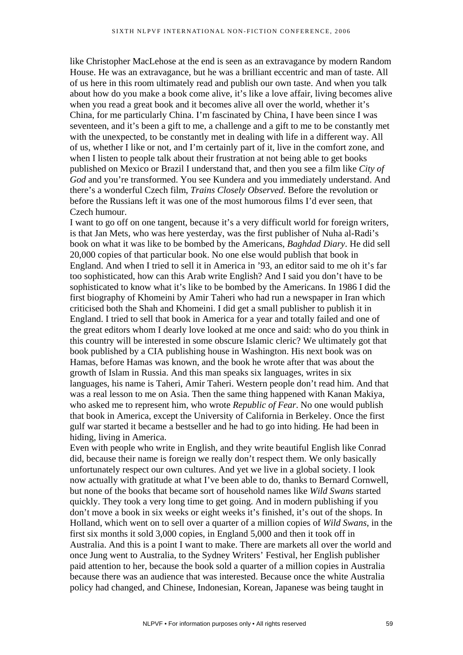like Christopher MacLehose at the end is seen as an extravagance by modern Random House. He was an extravagance, but he was a brilliant eccentric and man of taste. All of us here in this room ultimately read and publish our own taste. And when you talk about how do you make a book come alive, it's like a love affair, living becomes alive when you read a great book and it becomes alive all over the world, whether it's China, for me particularly China. I'm fascinated by China, I have been since I was seventeen, and it's been a gift to me, a challenge and a gift to me to be constantly met with the unexpected, to be constantly met in dealing with life in a different way. All of us, whether I like or not, and I'm certainly part of it, live in the comfort zone, and when I listen to people talk about their frustration at not being able to get books published on Mexico or Brazil I understand that, and then you see a film like *City of God* and you're transformed. You see Kundera and you immediately understand. And there's a wonderful Czech film, *Trains Closely Observed*. Before the revolution or before the Russians left it was one of the most humorous films I'd ever seen, that Czech humour.

I want to go off on one tangent, because it's a very difficult world for foreign writers, is that Jan Mets, who was here yesterday, was the first publisher of Nuha al-Radi's book on what it was like to be bombed by the Americans, *Baghdad Diary*. He did sell 20,000 copies of that particular book. No one else would publish that book in England. And when I tried to sell it in America in '93, an editor said to me oh it's far too sophisticated, how can this Arab write English? And I said you don't have to be sophisticated to know what it's like to be bombed by the Americans. In 1986 I did the first biography of Khomeini by Amir Taheri who had run a newspaper in Iran which criticised both the Shah and Khomeini. I did get a small publisher to publish it in England. I tried to sell that book in America for a year and totally failed and one of the great editors whom I dearly love looked at me once and said: who do you think in this country will be interested in some obscure Islamic cleric? We ultimately got that book published by a CIA publishing house in Washington. His next book was on Hamas, before Hamas was known, and the book he wrote after that was about the growth of Islam in Russia. And this man speaks six languages, writes in six languages, his name is Taheri, Amir Taheri. Western people don't read him. And that was a real lesson to me on Asia. Then the same thing happened with Kanan Makiya, who asked me to represent him, who wrote *Republic of Fear*. No one would publish that book in America, except the University of California in Berkeley. Once the first gulf war started it became a bestseller and he had to go into hiding. He had been in hiding, living in America.

Even with people who write in English, and they write beautiful English like Conrad did, because their name is foreign we really don't respect them. We only basically unfortunately respect our own cultures. And yet we live in a global society. I look now actually with gratitude at what I've been able to do, thanks to Bernard Cornwell, but none of the books that became sort of household names like *Wild Swans* started quickly. They took a very long time to get going. And in modern publishing if you don't move a book in six weeks or eight weeks it's finished, it's out of the shops. In Holland, which went on to sell over a quarter of a million copies of *Wild Swans*, in the first six months it sold 3,000 copies, in England 5,000 and then it took off in Australia. And this is a point I want to make. There are markets all over the world and once Jung went to Australia, to the Sydney Writers' Festival, her English publisher paid attention to her, because the book sold a quarter of a million copies in Australia because there was an audience that was interested. Because once the white Australia policy had changed, and Chinese, Indonesian, Korean, Japanese was being taught in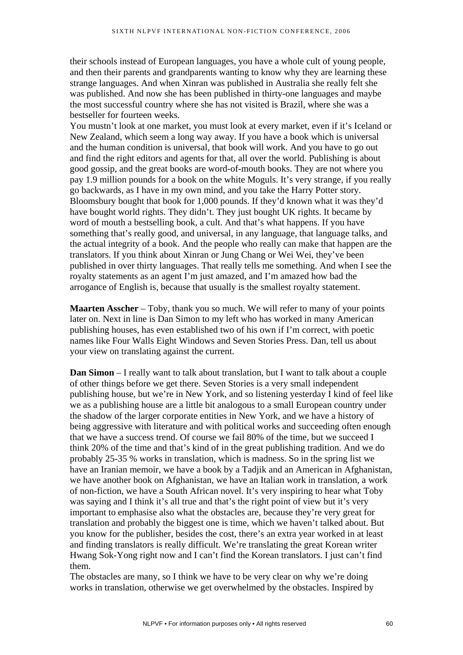their schools instead of European languages, you have a whole cult of young people, and then their parents and grandparents wanting to know why they are learning these strange languages. And when Xinran was published in Australia she really felt she was published. And now she has been published in thirty-one languages and maybe the most successful country where she has not visited is Brazil, where she was a bestseller for fourteen weeks.

You mustn't look at one market, you must look at every market, even if it's Iceland or New Zealand, which seem a long way away. If you have a book which is universal and the human condition is universal, that book will work. And you have to go out and find the right editors and agents for that, all over the world. Publishing is about good gossip, and the great books are word-of-mouth books. They are not where you pay 1.9 million pounds for a book on the white Moguls. It's very strange, if you really go backwards, as I have in my own mind, and you take the Harry Potter story. Bloomsbury bought that book for 1,000 pounds. If they'd known what it was they'd have bought world rights. They didn't. They just bought UK rights. It became by word of mouth a bestselling book, a cult. And that's what happens. If you have something that's really good, and universal, in any language, that language talks, and the actual integrity of a book. And the people who really can make that happen are the translators. If you think about Xinran or Jung Chang or Wei Wei, they've been published in over thirty languages. That really tells me something. And when I see the royalty statements as an agent I'm just amazed, and I'm amazed how bad the arrogance of English is, because that usually is the smallest royalty statement.

**Maarten Asscher** – Toby, thank you so much. We will refer to many of your points later on. Next in line is Dan Simon to my left who has worked in many American publishing houses, has even established two of his own if I'm correct, with poetic names like Four Walls Eight Windows and Seven Stories Press. Dan, tell us about your view on translating against the current.

**Dan Simon** – I really want to talk about translation, but I want to talk about a couple of other things before we get there. Seven Stories is a very small independent publishing house, but we're in New York, and so listening yesterday I kind of feel like we as a publishing house are a little bit analogous to a small European country under the shadow of the larger corporate entities in New York, and we have a history of being aggressive with literature and with political works and succeeding often enough that we have a success trend. Of course we fail 80% of the time, but we succeed I think 20% of the time and that's kind of in the great publishing tradition. And we do probably 25-35 % works in translation, which is madness. So in the spring list we have an Iranian memoir, we have a book by a Tadjik and an American in Afghanistan, we have another book on Afghanistan, we have an Italian work in translation, a work of non-fiction, we have a South African novel. It's very inspiring to hear what Toby was saying and I think it's all true and that's the right point of view but it's very important to emphasise also what the obstacles are, because they're very great for translation and probably the biggest one is time, which we haven't talked about. But you know for the publisher, besides the cost, there's an extra year worked in at least and finding translators is really difficult. We're translating the great Korean writer Hwang Sok-Yong right now and I can't find the Korean translators. I just can't find them.

The obstacles are many, so I think we have to be very clear on why we're doing works in translation, otherwise we get overwhelmed by the obstacles. Inspired by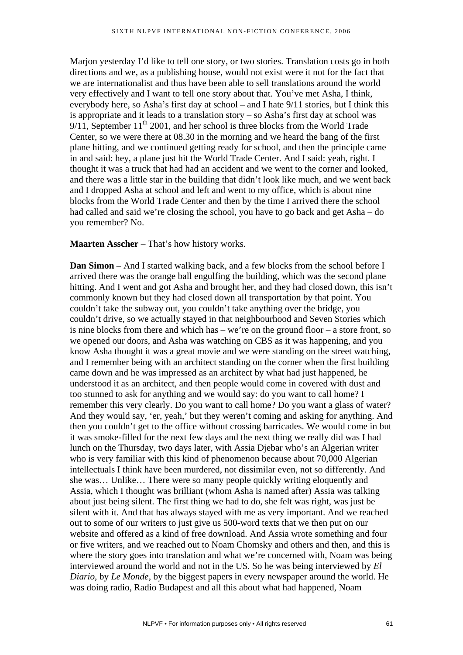Marjon yesterday I'd like to tell one story, or two stories. Translation costs go in both directions and we, as a publishing house, would not exist were it not for the fact that we are internationalist and thus have been able to sell translations around the world very effectively and I want to tell one story about that. You've met Asha, I think, everybody here, so Asha's first day at school – and I hate 9/11 stories, but I think this is appropriate and it leads to a translation story – so Asha's first day at school was  $9/11$ , September  $11<sup>th</sup>$  2001, and her school is three blocks from the World Trade Center, so we were there at 08.30 in the morning and we heard the bang of the first plane hitting, and we continued getting ready for school, and then the principle came in and said: hey, a plane just hit the World Trade Center. And I said: yeah, right. I thought it was a truck that had had an accident and we went to the corner and looked, and there was a little star in the building that didn't look like much, and we went back and I dropped Asha at school and left and went to my office, which is about nine blocks from the World Trade Center and then by the time I arrived there the school had called and said we're closing the school, you have to go back and get Asha – do you remember? No.

## **Maarten Asscher** – That's how history works.

**Dan Simon** – And I started walking back, and a few blocks from the school before I arrived there was the orange ball engulfing the building, which was the second plane hitting. And I went and got Asha and brought her, and they had closed down, this isn't commonly known but they had closed down all transportation by that point. You couldn't take the subway out, you couldn't take anything over the bridge, you couldn't drive, so we actually stayed in that neighbourhood and Seven Stories which is nine blocks from there and which has – we're on the ground floor – a store front, so we opened our doors, and Asha was watching on CBS as it was happening, and you know Asha thought it was a great movie and we were standing on the street watching, and I remember being with an architect standing on the corner when the first building came down and he was impressed as an architect by what had just happened, he understood it as an architect, and then people would come in covered with dust and too stunned to ask for anything and we would say: do you want to call home? I remember this very clearly. Do you want to call home? Do you want a glass of water? And they would say, 'er, yeah,' but they weren't coming and asking for anything. And then you couldn't get to the office without crossing barricades. We would come in but it was smoke-filled for the next few days and the next thing we really did was I had lunch on the Thursday, two days later, with Assia Djebar who's an Algerian writer who is very familiar with this kind of phenomenon because about 70,000 Algerian intellectuals I think have been murdered, not dissimilar even, not so differently. And she was… Unlike… There were so many people quickly writing eloquently and Assia, which I thought was brilliant (whom Asha is named after) Assia was talking about just being silent. The first thing we had to do, she felt was right, was just be silent with it. And that has always stayed with me as very important. And we reached out to some of our writers to just give us 500-word texts that we then put on our website and offered as a kind of free download. And Assia wrote something and four or five writers, and we reached out to Noam Chomsky and others and then, and this is where the story goes into translation and what we're concerned with, Noam was being interviewed around the world and not in the US. So he was being interviewed by *El Diario*, by *Le Monde*, by the biggest papers in every newspaper around the world. He was doing radio, Radio Budapest and all this about what had happened, Noam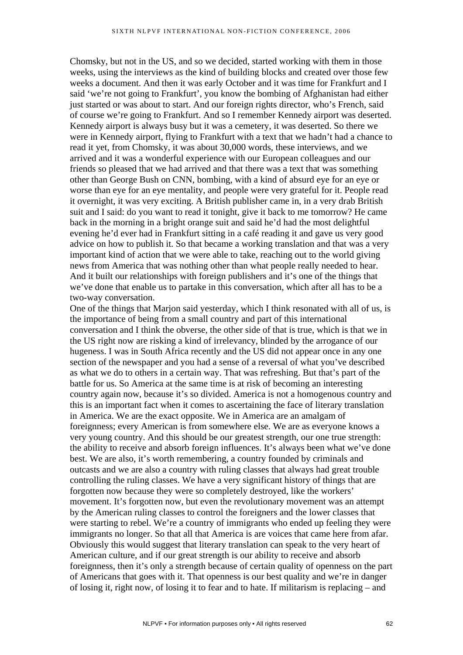Chomsky, but not in the US, and so we decided, started working with them in those weeks, using the interviews as the kind of building blocks and created over those few weeks a document. And then it was early October and it was time for Frankfurt and I said 'we're not going to Frankfurt', you know the bombing of Afghanistan had either just started or was about to start. And our foreign rights director, who's French, said of course we're going to Frankfurt. And so I remember Kennedy airport was deserted. Kennedy airport is always busy but it was a cemetery, it was deserted. So there we were in Kennedy airport, flying to Frankfurt with a text that we hadn't had a chance to read it yet, from Chomsky, it was about 30,000 words, these interviews, and we arrived and it was a wonderful experience with our European colleagues and our friends so pleased that we had arrived and that there was a text that was something other than George Bush on CNN, bombing, with a kind of absurd eye for an eye or worse than eye for an eye mentality, and people were very grateful for it. People read it overnight, it was very exciting. A British publisher came in, in a very drab British suit and I said: do you want to read it tonight, give it back to me tomorrow? He came back in the morning in a bright orange suit and said he'd had the most delightful evening he'd ever had in Frankfurt sitting in a café reading it and gave us very good advice on how to publish it. So that became a working translation and that was a very important kind of action that we were able to take, reaching out to the world giving news from America that was nothing other than what people really needed to hear. And it built our relationships with foreign publishers and it's one of the things that we've done that enable us to partake in this conversation, which after all has to be a two-way conversation.

One of the things that Marjon said yesterday, which I think resonated with all of us, is the importance of being from a small country and part of this international conversation and I think the obverse, the other side of that is true, which is that we in the US right now are risking a kind of irrelevancy, blinded by the arrogance of our hugeness. I was in South Africa recently and the US did not appear once in any one section of the newspaper and you had a sense of a reversal of what you've described as what we do to others in a certain way. That was refreshing. But that's part of the battle for us. So America at the same time is at risk of becoming an interesting country again now, because it's so divided. America is not a homogenous country and this is an important fact when it comes to ascertaining the face of literary translation in America. We are the exact opposite. We in America are an amalgam of foreignness; every American is from somewhere else. We are as everyone knows a very young country. And this should be our greatest strength, our one true strength: the ability to receive and absorb foreign influences. It's always been what we've done best. We are also, it's worth remembering, a country founded by criminals and outcasts and we are also a country with ruling classes that always had great trouble controlling the ruling classes. We have a very significant history of things that are forgotten now because they were so completely destroyed, like the workers' movement. It's forgotten now, but even the revolutionary movement was an attempt by the American ruling classes to control the foreigners and the lower classes that were starting to rebel. We're a country of immigrants who ended up feeling they were immigrants no longer. So that all that America is are voices that came here from afar. Obviously this would suggest that literary translation can speak to the very heart of American culture, and if our great strength is our ability to receive and absorb foreignness, then it's only a strength because of certain quality of openness on the part of Americans that goes with it. That openness is our best quality and we're in danger of losing it, right now, of losing it to fear and to hate. If militarism is replacing – and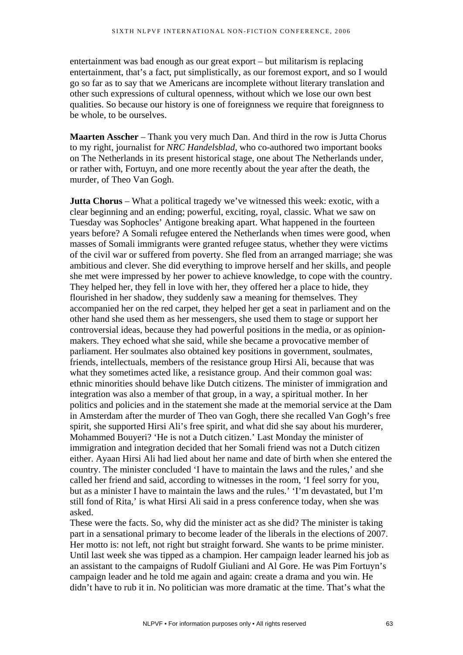entertainment was bad enough as our great export – but militarism is replacing entertainment, that's a fact, put simplistically, as our foremost export, and so I would go so far as to say that we Americans are incomplete without literary translation and other such expressions of cultural openness, without which we lose our own best qualities. So because our history is one of foreignness we require that foreignness to be whole, to be ourselves.

**Maarten Asscher** – Thank you very much Dan. And third in the row is Jutta Chorus to my right, journalist for *NRC Handelsblad*, who co-authored two important books on The Netherlands in its present historical stage, one about The Netherlands under, or rather with, Fortuyn, and one more recently about the year after the death, the murder, of Theo Van Gogh.

**Jutta Chorus** – What a political tragedy we've witnessed this week: exotic, with a clear beginning and an ending; powerful, exciting, royal, classic. What we saw on Tuesday was Sophocles' Antigone breaking apart. What happened in the fourteen years before? A Somali refugee entered the Netherlands when times were good, when masses of Somali immigrants were granted refugee status, whether they were victims of the civil war or suffered from poverty. She fled from an arranged marriage; she was ambitious and clever. She did everything to improve herself and her skills, and people she met were impressed by her power to achieve knowledge, to cope with the country. They helped her, they fell in love with her, they offered her a place to hide, they flourished in her shadow, they suddenly saw a meaning for themselves. They accompanied her on the red carpet, they helped her get a seat in parliament and on the other hand she used them as her messengers, she used them to stage or support her controversial ideas, because they had powerful positions in the media, or as opinionmakers. They echoed what she said, while she became a provocative member of parliament. Her soulmates also obtained key positions in government, soulmates, friends, intellectuals, members of the resistance group Hirsi Ali, because that was what they sometimes acted like, a resistance group. And their common goal was: ethnic minorities should behave like Dutch citizens. The minister of immigration and integration was also a member of that group, in a way, a spiritual mother. In her politics and policies and in the statement she made at the memorial service at the Dam in Amsterdam after the murder of Theo van Gogh, there she recalled Van Gogh's free spirit, she supported Hirsi Ali's free spirit, and what did she say about his murderer, Mohammed Bouyeri? 'He is not a Dutch citizen.' Last Monday the minister of immigration and integration decided that her Somali friend was not a Dutch citizen either. Ayaan Hirsi Ali had lied about her name and date of birth when she entered the country. The minister concluded 'I have to maintain the laws and the rules,' and she called her friend and said, according to witnesses in the room, 'I feel sorry for you, but as a minister I have to maintain the laws and the rules.' 'I'm devastated, but I'm still fond of Rita,' is what Hirsi Ali said in a press conference today, when she was asked.

These were the facts. So, why did the minister act as she did? The minister is taking part in a sensational primary to become leader of the liberals in the elections of 2007. Her motto is: not left, not right but straight forward. She wants to be prime minister. Until last week she was tipped as a champion. Her campaign leader learned his job as an assistant to the campaigns of Rudolf Giuliani and Al Gore. He was Pim Fortuyn's campaign leader and he told me again and again: create a drama and you win. He didn't have to rub it in. No politician was more dramatic at the time. That's what the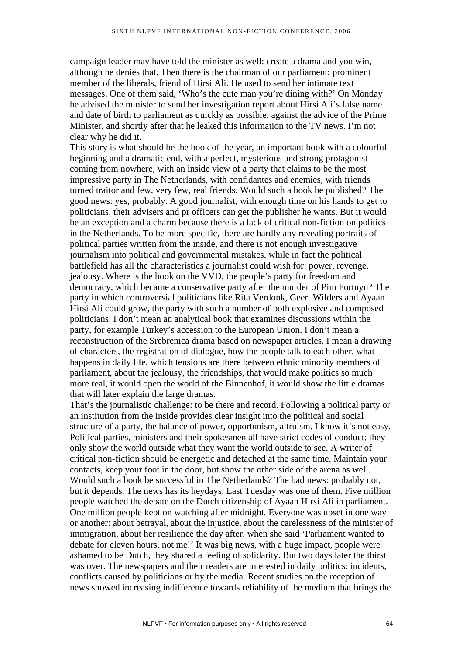campaign leader may have told the minister as well: create a drama and you win, although he denies that. Then there is the chairman of our parliament: prominent member of the liberals, friend of Hirsi Ali. He used to send her intimate text messages. One of them said, 'Who's the cute man you're dining with?' On Monday he advised the minister to send her investigation report about Hirsi Ali's false name and date of birth to parliament as quickly as possible, against the advice of the Prime Minister, and shortly after that he leaked this information to the TV news. I'm not clear why he did it.

This story is what should be the book of the year, an important book with a colourful beginning and a dramatic end, with a perfect, mysterious and strong protagonist coming from nowhere, with an inside view of a party that claims to be the most impressive party in The Netherlands, with confidantes and enemies, with friends turned traitor and few, very few, real friends. Would such a book be published? The good news: yes, probably. A good journalist, with enough time on his hands to get to politicians, their advisers and pr officers can get the publisher he wants. But it would be an exception and a charm because there is a lack of critical non-fiction on politics in the Netherlands. To be more specific, there are hardly any revealing portraits of political parties written from the inside, and there is not enough investigative journalism into political and governmental mistakes, while in fact the political battlefield has all the characteristics a journalist could wish for: power, revenge, jealousy. Where is the book on the VVD, the people's party for freedom and democracy, which became a conservative party after the murder of Pim Fortuyn? The party in which controversial politicians like Rita Verdonk, Geert Wilders and Ayaan Hirsi Ali could grow, the party with such a number of both explosive and composed politicians. I don't mean an analytical book that examines discussions within the party, for example Turkey's accession to the European Union. I don't mean a reconstruction of the Srebrenica drama based on newspaper articles. I mean a drawing of characters, the registration of dialogue, how the people talk to each other, what happens in daily life, which tensions are there between ethnic minority members of parliament, about the jealousy, the friendships, that would make politics so much more real, it would open the world of the Binnenhof, it would show the little dramas that will later explain the large dramas.

That's the journalistic challenge: to be there and record. Following a political party or an institution from the inside provides clear insight into the political and social structure of a party, the balance of power, opportunism, altruism. I know it's not easy. Political parties, ministers and their spokesmen all have strict codes of conduct; they only show the world outside what they want the world outside to see. A writer of critical non-fiction should be energetic and detached at the same time. Maintain your contacts, keep your foot in the door, but show the other side of the arena as well. Would such a book be successful in The Netherlands? The bad news: probably not, but it depends. The news has its heydays. Last Tuesday was one of them. Five million people watched the debate on the Dutch citizenship of Ayaan Hirsi Ali in parliament. One million people kept on watching after midnight. Everyone was upset in one way or another: about betrayal, about the injustice, about the carelessness of the minister of immigration, about her resilience the day after, when she said 'Parliament wanted to debate for eleven hours, not me!' It was big news, with a huge impact, people were ashamed to be Dutch, they shared a feeling of solidarity. But two days later the thirst was over. The newspapers and their readers are interested in daily politics: incidents, conflicts caused by politicians or by the media. Recent studies on the reception of news showed increasing indifference towards reliability of the medium that brings the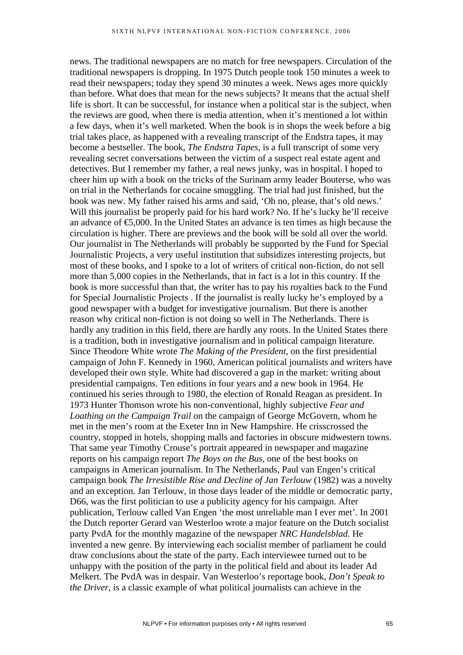news. The traditional newspapers are no match for free newspapers. Circulation of the traditional newspapers is dropping. In 1975 Dutch people took 150 minutes a week to read their newspapers; today they spend 30 minutes a week. News ages more quickly than before. What does that mean for the news subjects? It means that the actual shelf life is short. It can be successful, for instance when a political star is the subject, when the reviews are good, when there is media attention, when it's mentioned a lot within a few days, when it's well marketed. When the book is in shops the week before a big trial takes place, as happened with a revealing transcript of the Endstra tapes, it may become a bestseller. The book, *The Endstra Tapes*, is a full transcript of some very revealing secret conversations between the victim of a suspect real estate agent and detectives. But I remember my father, a real news junky, was in hospital. I hoped to cheer him up with a book on the tricks of the Surinam army leader Bouterse, who was on trial in the Netherlands for cocaine smuggling. The trial had just finished, but the book was new. My father raised his arms and said, 'Oh no, please, that's old news.' Will this journalist be properly paid for his hard work? No. If he's lucky he'll receive an advance of €5,000. In the United States an advance is ten times as high because the circulation is higher. There are previews and the book will be sold all over the world. Our journalist in The Netherlands will probably be supported by the Fund for Special Journalistic Projects, a very useful institution that subsidizes interesting projects, but most of these books, and I spoke to a lot of writers of critical non-fiction, do not sell more than 5,000 copies in the Netherlands, that in fact is a lot in this country. If the book is more successful than that, the writer has to pay his royalties back to the Fund for Special Journalistic Projects . If the journalist is really lucky he's employed by a good newspaper with a budget for investigative journalism. But there is another reason why critical non-fiction is not doing so well in The Netherlands. There is hardly any tradition in this field, there are hardly any roots. In the United States there is a tradition, both in investigative journalism and in political campaign literature. Since Theodore White wrote *The Making of the President*, on the first presidential campaign of John F. Kennedy in 1960, American political journalists and writers have developed their own style. White had discovered a gap in the market: writing about presidential campaigns. Ten editions in four years and a new book in 1964. He continued his series through to 1980, the election of Ronald Reagan as president. In 1973 Hunter Thomson wrote his non-conventional, highly subjective *Fear and Loathing on the Campaign Trail* on the campaign of George McGovern, whom he met in the men's room at the Exeter Inn in New Hampshire. He crisscrossed the country, stopped in hotels, shopping malls and factories in obscure midwestern towns. That same year Timothy Crouse's portrait appeared in newspaper and magazine reports on his campaign report *The Boys on the Bus,* one of the best books on campaigns in American journalism. In The Netherlands, Paul van Engen's critical campaign book *The Irresistible Rise and Decline of Jan Terlouw* (1982) was a novelty and an exception. Jan Terlouw, in those days leader of the middle or democratic party, D66, was the first politician to use a publicity agency for his campaign. After publication, Terlouw called Van Engen 'the most unreliable man I ever met'. In 2001 the Dutch reporter Gerard van Westerloo wrote a major feature on the Dutch socialist party PvdA for the monthly magazine of the newspaper *NRC Handelsblad*. He invented a new genre. By interviewing each socialist member of parliament he could draw conclusions about the state of the party. Each interviewee turned out to be unhappy with the position of the party in the political field and about its leader Ad Melkert. The PvdA was in despair. Van Westerloo's reportage book, *Don't Speak to the Driver*, is a classic example of what political journalists can achieve in the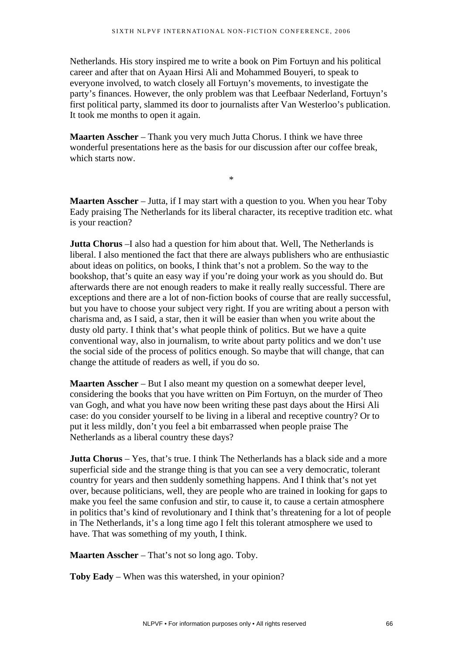Netherlands. His story inspired me to write a book on Pim Fortuyn and his political career and after that on Ayaan Hirsi Ali and Mohammed Bouyeri, to speak to everyone involved, to watch closely all Fortuyn's movements, to investigate the party's finances. However, the only problem was that Leefbaar Nederland, Fortuyn's first political party, slammed its door to journalists after Van Westerloo's publication. It took me months to open it again.

**Maarten Asscher** – Thank you very much Jutta Chorus. I think we have three wonderful presentations here as the basis for our discussion after our coffee break, which starts now.

**Maarten Asscher** – Jutta, if I may start with a question to you. When you hear Toby Eady praising The Netherlands for its liberal character, its receptive tradition etc. what is your reaction?

\*

**Jutta Chorus** –I also had a question for him about that. Well, The Netherlands is liberal. I also mentioned the fact that there are always publishers who are enthusiastic about ideas on politics, on books, I think that's not a problem. So the way to the bookshop, that's quite an easy way if you're doing your work as you should do. But afterwards there are not enough readers to make it really really successful. There are exceptions and there are a lot of non-fiction books of course that are really successful, but you have to choose your subject very right. If you are writing about a person with charisma and, as I said, a star, then it will be easier than when you write about the dusty old party. I think that's what people think of politics. But we have a quite conventional way, also in journalism, to write about party politics and we don't use the social side of the process of politics enough. So maybe that will change, that can change the attitude of readers as well, if you do so.

**Maarten Asscher** – But I also meant my question on a somewhat deeper level, considering the books that you have written on Pim Fortuyn, on the murder of Theo van Gogh, and what you have now been writing these past days about the Hirsi Ali case: do you consider yourself to be living in a liberal and receptive country? Or to put it less mildly, don't you feel a bit embarrassed when people praise The Netherlands as a liberal country these days?

**Jutta Chorus** – Yes, that's true. I think The Netherlands has a black side and a more superficial side and the strange thing is that you can see a very democratic, tolerant country for years and then suddenly something happens. And I think that's not yet over, because politicians, well, they are people who are trained in looking for gaps to make you feel the same confusion and stir, to cause it, to cause a certain atmosphere in politics that's kind of revolutionary and I think that's threatening for a lot of people in The Netherlands, it's a long time ago I felt this tolerant atmosphere we used to have. That was something of my youth, I think.

**Maarten Asscher** – That's not so long ago. Toby.

**Toby Eady** – When was this watershed, in your opinion?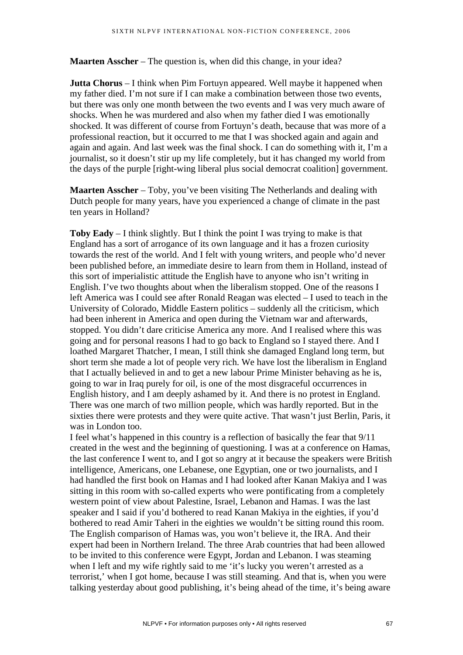**Maarten Asscher** – The question is, when did this change, in your idea?

**Jutta Chorus** – I think when Pim Fortuyn appeared. Well maybe it happened when my father died. I'm not sure if I can make a combination between those two events, but there was only one month between the two events and I was very much aware of shocks. When he was murdered and also when my father died I was emotionally shocked. It was different of course from Fortuyn's death, because that was more of a professional reaction, but it occurred to me that I was shocked again and again and again and again. And last week was the final shock. I can do something with it, I'm a journalist, so it doesn't stir up my life completely, but it has changed my world from the days of the purple [right-wing liberal plus social democrat coalition] government.

**Maarten Asscher** – Toby, you've been visiting The Netherlands and dealing with Dutch people for many years, have you experienced a change of climate in the past ten years in Holland?

**Toby Eady** – I think slightly. But I think the point I was trying to make is that England has a sort of arrogance of its own language and it has a frozen curiosity towards the rest of the world. And I felt with young writers, and people who'd never been published before, an immediate desire to learn from them in Holland, instead of this sort of imperialistic attitude the English have to anyone who isn't writing in English. I've two thoughts about when the liberalism stopped. One of the reasons I left America was I could see after Ronald Reagan was elected – I used to teach in the University of Colorado, Middle Eastern politics – suddenly all the criticism, which had been inherent in America and open during the Vietnam war and afterwards, stopped. You didn't dare criticise America any more. And I realised where this was going and for personal reasons I had to go back to England so I stayed there. And I loathed Margaret Thatcher, I mean, I still think she damaged England long term, but short term she made a lot of people very rich. We have lost the liberalism in England that I actually believed in and to get a new labour Prime Minister behaving as he is, going to war in Iraq purely for oil, is one of the most disgraceful occurrences in English history, and I am deeply ashamed by it. And there is no protest in England. There was one march of two million people, which was hardly reported. But in the sixties there were protests and they were quite active. That wasn't just Berlin, Paris, it was in London too.

I feel what's happened in this country is a reflection of basically the fear that 9/11 created in the west and the beginning of questioning. I was at a conference on Hamas, the last conference I went to, and I got so angry at it because the speakers were British intelligence, Americans, one Lebanese, one Egyptian, one or two journalists, and I had handled the first book on Hamas and I had looked after Kanan Makiya and I was sitting in this room with so-called experts who were pontificating from a completely western point of view about Palestine, Israel, Lebanon and Hamas. I was the last speaker and I said if you'd bothered to read Kanan Makiya in the eighties, if you'd bothered to read Amir Taheri in the eighties we wouldn't be sitting round this room. The English comparison of Hamas was, you won't believe it, the IRA. And their expert had been in Northern Ireland. The three Arab countries that had been allowed to be invited to this conference were Egypt, Jordan and Lebanon. I was steaming when I left and my wife rightly said to me 'it's lucky you weren't arrested as a terrorist,' when I got home, because I was still steaming. And that is, when you were talking yesterday about good publishing, it's being ahead of the time, it's being aware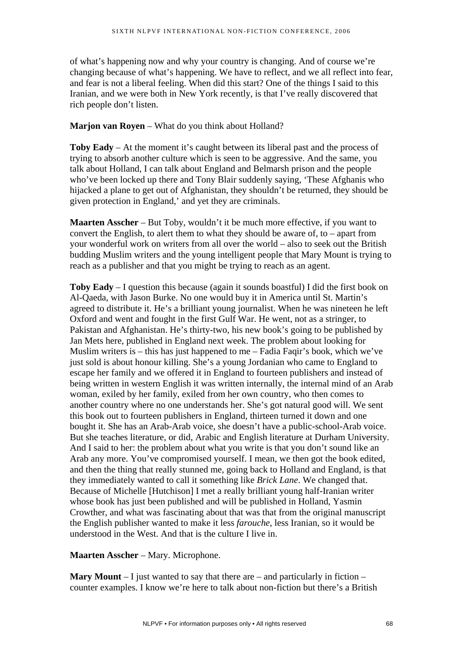of what's happening now and why your country is changing. And of course we're changing because of what's happening. We have to reflect, and we all reflect into fear, and fear is not a liberal feeling. When did this start? One of the things I said to this Iranian, and we were both in New York recently, is that I've really discovered that rich people don't listen.

# **Marjon van Royen** – What do you think about Holland?

**Toby Eady** – At the moment it's caught between its liberal past and the process of trying to absorb another culture which is seen to be aggressive. And the same, you talk about Holland, I can talk about England and Belmarsh prison and the people who've been locked up there and Tony Blair suddenly saying, 'These Afghanis who hijacked a plane to get out of Afghanistan, they shouldn't be returned, they should be given protection in England,' and yet they are criminals.

**Maarten Asscher** – But Toby, wouldn't it be much more effective, if you want to convert the English, to alert them to what they should be aware of, to – apart from your wonderful work on writers from all over the world – also to seek out the British budding Muslim writers and the young intelligent people that Mary Mount is trying to reach as a publisher and that you might be trying to reach as an agent.

**Toby Eady** – I question this because (again it sounds boastful) I did the first book on Al-Qaeda, with Jason Burke. No one would buy it in America until St. Martin's agreed to distribute it. He's a brilliant young journalist. When he was nineteen he left Oxford and went and fought in the first Gulf War. He went, not as a stringer, to Pakistan and Afghanistan. He's thirty-two, his new book's going to be published by Jan Mets here, published in England next week. The problem about looking for Muslim writers is – this has just happened to me – Fadia Faqir's book, which we've just sold is about honour killing. She's a young Jordanian who came to England to escape her family and we offered it in England to fourteen publishers and instead of being written in western English it was written internally, the internal mind of an Arab woman, exiled by her family, exiled from her own country, who then comes to another country where no one understands her. She's got natural good will. We sent this book out to fourteen publishers in England, thirteen turned it down and one bought it. She has an Arab-Arab voice, she doesn't have a public-school-Arab voice. But she teaches literature, or did, Arabic and English literature at Durham University. And I said to her: the problem about what you write is that you don't sound like an Arab any more. You've compromised yourself. I mean, we then got the book edited, and then the thing that really stunned me, going back to Holland and England, is that they immediately wanted to call it something like *Brick Lane*. We changed that. Because of Michelle [Hutchison] I met a really brilliant young half-Iranian writer whose book has just been published and will be published in Holland, Yasmin Crowther, and what was fascinating about that was that from the original manuscript the English publisher wanted to make it less *farouche*, less Iranian, so it would be understood in the West. And that is the culture I live in.

**Maarten Asscher** – Mary. Microphone.

**Mary Mount** – I just wanted to say that there are – and particularly in fiction – counter examples. I know we're here to talk about non-fiction but there's a British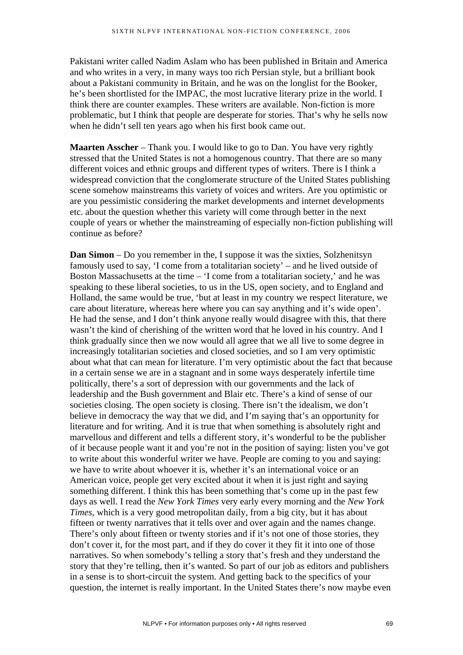Pakistani writer called Nadim Aslam who has been published in Britain and America and who writes in a very, in many ways too rich Persian style, but a brilliant book about a Pakistani community in Britain, and he was on the longlist for the Booker, he's been shortlisted for the IMPAC, the most lucrative literary prize in the world. I think there are counter examples. These writers are available. Non-fiction is more problematic, but I think that people are desperate for stories. That's why he sells now when he didn't sell ten years ago when his first book came out.

**Maarten Asscher** – Thank you. I would like to go to Dan. You have very rightly stressed that the United States is not a homogenous country. That there are so many different voices and ethnic groups and different types of writers. There is I think a widespread conviction that the conglomerate structure of the United States publishing scene somehow mainstreams this variety of voices and writers. Are you optimistic or are you pessimistic considering the market developments and internet developments etc. about the question whether this variety will come through better in the next couple of years or whether the mainstreaming of especially non-fiction publishing will continue as before?

**Dan Simon** – Do you remember in the, I suppose it was the sixties, Solzhenitsyn famously used to say, 'I come from a totalitarian society' – and he lived outside of Boston Massachusetts at the time – 'I come from a totalitarian society,' and he was speaking to these liberal societies, to us in the US, open society, and to England and Holland, the same would be true, 'but at least in my country we respect literature, we care about literature, whereas here where you can say anything and it's wide open'. He had the sense, and I don't think anyone really would disagree with this, that there wasn't the kind of cherishing of the written word that he loved in his country. And I think gradually since then we now would all agree that we all live to some degree in increasingly totalitarian societies and closed societies, and so I am very optimistic about what that can mean for literature. I'm very optimistic about the fact that because in a certain sense we are in a stagnant and in some ways desperately infertile time politically, there's a sort of depression with our governments and the lack of leadership and the Bush government and Blair etc. There's a kind of sense of our societies closing. The open society is closing. There isn't the idealism, we don't believe in democracy the way that we did, and I'm saying that's an opportunity for literature and for writing. And it is true that when something is absolutely right and marvellous and different and tells a different story, it's wonderful to be the publisher of it because people want it and you're not in the position of saying: listen you've got to write about this wonderful writer we have. People are coming to you and saying: we have to write about whoever it is, whether it's an international voice or an American voice, people get very excited about it when it is just right and saying something different. I think this has been something that's come up in the past few days as well. I read the *New York Times* very early every morning and the *New York Times*, which is a very good metropolitan daily, from a big city, but it has about fifteen or twenty narratives that it tells over and over again and the names change. There's only about fifteen or twenty stories and if it's not one of those stories, they don't cover it, for the most part, and if they do cover it they fit it into one of those narratives. So when somebody's telling a story that's fresh and they understand the story that they're telling, then it's wanted. So part of our job as editors and publishers in a sense is to short-circuit the system. And getting back to the specifics of your question, the internet is really important. In the United States there's now maybe even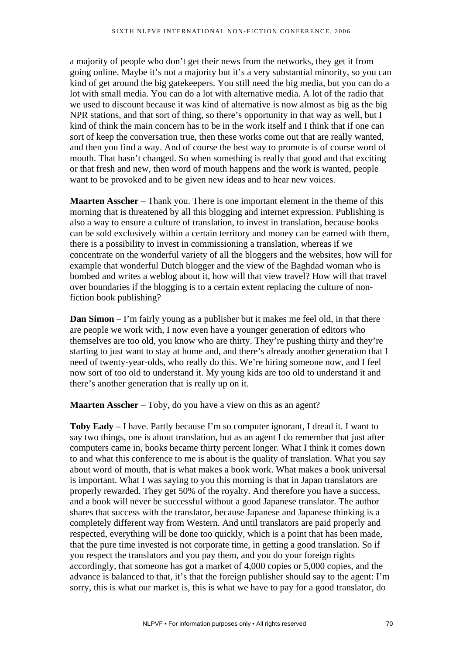a majority of people who don't get their news from the networks, they get it from going online. Maybe it's not a majority but it's a very substantial minority, so you can kind of get around the big gatekeepers. You still need the big media, but you can do a lot with small media. You can do a lot with alternative media. A lot of the radio that we used to discount because it was kind of alternative is now almost as big as the big NPR stations, and that sort of thing, so there's opportunity in that way as well, but I kind of think the main concern has to be in the work itself and I think that if one can sort of keep the conversation true, then these works come out that are really wanted, and then you find a way. And of course the best way to promote is of course word of mouth. That hasn't changed. So when something is really that good and that exciting or that fresh and new, then word of mouth happens and the work is wanted, people want to be provoked and to be given new ideas and to hear new voices.

**Maarten Asscher** – Thank you. There is one important element in the theme of this morning that is threatened by all this blogging and internet expression. Publishing is also a way to ensure a culture of translation, to invest in translation, because books can be sold exclusively within a certain territory and money can be earned with them, there is a possibility to invest in commissioning a translation, whereas if we concentrate on the wonderful variety of all the bloggers and the websites, how will for example that wonderful Dutch blogger and the view of the Baghdad woman who is bombed and writes a weblog about it, how will that view travel? How will that travel over boundaries if the blogging is to a certain extent replacing the culture of nonfiction book publishing?

**Dan Simon** – I'm fairly young as a publisher but it makes me feel old, in that there are people we work with, I now even have a younger generation of editors who themselves are too old, you know who are thirty. They're pushing thirty and they're starting to just want to stay at home and, and there's already another generation that I need of twenty-year-olds, who really do this. We're hiring someone now, and I feel now sort of too old to understand it. My young kids are too old to understand it and there's another generation that is really up on it.

**Maarten Asscher** – Toby, do you have a view on this as an agent?

**Toby Eady** – I have. Partly because I'm so computer ignorant, I dread it. I want to say two things, one is about translation, but as an agent I do remember that just after computers came in, books became thirty percent longer. What I think it comes down to and what this conference to me is about is the quality of translation. What you say about word of mouth, that is what makes a book work. What makes a book universal is important. What I was saying to you this morning is that in Japan translators are properly rewarded. They get 50% of the royalty. And therefore you have a success, and a book will never be successful without a good Japanese translator. The author shares that success with the translator, because Japanese and Japanese thinking is a completely different way from Western. And until translators are paid properly and respected, everything will be done too quickly, which is a point that has been made, that the pure time invested is not corporate time, in getting a good translation. So if you respect the translators and you pay them, and you do your foreign rights accordingly, that someone has got a market of 4,000 copies or 5,000 copies, and the advance is balanced to that, it's that the foreign publisher should say to the agent: I'm sorry, this is what our market is, this is what we have to pay for a good translator, do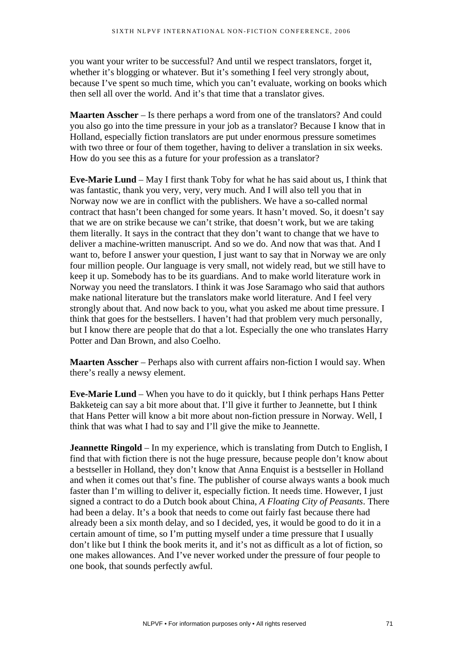you want your writer to be successful? And until we respect translators, forget it, whether it's blogging or whatever. But it's something I feel very strongly about, because I've spent so much time, which you can't evaluate, working on books which then sell all over the world. And it's that time that a translator gives.

**Maarten Asscher** – Is there perhaps a word from one of the translators? And could you also go into the time pressure in your job as a translator? Because I know that in Holland, especially fiction translators are put under enormous pressure sometimes with two three or four of them together, having to deliver a translation in six weeks. How do you see this as a future for your profession as a translator?

**Eve-Marie Lund** – May I first thank Toby for what he has said about us, I think that was fantastic, thank you very, very, very much. And I will also tell you that in Norway now we are in conflict with the publishers. We have a so-called normal contract that hasn't been changed for some years. It hasn't moved. So, it doesn't say that we are on strike because we can't strike, that doesn't work, but we are taking them literally. It says in the contract that they don't want to change that we have to deliver a machine-written manuscript. And so we do. And now that was that. And I want to, before I answer your question, I just want to say that in Norway we are only four million people. Our language is very small, not widely read, but we still have to keep it up. Somebody has to be its guardians. And to make world literature work in Norway you need the translators. I think it was Jose Saramago who said that authors make national literature but the translators make world literature. And I feel very strongly about that. And now back to you, what you asked me about time pressure. I think that goes for the bestsellers. I haven't had that problem very much personally, but I know there are people that do that a lot. Especially the one who translates Harry Potter and Dan Brown, and also Coelho.

**Maarten Asscher** – Perhaps also with current affairs non-fiction I would say. When there's really a newsy element.

**Eve-Marie Lund** – When you have to do it quickly, but I think perhaps Hans Petter Bakketeig can say a bit more about that. I'll give it further to Jeannette, but I think that Hans Petter will know a bit more about non-fiction pressure in Norway. Well, I think that was what I had to say and I'll give the mike to Jeannette.

**Jeannette Ringold** – In my experience, which is translating from Dutch to English, I find that with fiction there is not the huge pressure, because people don't know about a bestseller in Holland, they don't know that Anna Enquist is a bestseller in Holland and when it comes out that's fine. The publisher of course always wants a book much faster than I'm willing to deliver it, especially fiction. It needs time. However, I just signed a contract to do a Dutch book about China, *A Floating City of Peasants*. There had been a delay. It's a book that needs to come out fairly fast because there had already been a six month delay, and so I decided, yes, it would be good to do it in a certain amount of time, so I'm putting myself under a time pressure that I usually don't like but I think the book merits it, and it's not as difficult as a lot of fiction, so one makes allowances. And I've never worked under the pressure of four people to one book, that sounds perfectly awful.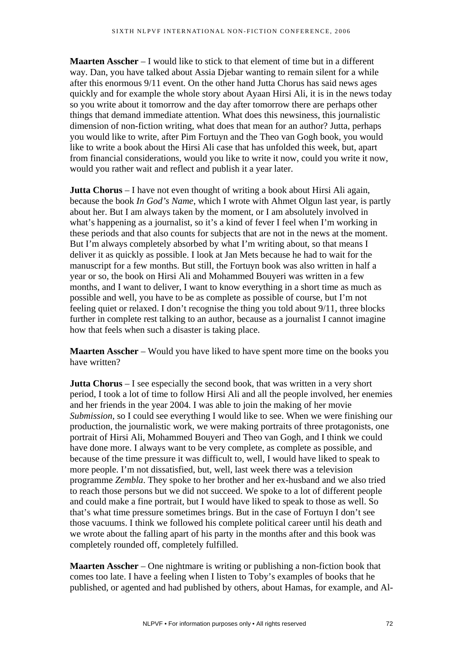**Maarten Asscher** – I would like to stick to that element of time but in a different way. Dan, you have talked about Assia Djebar wanting to remain silent for a while after this enormous 9/11 event. On the other hand Jutta Chorus has said news ages quickly and for example the whole story about Ayaan Hirsi Ali, it is in the news today so you write about it tomorrow and the day after tomorrow there are perhaps other things that demand immediate attention. What does this newsiness, this journalistic dimension of non-fiction writing, what does that mean for an author? Jutta, perhaps you would like to write, after Pim Fortuyn and the Theo van Gogh book, you would like to write a book about the Hirsi Ali case that has unfolded this week, but, apart from financial considerations, would you like to write it now, could you write it now, would you rather wait and reflect and publish it a year later.

**Jutta Chorus** – I have not even thought of writing a book about Hirsi Ali again, because the book *In God's Name*, which I wrote with Ahmet Olgun last year, is partly about her. But I am always taken by the moment, or I am absolutely involved in what's happening as a journalist, so it's a kind of fever I feel when I'm working in these periods and that also counts for subjects that are not in the news at the moment. But I'm always completely absorbed by what I'm writing about, so that means I deliver it as quickly as possible. I look at Jan Mets because he had to wait for the manuscript for a few months. But still, the Fortuyn book was also written in half a year or so, the book on Hirsi Ali and Mohammed Bouyeri was written in a few months, and I want to deliver, I want to know everything in a short time as much as possible and well, you have to be as complete as possible of course, but I'm not feeling quiet or relaxed. I don't recognise the thing you told about 9/11, three blocks further in complete rest talking to an author, because as a journalist I cannot imagine how that feels when such a disaster is taking place.

**Maarten Asscher** – Would you have liked to have spent more time on the books you have written?

**Jutta Chorus** – I see especially the second book, that was written in a very short period, I took a lot of time to follow Hirsi Ali and all the people involved, her enemies and her friends in the year 2004. I was able to join the making of her movie *Submission*, so I could see everything I would like to see. When we were finishing our production, the journalistic work, we were making portraits of three protagonists, one portrait of Hirsi Ali, Mohammed Bouyeri and Theo van Gogh, and I think we could have done more. I always want to be very complete, as complete as possible, and because of the time pressure it was difficult to, well, I would have liked to speak to more people. I'm not dissatisfied, but, well, last week there was a television programme *Zembla*. They spoke to her brother and her ex-husband and we also tried to reach those persons but we did not succeed. We spoke to a lot of different people and could make a fine portrait, but I would have liked to speak to those as well. So that's what time pressure sometimes brings. But in the case of Fortuyn I don't see those vacuums. I think we followed his complete political career until his death and we wrote about the falling apart of his party in the months after and this book was completely rounded off, completely fulfilled.

**Maarten Asscher** – One nightmare is writing or publishing a non-fiction book that comes too late. I have a feeling when I listen to Toby's examples of books that he published, or agented and had published by others, about Hamas, for example, and Al-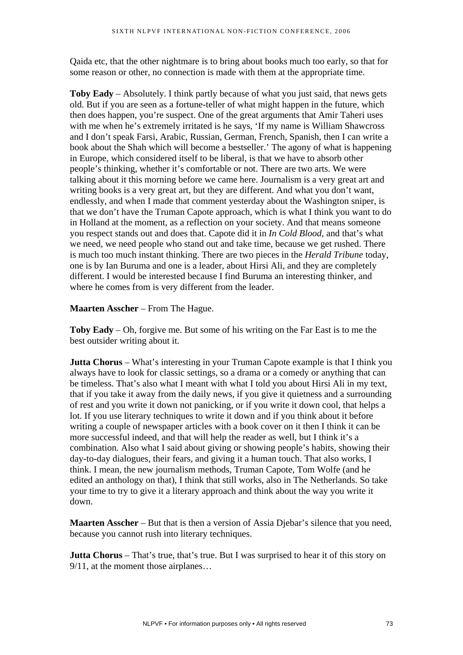Qaida etc, that the other nightmare is to bring about books much too early, so that for some reason or other, no connection is made with them at the appropriate time.

**Toby Eady** – Absolutely. I think partly because of what you just said, that news gets old. But if you are seen as a fortune-teller of what might happen in the future, which then does happen, you're suspect. One of the great arguments that Amir Taheri uses with me when he's extremely irritated is he says, 'If my name is William Shawcross and I don't speak Farsi, Arabic, Russian, German, French, Spanish, then I can write a book about the Shah which will become a bestseller.' The agony of what is happening in Europe, which considered itself to be liberal, is that we have to absorb other people's thinking, whether it's comfortable or not. There are two arts. We were talking about it this morning before we came here. Journalism is a very great art and writing books is a very great art, but they are different. And what you don't want, endlessly, and when I made that comment yesterday about the Washington sniper, is that we don't have the Truman Capote approach, which is what I think you want to do in Holland at the moment, as a reflection on your society. And that means someone you respect stands out and does that. Capote did it in *In Cold Blood*, and that's what we need, we need people who stand out and take time, because we get rushed. There is much too much instant thinking. There are two pieces in the *Herald Tribune* today, one is by Ian Buruma and one is a leader, about Hirsi Ali, and they are completely different. I would be interested because I find Buruma an interesting thinker, and where he comes from is very different from the leader.

**Maarten Asscher** – From The Hague.

**Toby Eady** – Oh, forgive me. But some of his writing on the Far East is to me the best outsider writing about it.

**Jutta Chorus** – What's interesting in your Truman Capote example is that I think you always have to look for classic settings, so a drama or a comedy or anything that can be timeless. That's also what I meant with what I told you about Hirsi Ali in my text, that if you take it away from the daily news, if you give it quietness and a surrounding of rest and you write it down not panicking, or if you write it down cool, that helps a lot. If you use literary techniques to write it down and if you think about it before writing a couple of newspaper articles with a book cover on it then I think it can be more successful indeed, and that will help the reader as well, but I think it's a combination. Also what I said about giving or showing people's habits, showing their day-to-day dialogues, their fears, and giving it a human touch. That also works, I think. I mean, the new journalism methods, Truman Capote, Tom Wolfe (and he edited an anthology on that), I think that still works, also in The Netherlands. So take your time to try to give it a literary approach and think about the way you write it down.

**Maarten Asscher** – But that is then a version of Assia Djebar's silence that you need, because you cannot rush into literary techniques.

**Jutta Chorus** – That's true, that's true. But I was surprised to hear it of this story on 9/11, at the moment those airplanes…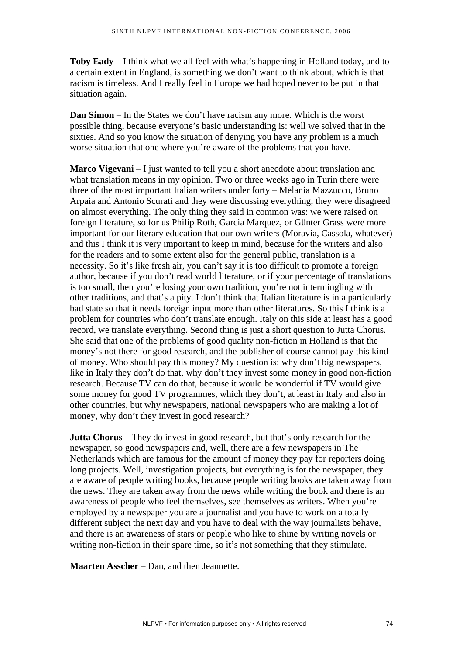**Toby Eady** – I think what we all feel with what's happening in Holland today, and to a certain extent in England, is something we don't want to think about, which is that racism is timeless. And I really feel in Europe we had hoped never to be put in that situation again.

**Dan Simon** – In the States we don't have racism any more. Which is the worst possible thing, because everyone's basic understanding is: well we solved that in the sixties. And so you know the situation of denying you have any problem is a much worse situation that one where you're aware of the problems that you have.

**Marco Vigevani** – I just wanted to tell you a short anecdote about translation and what translation means in my opinion. Two or three weeks ago in Turin there were three of the most important Italian writers under forty – Melania Mazzucco, Bruno Arpaia and Antonio Scurati and they were discussing everything, they were disagreed on almost everything. The only thing they said in common was: we were raised on foreign literature, so for us Philip Roth, Garcia Marquez, or Günter Grass were more important for our literary education that our own writers (Moravia, Cassola, whatever) and this I think it is very important to keep in mind, because for the writers and also for the readers and to some extent also for the general public, translation is a necessity. So it's like fresh air, you can't say it is too difficult to promote a foreign author, because if you don't read world literature, or if your percentage of translations is too small, then you're losing your own tradition, you're not intermingling with other traditions, and that's a pity. I don't think that Italian literature is in a particularly bad state so that it needs foreign input more than other literatures. So this I think is a problem for countries who don't translate enough. Italy on this side at least has a good record, we translate everything. Second thing is just a short question to Jutta Chorus. She said that one of the problems of good quality non-fiction in Holland is that the money's not there for good research, and the publisher of course cannot pay this kind of money. Who should pay this money? My question is: why don't big newspapers, like in Italy they don't do that, why don't they invest some money in good non-fiction research. Because TV can do that, because it would be wonderful if TV would give some money for good TV programmes, which they don't, at least in Italy and also in other countries, but why newspapers, national newspapers who are making a lot of money, why don't they invest in good research?

**Jutta Chorus** – They do invest in good research, but that's only research for the newspaper, so good newspapers and, well, there are a few newspapers in The Netherlands which are famous for the amount of money they pay for reporters doing long projects. Well, investigation projects, but everything is for the newspaper, they are aware of people writing books, because people writing books are taken away from the news. They are taken away from the news while writing the book and there is an awareness of people who feel themselves, see themselves as writers. When you're employed by a newspaper you are a journalist and you have to work on a totally different subject the next day and you have to deal with the way journalists behave, and there is an awareness of stars or people who like to shine by writing novels or writing non-fiction in their spare time, so it's not something that they stimulate.

**Maarten Asscher** – Dan, and then Jeannette.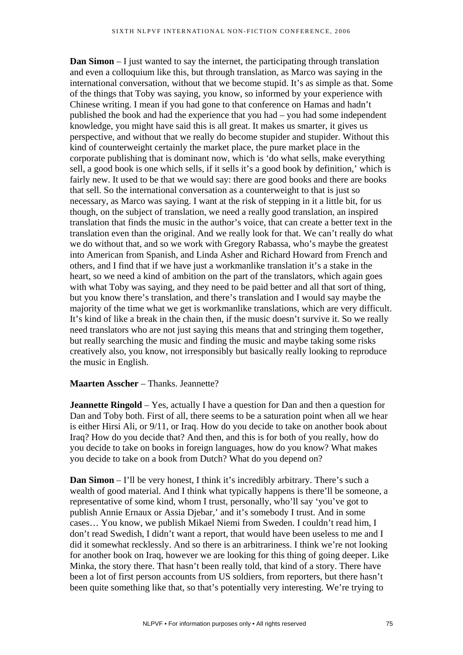**Dan Simon** – I just wanted to say the internet, the participating through translation and even a colloquium like this, but through translation, as Marco was saying in the international conversation, without that we become stupid. It's as simple as that. Some of the things that Toby was saying, you know, so informed by your experience with Chinese writing. I mean if you had gone to that conference on Hamas and hadn't published the book and had the experience that you had – you had some independent knowledge, you might have said this is all great. It makes us smarter, it gives us perspective, and without that we really do become stupider and stupider. Without this kind of counterweight certainly the market place, the pure market place in the corporate publishing that is dominant now, which is 'do what sells, make everything sell, a good book is one which sells, if it sells it's a good book by definition,' which is fairly new. It used to be that we would say: there are good books and there are books that sell. So the international conversation as a counterweight to that is just so necessary, as Marco was saying. I want at the risk of stepping in it a little bit, for us though, on the subject of translation, we need a really good translation, an inspired translation that finds the music in the author's voice, that can create a better text in the translation even than the original. And we really look for that. We can't really do what we do without that, and so we work with Gregory Rabassa, who's maybe the greatest into American from Spanish, and Linda Asher and Richard Howard from French and others, and I find that if we have just a workmanlike translation it's a stake in the heart, so we need a kind of ambition on the part of the translators, which again goes with what Toby was saying, and they need to be paid better and all that sort of thing, but you know there's translation, and there's translation and I would say maybe the majority of the time what we get is workmanlike translations, which are very difficult. It's kind of like a break in the chain then, if the music doesn't survive it. So we really need translators who are not just saying this means that and stringing them together, but really searching the music and finding the music and maybe taking some risks creatively also, you know, not irresponsibly but basically really looking to reproduce the music in English.

## **Maarten Asscher** – Thanks. Jeannette?

**Jeannette Ringold** – Yes, actually I have a question for Dan and then a question for Dan and Toby both. First of all, there seems to be a saturation point when all we hear is either Hirsi Ali, or 9/11, or Iraq. How do you decide to take on another book about Iraq? How do you decide that? And then, and this is for both of you really, how do you decide to take on books in foreign languages, how do you know? What makes you decide to take on a book from Dutch? What do you depend on?

**Dan Simon** – I'll be very honest, I think it's incredibly arbitrary. There's such a wealth of good material. And I think what typically happens is there'll be someone, a representative of some kind, whom I trust, personally, who'll say 'you've got to publish Annie Ernaux or Assia Djebar,' and it's somebody I trust. And in some cases… You know, we publish Mikael Niemi from Sweden. I couldn't read him, I don't read Swedish, I didn't want a report, that would have been useless to me and I did it somewhat recklessly. And so there is an arbitrariness. I think we're not looking for another book on Iraq, however we are looking for this thing of going deeper. Like Minka, the story there. That hasn't been really told, that kind of a story. There have been a lot of first person accounts from US soldiers, from reporters, but there hasn't been quite something like that, so that's potentially very interesting. We're trying to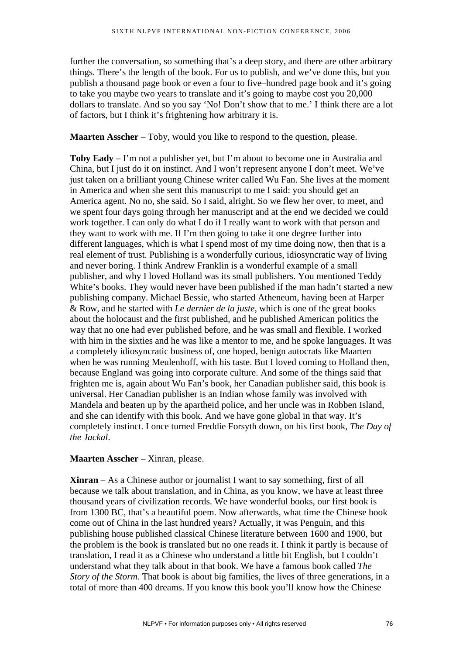further the conversation, so something that's a deep story, and there are other arbitrary things. There's the length of the book. For us to publish, and we've done this, but you publish a thousand page book or even a four to five–hundred page book and it's going to take you maybe two years to translate and it's going to maybe cost you 20,000 dollars to translate. And so you say 'No! Don't show that to me.' I think there are a lot of factors, but I think it's frightening how arbitrary it is.

**Maarten Asscher** – Toby, would you like to respond to the question, please.

**Toby Eady** – I'm not a publisher yet, but I'm about to become one in Australia and China, but I just do it on instinct. And I won't represent anyone I don't meet. We've just taken on a brilliant young Chinese writer called Wu Fan. She lives at the moment in America and when she sent this manuscript to me I said: you should get an America agent. No no, she said. So I said, alright. So we flew her over, to meet, and we spent four days going through her manuscript and at the end we decided we could work together. I can only do what I do if I really want to work with that person and they want to work with me. If I'm then going to take it one degree further into different languages, which is what I spend most of my time doing now, then that is a real element of trust. Publishing is a wonderfully curious, idiosyncratic way of living and never boring. I think Andrew Franklin is a wonderful example of a small publisher, and why I loved Holland was its small publishers. You mentioned Teddy White's books. They would never have been published if the man hadn't started a new publishing company. Michael Bessie, who started Atheneum, having been at Harper & Row, and he started with *Le dernier de la juste*, which is one of the great books about the holocaust and the first published, and he published American politics the way that no one had ever published before, and he was small and flexible. I worked with him in the sixties and he was like a mentor to me, and he spoke languages. It was a completely idiosyncratic business of, one hoped, benign autocrats like Maarten when he was running Meulenhoff, with his taste. But I loved coming to Holland then, because England was going into corporate culture. And some of the things said that frighten me is, again about Wu Fan's book, her Canadian publisher said, this book is universal. Her Canadian publisher is an Indian whose family was involved with Mandela and beaten up by the apartheid police, and her uncle was in Robben Island, and she can identify with this book. And we have gone global in that way. It's completely instinct. I once turned Freddie Forsyth down, on his first book*, The Day of the Jackal*.

## **Maarten Asscher** – Xinran, please.

**Xinran** – As a Chinese author or journalist I want to say something, first of all because we talk about translation, and in China, as you know, we have at least three thousand years of civilization records. We have wonderful books, our first book is from 1300 BC, that's a beautiful poem. Now afterwards, what time the Chinese book come out of China in the last hundred years? Actually, it was Penguin, and this publishing house published classical Chinese literature between 1600 and 1900, but the problem is the book is translated but no one reads it. I think it partly is because of translation, I read it as a Chinese who understand a little bit English, but I couldn't understand what they talk about in that book. We have a famous book called *The Story of the Storm*. That book is about big families, the lives of three generations, in a total of more than 400 dreams. If you know this book you'll know how the Chinese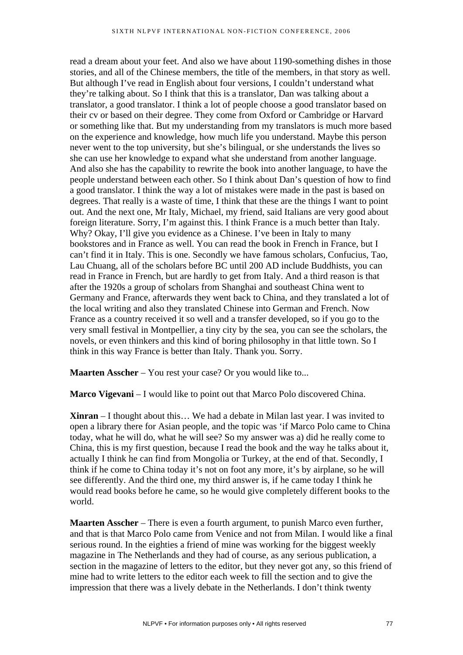read a dream about your feet. And also we have about 1190-something dishes in those stories, and all of the Chinese members, the title of the members, in that story as well. But although I've read in English about four versions, I couldn't understand what they're talking about. So I think that this is a translator, Dan was talking about a translator, a good translator. I think a lot of people choose a good translator based on their cv or based on their degree. They come from Oxford or Cambridge or Harvard or something like that. But my understanding from my translators is much more based on the experience and knowledge, how much life you understand. Maybe this person never went to the top university, but she's bilingual, or she understands the lives so she can use her knowledge to expand what she understand from another language. And also she has the capability to rewrite the book into another language, to have the people understand between each other. So I think about Dan's question of how to find a good translator. I think the way a lot of mistakes were made in the past is based on degrees. That really is a waste of time, I think that these are the things I want to point out. And the next one, Mr Italy, Michael, my friend, said Italians are very good about foreign literature. Sorry, I'm against this. I think France is a much better than Italy. Why? Okay, I'll give you evidence as a Chinese. I've been in Italy to many bookstores and in France as well. You can read the book in French in France, but I can't find it in Italy. This is one. Secondly we have famous scholars, Confucius, Tao, Lau Chuang, all of the scholars before BC until 200 AD include Buddhists, you can read in France in French, but are hardly to get from Italy. And a third reason is that after the 1920s a group of scholars from Shanghai and southeast China went to Germany and France, afterwards they went back to China, and they translated a lot of the local writing and also they translated Chinese into German and French. Now France as a country received it so well and a transfer developed, so if you go to the very small festival in Montpellier, a tiny city by the sea, you can see the scholars, the novels, or even thinkers and this kind of boring philosophy in that little town. So I think in this way France is better than Italy. Thank you. Sorry.

**Maarten Asscher** – You rest your case? Or you would like to...

**Marco Vigevani** – I would like to point out that Marco Polo discovered China.

**Xinran** – I thought about this… We had a debate in Milan last year. I was invited to open a library there for Asian people, and the topic was 'if Marco Polo came to China today, what he will do, what he will see? So my answer was a) did he really come to China, this is my first question, because I read the book and the way he talks about it, actually I think he can find from Mongolia or Turkey, at the end of that. Secondly, I think if he come to China today it's not on foot any more, it's by airplane, so he will see differently. And the third one, my third answer is, if he came today I think he would read books before he came, so he would give completely different books to the world.

**Maarten Asscher** – There is even a fourth argument, to punish Marco even further, and that is that Marco Polo came from Venice and not from Milan. I would like a final serious round. In the eighties a friend of mine was working for the biggest weekly magazine in The Netherlands and they had of course, as any serious publication, a section in the magazine of letters to the editor, but they never got any, so this friend of mine had to write letters to the editor each week to fill the section and to give the impression that there was a lively debate in the Netherlands. I don't think twenty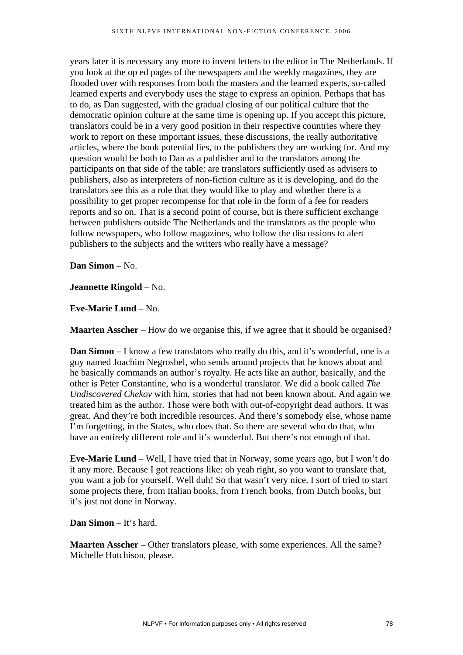years later it is necessary any more to invent letters to the editor in The Netherlands. If you look at the op ed pages of the newspapers and the weekly magazines, they are flooded over with responses from both the masters and the learned experts, so-called learned experts and everybody uses the stage to express an opinion. Perhaps that has to do, as Dan suggested, with the gradual closing of our political culture that the democratic opinion culture at the same time is opening up. If you accept this picture, translators could be in a very good position in their respective countries where they work to report on these important issues, these discussions, the really authoritative articles, where the book potential lies, to the publishers they are working for. And my question would be both to Dan as a publisher and to the translators among the participants on that side of the table: are translators sufficiently used as advisers to publishers, also as interpreters of non-fiction culture as it is developing, and do the translators see this as a role that they would like to play and whether there is a possibility to get proper recompense for that role in the form of a fee for readers reports and so on. That is a second point of course, but is there sufficient exchange between publishers outside The Netherlands and the translators as the people who follow newspapers, who follow magazines, who follow the discussions to alert publishers to the subjects and the writers who really have a message?

**Dan Simon** – No.

**Jeannette Ringold** – No.

**Eve-Marie Lund** – No.

**Maarten Asscher** – How do we organise this, if we agree that it should be organised?

**Dan Simon** – I know a few translators who really do this, and it's wonderful, one is a guy named Joachim Negroshel, who sends around projects that he knows about and he basically commands an author's royalty. He acts like an author, basically, and the other is Peter Constantine, who is a wonderful translator. We did a book called *The Undiscovered Chekov* with him, stories that had not been known about. And again we treated him as the author. Those were both with out-of-copyright dead authors. It was great. And they're both incredible resources. And there's somebody else, whose name I'm forgetting, in the States, who does that. So there are several who do that, who have an entirely different role and it's wonderful. But there's not enough of that.

**Eve-Marie Lund** – Well, I have tried that in Norway, some years ago, but I won't do it any more. Because I got reactions like: oh yeah right, so you want to translate that, you want a job for yourself. Well duh! So that wasn't very nice. I sort of tried to start some projects there, from Italian books, from French books, from Dutch books, but it's just not done in Norway.

**Dan Simon** – It's hard.

**Maarten Asscher** – Other translators please, with some experiences. All the same? Michelle Hutchison, please.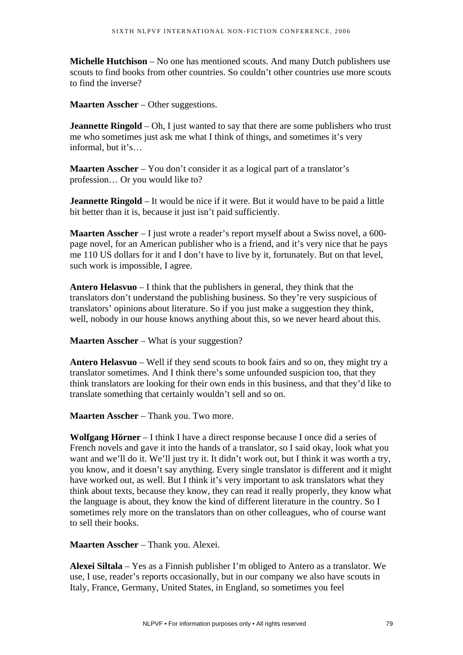**Michelle Hutchison** – No one has mentioned scouts. And many Dutch publishers use scouts to find books from other countries. So couldn't other countries use more scouts to find the inverse?

**Maarten Asscher** – Other suggestions.

**Jeannette Ringold** – Oh, I just wanted to say that there are some publishers who trust me who sometimes just ask me what I think of things, and sometimes it's very informal, but it's…

**Maarten Asscher** – You don't consider it as a logical part of a translator's profession… Or you would like to?

**Jeannette Ringold** – It would be nice if it were. But it would have to be paid a little bit better than it is, because it just isn't paid sufficiently.

**Maarten Asscher** – I just wrote a reader's report myself about a Swiss novel, a 600 page novel, for an American publisher who is a friend, and it's very nice that he pays me 110 US dollars for it and I don't have to live by it, fortunately. But on that level, such work is impossible, I agree.

**Antero Helasvuo** – I think that the publishers in general, they think that the translators don't understand the publishing business. So they're very suspicious of translators' opinions about literature. So if you just make a suggestion they think, well, nobody in our house knows anything about this, so we never heard about this.

**Maarten Asscher** – What is your suggestion?

**Antero Helasvuo** – Well if they send scouts to book fairs and so on, they might try a translator sometimes. And I think there's some unfounded suspicion too, that they think translators are looking for their own ends in this business, and that they'd like to translate something that certainly wouldn't sell and so on.

**Maarten Asscher** – Thank you. Two more.

**Wolfgang Hörner** – I think I have a direct response because I once did a series of French novels and gave it into the hands of a translator, so I said okay, look what you want and we'll do it. We'll just try it. It didn't work out, but I think it was worth a try, you know, and it doesn't say anything. Every single translator is different and it might have worked out, as well. But I think it's very important to ask translators what they think about texts, because they know, they can read it really properly, they know what the language is about, they know the kind of different literature in the country. So I sometimes rely more on the translators than on other colleagues, who of course want to sell their books.

**Maarten Asscher** – Thank you. Alexei.

**Alexei Siltala** – Yes as a Finnish publisher I'm obliged to Antero as a translator. We use, I use, reader's reports occasionally, but in our company we also have scouts in Italy, France, Germany, United States, in England, so sometimes you feel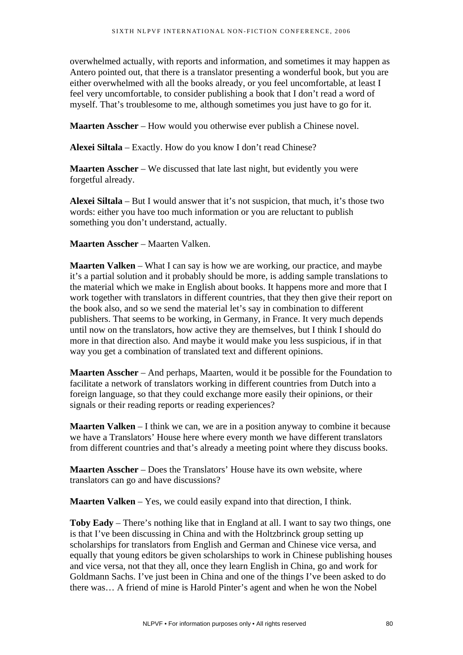overwhelmed actually, with reports and information, and sometimes it may happen as Antero pointed out, that there is a translator presenting a wonderful book, but you are either overwhelmed with all the books already, or you feel uncomfortable, at least I feel very uncomfortable, to consider publishing a book that I don't read a word of myself. That's troublesome to me, although sometimes you just have to go for it.

**Maarten Asscher** – How would you otherwise ever publish a Chinese novel.

**Alexei Siltala** – Exactly. How do you know I don't read Chinese?

**Maarten Asscher** – We discussed that late last night, but evidently you were forgetful already.

**Alexei Siltala** – But I would answer that it's not suspicion, that much, it's those two words: either you have too much information or you are reluctant to publish something you don't understand, actually.

**Maarten Asscher** – Maarten Valken.

**Maarten Valken** – What I can say is how we are working, our practice, and maybe it's a partial solution and it probably should be more, is adding sample translations to the material which we make in English about books. It happens more and more that I work together with translators in different countries, that they then give their report on the book also, and so we send the material let's say in combination to different publishers. That seems to be working, in Germany, in France. It very much depends until now on the translators, how active they are themselves, but I think I should do more in that direction also. And maybe it would make you less suspicious, if in that way you get a combination of translated text and different opinions.

**Maarten Asscher** – And perhaps, Maarten, would it be possible for the Foundation to facilitate a network of translators working in different countries from Dutch into a foreign language, so that they could exchange more easily their opinions, or their signals or their reading reports or reading experiences?

**Maarten Valken** – I think we can, we are in a position anyway to combine it because we have a Translators' House here where every month we have different translators from different countries and that's already a meeting point where they discuss books.

**Maarten Asscher** – Does the Translators' House have its own website, where translators can go and have discussions?

**Maarten Valken** – Yes, we could easily expand into that direction, I think.

**Toby Eady** – There's nothing like that in England at all. I want to say two things, one is that I've been discussing in China and with the Holtzbrinck group setting up scholarships for translators from English and German and Chinese vice versa, and equally that young editors be given scholarships to work in Chinese publishing houses and vice versa, not that they all, once they learn English in China, go and work for Goldmann Sachs. I've just been in China and one of the things I've been asked to do there was… A friend of mine is Harold Pinter's agent and when he won the Nobel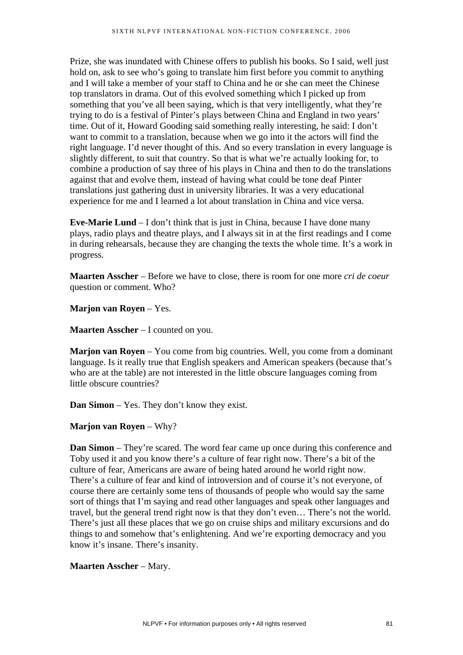Prize, she was inundated with Chinese offers to publish his books. So I said, well just hold on, ask to see who's going to translate him first before you commit to anything and I will take a member of your staff to China and he or she can meet the Chinese top translators in drama. Out of this evolved something which I picked up from something that you've all been saying, which is that very intelligently, what they're trying to do is a festival of Pinter's plays between China and England in two years' time. Out of it, Howard Gooding said something really interesting, he said: I don't want to commit to a translation, because when we go into it the actors will find the right language. I'd never thought of this. And so every translation in every language is slightly different, to suit that country. So that is what we're actually looking for, to combine a production of say three of his plays in China and then to do the translations against that and evolve them, instead of having what could be tone deaf Pinter translations just gathering dust in university libraries. It was a very educational experience for me and I learned a lot about translation in China and vice versa.

**Eve-Marie Lund** – I don't think that is just in China, because I have done many plays, radio plays and theatre plays, and I always sit in at the first readings and I come in during rehearsals, because they are changing the texts the whole time. It's a work in progress.

**Maarten Asscher** – Before we have to close, there is room for one more *cri de coeur* question or comment. Who?

**Marjon van Royen** – Yes.

**Maarten Asscher** – I counted on you.

**Marjon van Royen** – You come from big countries. Well, you come from a dominant language. Is it really true that English speakers and American speakers (because that's who are at the table) are not interested in the little obscure languages coming from little obscure countries?

**Dan Simon** – Yes. They don't know they exist.

## **Marjon van Royen** – Why?

**Dan Simon** – They're scared. The word fear came up once during this conference and Toby used it and you know there's a culture of fear right now. There's a bit of the culture of fear, Americans are aware of being hated around he world right now. There's a culture of fear and kind of introversion and of course it's not everyone, of course there are certainly some tens of thousands of people who would say the same sort of things that I'm saying and read other languages and speak other languages and travel, but the general trend right now is that they don't even… There's not the world. There's just all these places that we go on cruise ships and military excursions and do things to and somehow that's enlightening. And we're exporting democracy and you know it's insane. There's insanity.

## **Maarten Asscher** – Mary.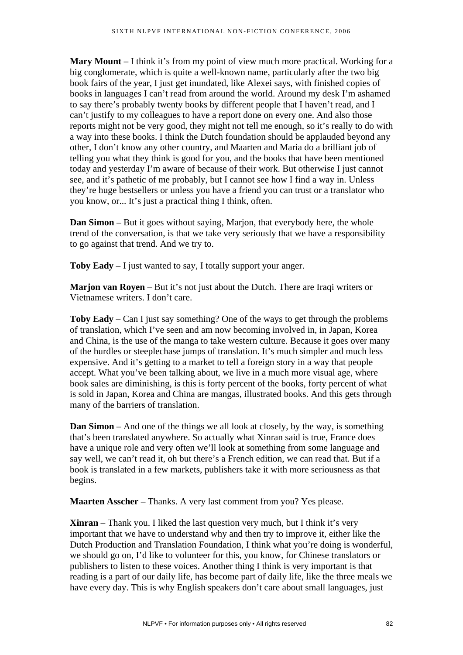**Mary Mount** – I think it's from my point of view much more practical. Working for a big conglomerate, which is quite a well-known name, particularly after the two big book fairs of the year, I just get inundated, like Alexei says, with finished copies of books in languages I can't read from around the world. Around my desk I'm ashamed to say there's probably twenty books by different people that I haven't read, and I can't justify to my colleagues to have a report done on every one. And also those reports might not be very good, they might not tell me enough, so it's really to do with a way into these books. I think the Dutch foundation should be applauded beyond any other, I don't know any other country, and Maarten and Maria do a brilliant job of telling you what they think is good for you, and the books that have been mentioned today and yesterday I'm aware of because of their work. But otherwise I just cannot see, and it's pathetic of me probably, but I cannot see how I find a way in. Unless they're huge bestsellers or unless you have a friend you can trust or a translator who you know, or... It's just a practical thing I think, often.

**Dan Simon** – But it goes without saying, Marjon, that everybody here, the whole trend of the conversation, is that we take very seriously that we have a responsibility to go against that trend. And we try to.

**Toby Eady** – I just wanted to say, I totally support your anger.

**Marion van Royen** – But it's not just about the Dutch. There are Iraqi writers or Vietnamese writers. I don't care.

**Toby Eady** – Can I just say something? One of the ways to get through the problems of translation, which I've seen and am now becoming involved in, in Japan, Korea and China, is the use of the manga to take western culture. Because it goes over many of the hurdles or steeplechase jumps of translation. It's much simpler and much less expensive. And it's getting to a market to tell a foreign story in a way that people accept. What you've been talking about, we live in a much more visual age, where book sales are diminishing, is this is forty percent of the books, forty percent of what is sold in Japan, Korea and China are mangas, illustrated books. And this gets through many of the barriers of translation.

**Dan Simon** – And one of the things we all look at closely, by the way, is something that's been translated anywhere. So actually what Xinran said is true, France does have a unique role and very often we'll look at something from some language and say well, we can't read it, oh but there's a French edition, we can read that. But if a book is translated in a few markets, publishers take it with more seriousness as that begins.

**Maarten Asscher** – Thanks. A very last comment from you? Yes please.

**Xinran** – Thank you. I liked the last question very much, but I think it's very important that we have to understand why and then try to improve it, either like the Dutch Production and Translation Foundation, I think what you're doing is wonderful, we should go on, I'd like to volunteer for this, you know, for Chinese translators or publishers to listen to these voices. Another thing I think is very important is that reading is a part of our daily life, has become part of daily life, like the three meals we have every day. This is why English speakers don't care about small languages, just